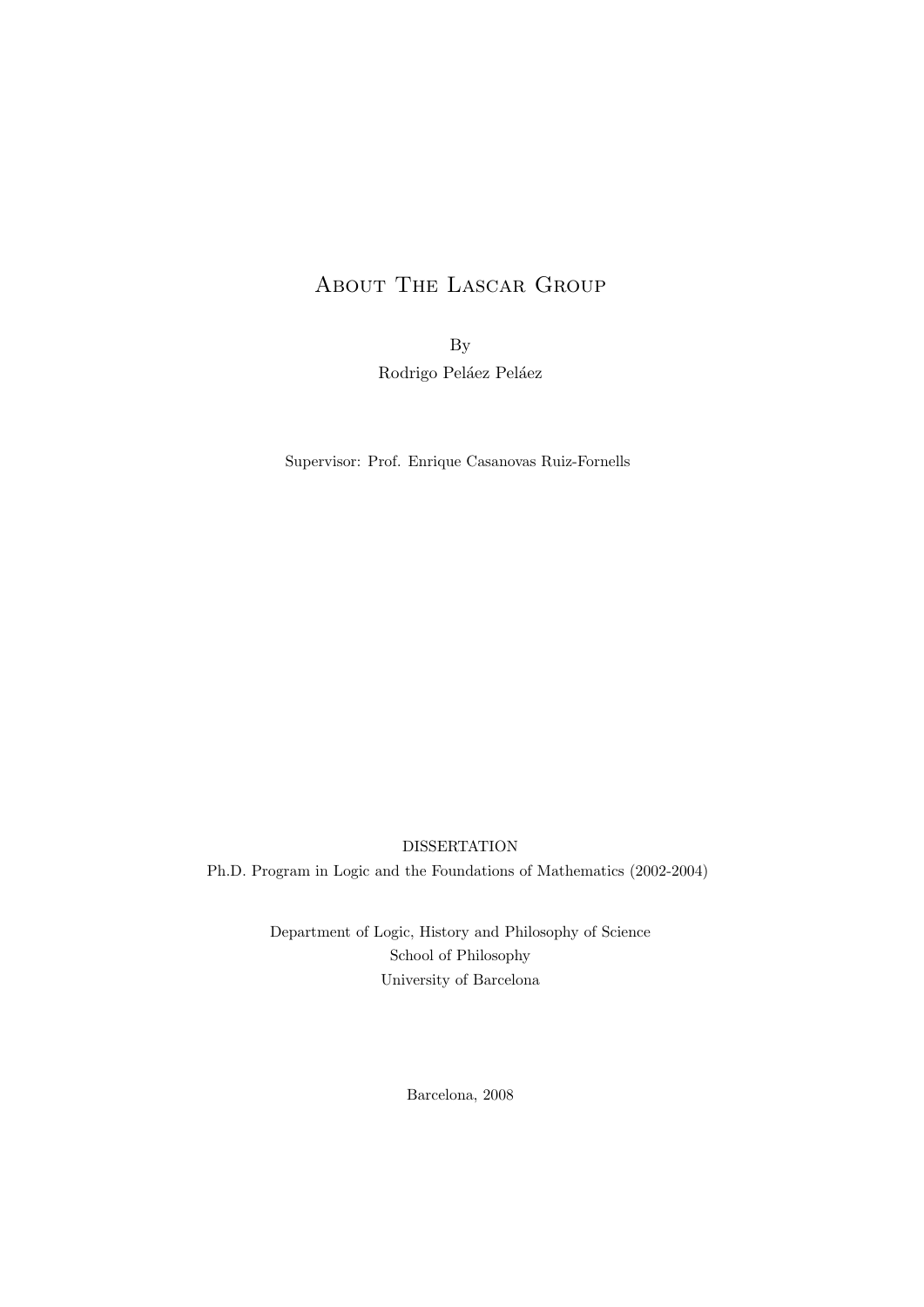## About The Lascar Group

By

Rodrigo Peláez Peláez

Supervisor: Prof. Enrique Casanovas Ruiz-Fornells

### DISSERTATION

Ph.D. Program in Logic and the Foundations of Mathematics (2002-2004)

Department of Logic, History and Philosophy of Science School of Philosophy University of Barcelona

Barcelona, 2008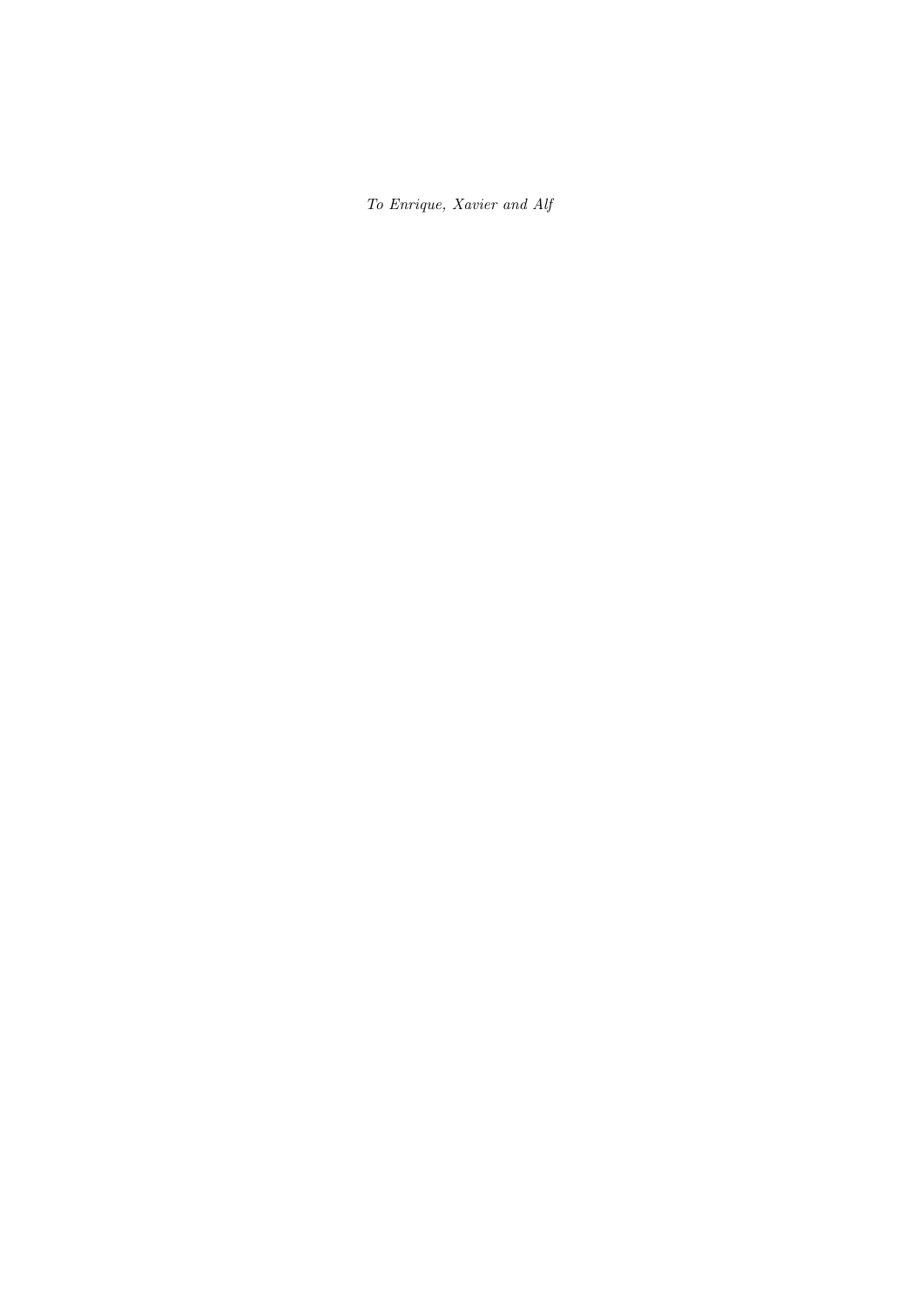To Enrique, Xavier and Alf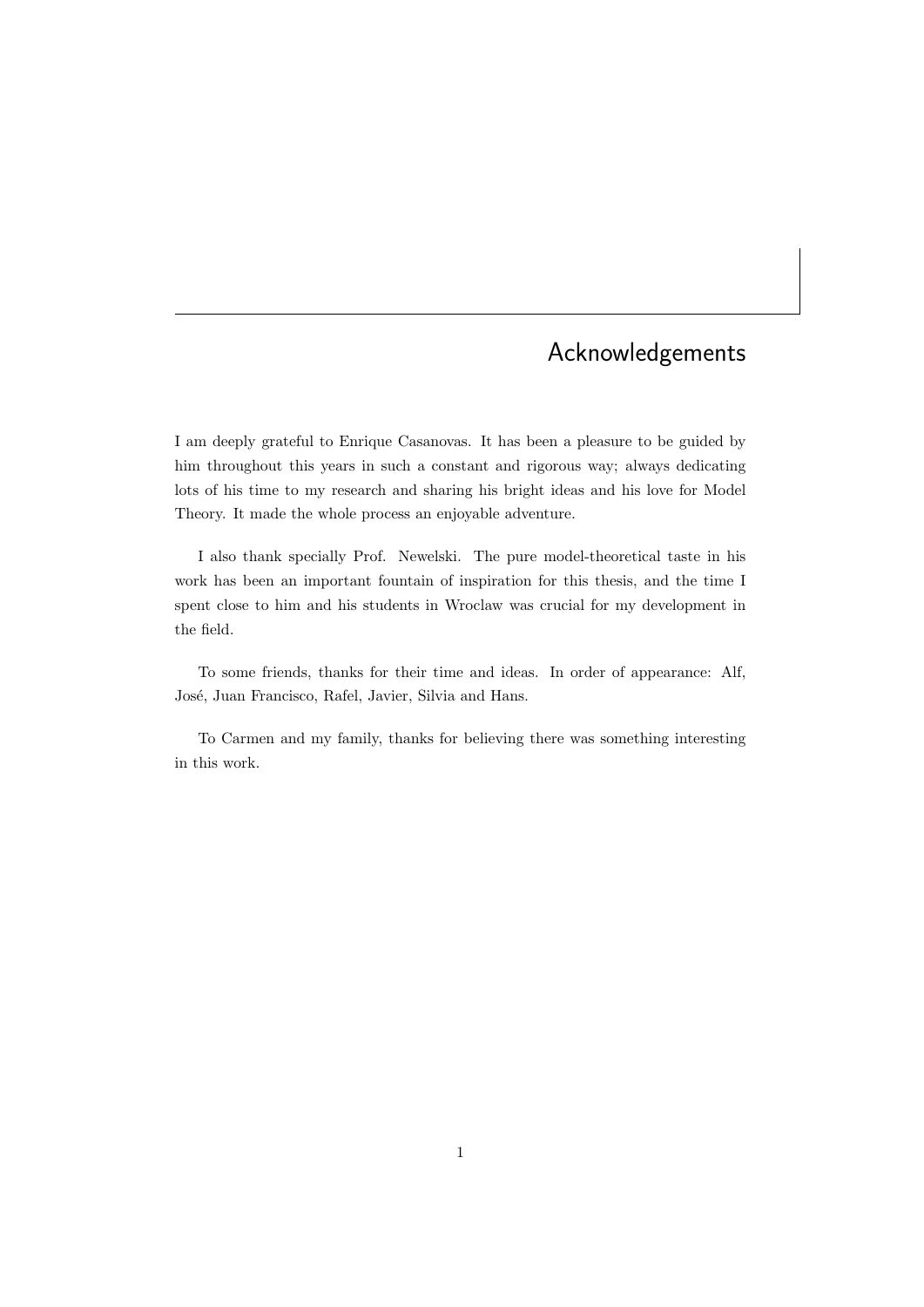## Acknowledgements

I am deeply grateful to Enrique Casanovas. It has been a pleasure to be guided by him throughout this years in such a constant and rigorous way; always dedicating lots of his time to my research and sharing his bright ideas and his love for Model Theory. It made the whole process an enjoyable adventure.

I also thank specially Prof. Newelski. The pure model-theoretical taste in his work has been an important fountain of inspiration for this thesis, and the time I spent close to him and his students in Wroclaw was crucial for my development in the field.

To some friends, thanks for their time and ideas. In order of appearance: Alf, José, Juan Francisco, Rafel, Javier, Silvia and Hans.

To Carmen and my family, thanks for believing there was something interesting in this work.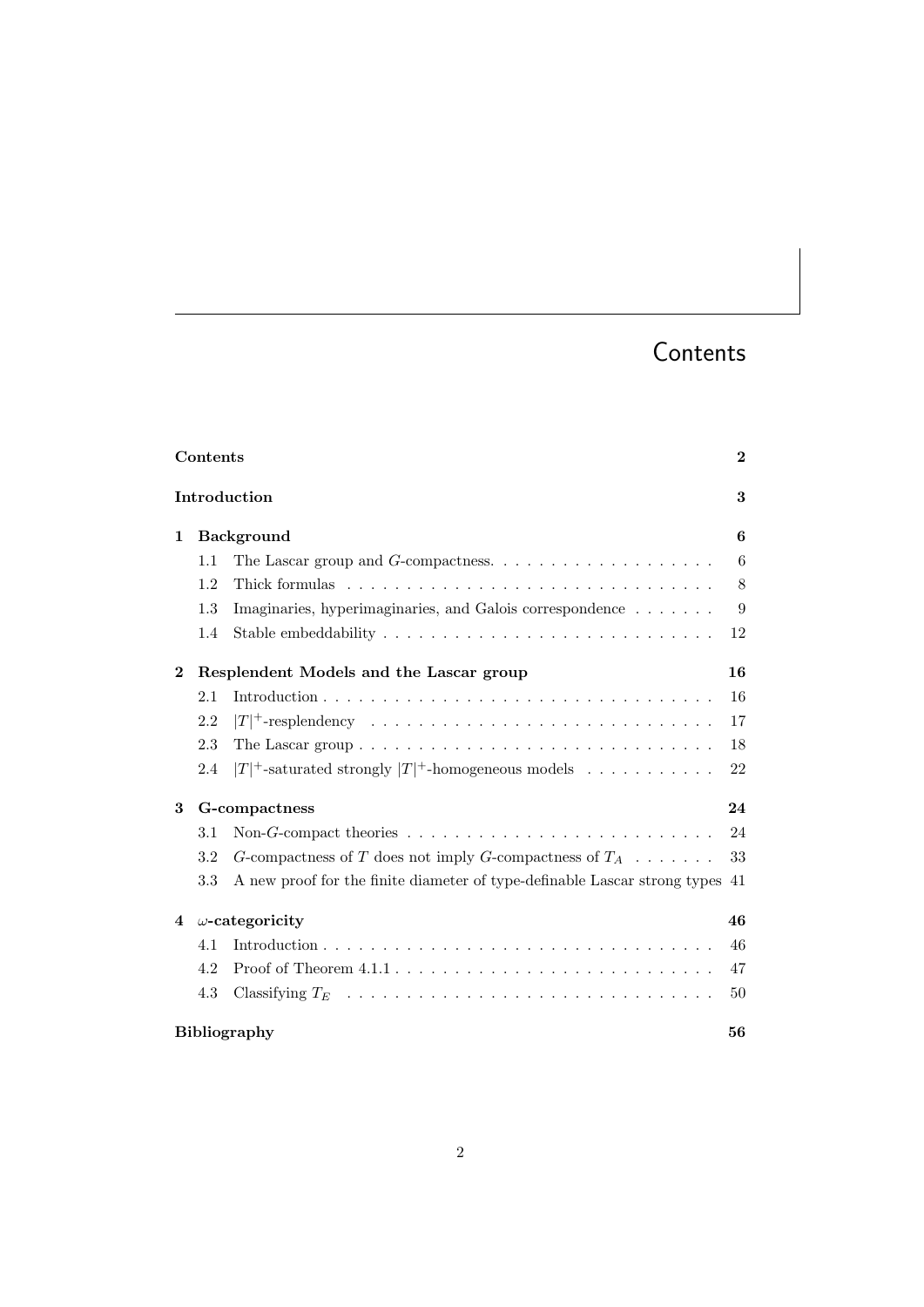## **Contents**

| Contents |                           | $\bf{2}$                                                                                |    |
|----------|---------------------------|-----------------------------------------------------------------------------------------|----|
|          | Introduction              |                                                                                         |    |
| 1        | <b>Background</b>         |                                                                                         | 6  |
|          | 1.1                       | The Lascar group and G-compactness. $\ldots \ldots \ldots \ldots \ldots \ldots$         | 6  |
|          | 1.2                       |                                                                                         | 8  |
|          | 1.3                       | Imaginaries, hyperimaginaries, and Galois correspondence                                | 9  |
|          | 1.4                       |                                                                                         | 12 |
| $\bf{2}$ |                           | Resplendent Models and the Lascar group                                                 |    |
|          | 2.1                       |                                                                                         | 16 |
|          | 2.2                       |                                                                                         | 17 |
|          | 2.3                       |                                                                                         | 18 |
|          | 2.4                       | $ T ^+$ -saturated strongly $ T ^+$ -homogeneous models                                 | 22 |
| 3        | G-compactness             |                                                                                         | 24 |
|          | 3.1                       | Non-G-compact theories $\ldots \ldots \ldots \ldots \ldots \ldots \ldots \ldots \ldots$ | 24 |
|          | 3.2                       | G-compactness of T does not imply G-compactness of $T_A$                                | 33 |
|          | 3.3                       | A new proof for the finite diameter of type-definable Lascar strong types               | 41 |
| 4        |                           | $\omega$ -categoricity                                                                  |    |
|          | 4.1                       |                                                                                         | 46 |
|          | 4.2                       | Proof of Theorem $4.1.1 \ldots \ldots \ldots \ldots \ldots \ldots \ldots \ldots \ldots$ | 47 |
|          | 4.3                       |                                                                                         | 50 |
|          | <b>Bibliography</b><br>56 |                                                                                         |    |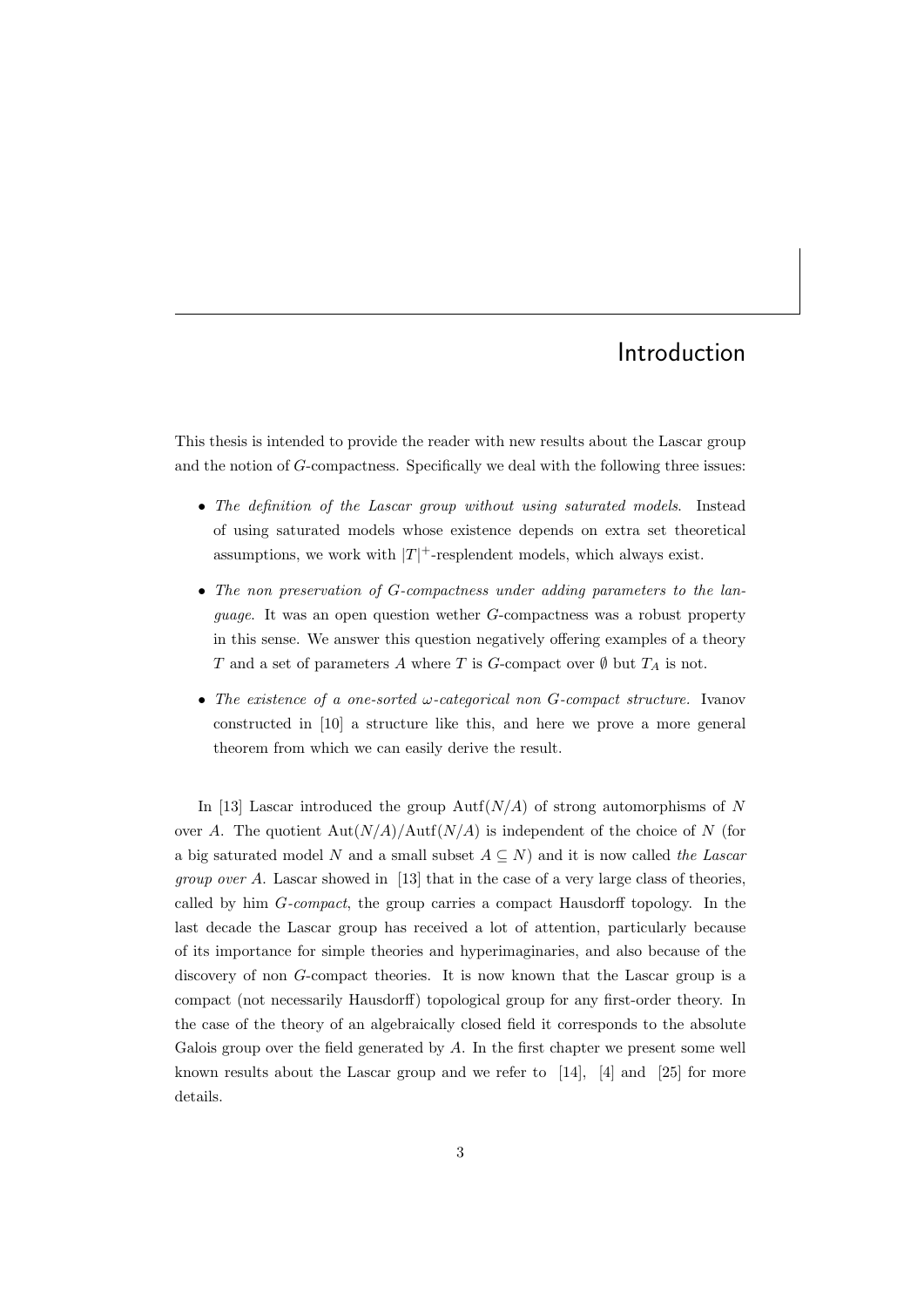## Introduction

This thesis is intended to provide the reader with new results about the Lascar group and the notion of G-compactness. Specifically we deal with the following three issues:

- The definition of the Lascar group without using saturated models. Instead of using saturated models whose existence depends on extra set theoretical assumptions, we work with  $|T|^+$ -resplendent models, which always exist.
- The non preservation of G-compactness under adding parameters to the language. It was an open question wether G-compactness was a robust property in this sense. We answer this question negatively offering examples of a theory T and a set of parameters A where T is G-compact over  $\emptyset$  but  $T_A$  is not.
- The existence of a one-sorted  $\omega$ -categorical non G-compact structure. Ivanov constructed in [10] a structure like this, and here we prove a more general theorem from which we can easily derive the result.

In [13] Lascar introduced the group  $Autf(N/A)$  of strong automorphisms of N over A. The quotient  $\text{Aut}(N/A)/\text{Aut}(N/A)$  is independent of the choice of N (for a big saturated model N and a small subset  $A \subseteq N$ ) and it is now called the Lascar *group over A.* Lascar showed in [13] that in the case of a very large class of theories, called by him G-compact, the group carries a compact Hausdorff topology. In the last decade the Lascar group has received a lot of attention, particularly because of its importance for simple theories and hyperimaginaries, and also because of the discovery of non G-compact theories. It is now known that the Lascar group is a compact (not necessarily Hausdorff) topological group for any first-order theory. In the case of the theory of an algebraically closed field it corresponds to the absolute Galois group over the field generated by A. In the first chapter we present some well known results about the Lascar group and we refer to [14], [4] and [25] for more details.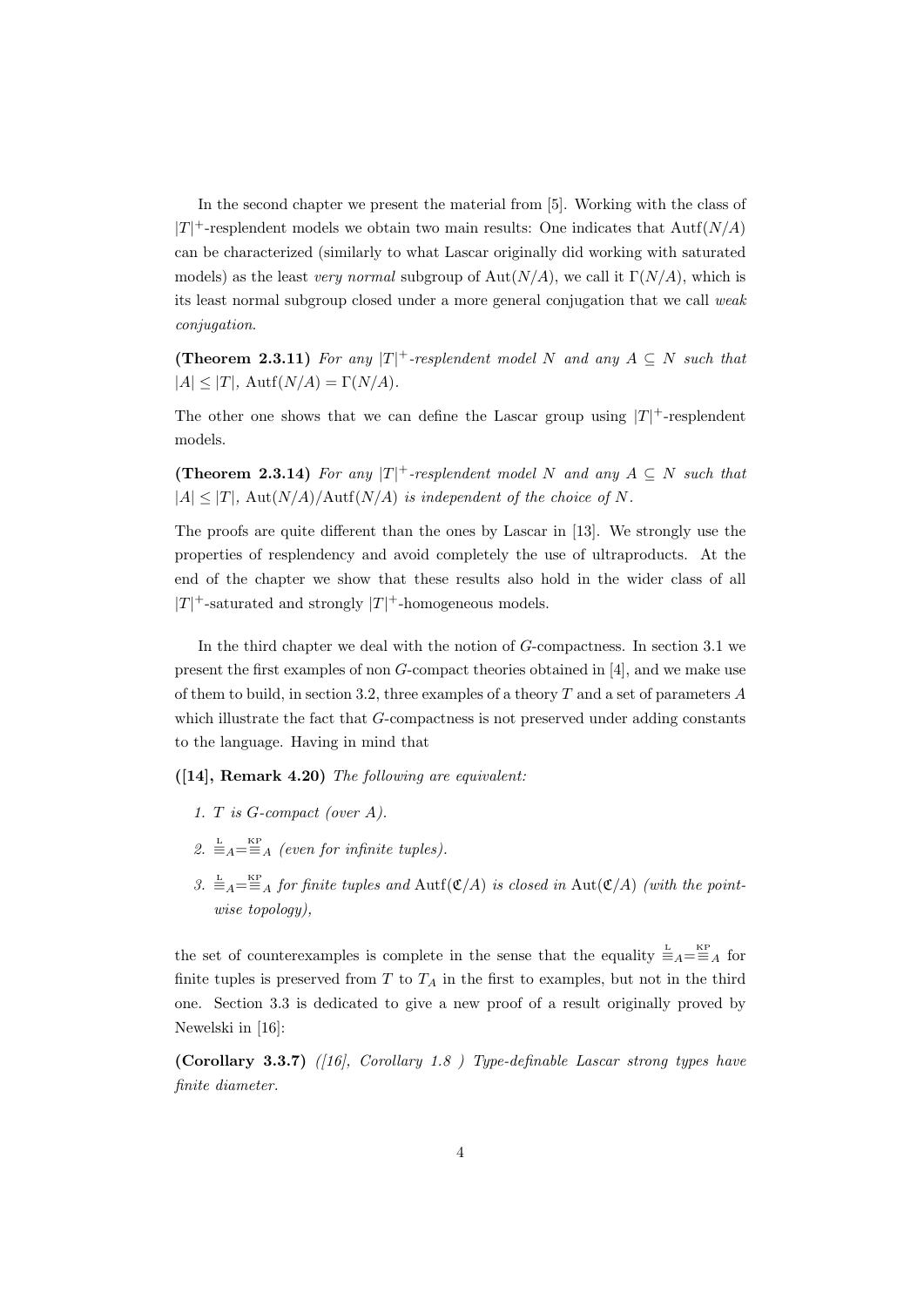In the second chapter we present the material from [5]. Working with the class of  $|T|$ <sup>+</sup>-resplendent models we obtain two main results: One indicates that  $Autf(N/A)$ can be characterized (similarly to what Lascar originally did working with saturated models) as the least very normal subgroup of Aut( $N/A$ ), we call it  $\Gamma(N/A)$ , which is its least normal subgroup closed under a more general conjugation that we call weak conjugation.

**(Theorem 2.3.11)** For any  $|T|$ <sup>+</sup>-resplendent model N and any  $A \subseteq N$  such that  $|A| \leq |T|$ ,  $\mathrm{Autf}(N/A) = \Gamma(N/A)$ .

The other one shows that we can define the Lascar group using  $|T|$ <sup>+</sup>-resplendent models.

**(Theorem 2.3.14)** For any  $|T|$ <sup>+</sup>-resplendent model N and any  $A \subseteq N$  such that  $|A| \leq |T|$ , Aut $(N/A)/$ Autf $(N/A)$  is independent of the choice of N.

The proofs are quite different than the ones by Lascar in [13]. We strongly use the properties of resplendency and avoid completely the use of ultraproducts. At the end of the chapter we show that these results also hold in the wider class of all  $|T|$ <sup>+</sup>-saturated and strongly  $|T|$ <sup>+</sup>-homogeneous models.

In the third chapter we deal with the notion of G-compactness. In section 3.1 we present the first examples of non G-compact theories obtained in [4], and we make use of them to build, in section 3.2, three examples of a theory  $T$  and a set of parameters  $A$ which illustrate the fact that G-compactness is not preserved under adding constants to the language. Having in mind that

([14], Remark 4.20) The following are equivalent:

- 1. T is G-compact (over A).
- 2.  $\stackrel{\text{L}}{=}$   $A = \stackrel{\text{KP}}{=}$  A (even for infinite tuples).
- 3.  $\equiv_{A} = \equiv_{A}$  for finite tuples and Autf( $\mathfrak{C}/A$ ) is closed in Aut( $\mathfrak{C}/A$ ) (with the pointwise topology),

the set of counterexamples is complete in the sense that the equality  $\frac{L}{=}A=\mathbb{E}_A^P$  for finite tuples is preserved from  $T$  to  $T_A$  in the first to examples, but not in the third one. Section 3.3 is dedicated to give a new proof of a result originally proved by Newelski in [16]:

(Corollary 3.3.7) ([16], Corollary 1.8 ) Type-definable Lascar strong types have finite diameter.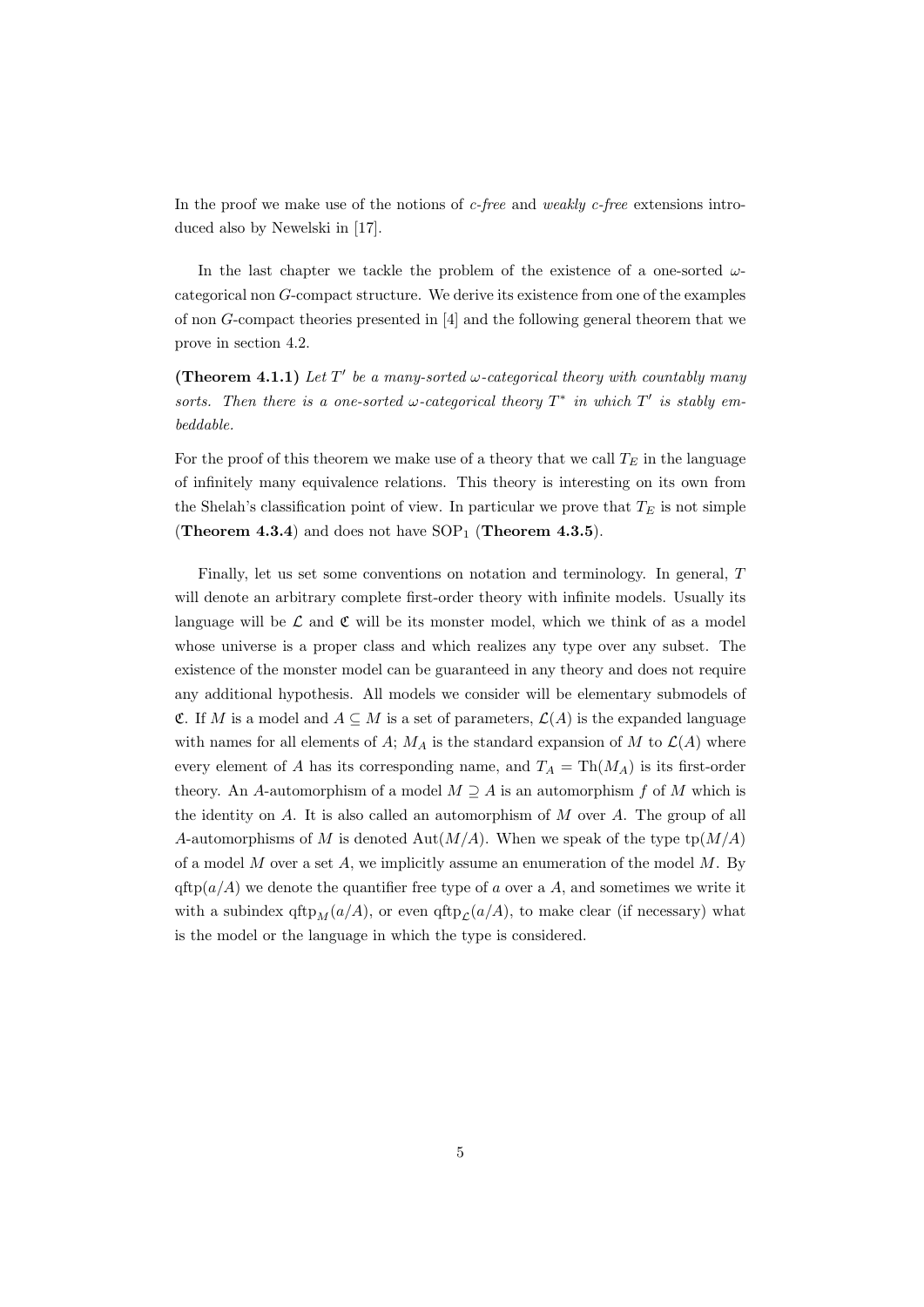In the proof we make use of the notions of  $c$ -free and weakly  $c$ -free extensions introduced also by Newelski in [17].

In the last chapter we tackle the problem of the existence of a one-sorted  $\omega$ categorical non G-compact structure. We derive its existence from one of the examples of non G-compact theories presented in [4] and the following general theorem that we prove in section 4.2.

(Theorem 4.1.1) Let  $T'$  be a many-sorted  $\omega$ -categorical theory with countably many sorts. Then there is a one-sorted  $\omega$ -categorical theory  $T^*$  in which  $T'$  is stably embeddable.

For the proof of this theorem we make use of a theory that we call  $T_E$  in the language of infinitely many equivalence relations. This theory is interesting on its own from the Shelah's classification point of view. In particular we prove that  $T_E$  is not simple (Theorem 4.3.4) and does not have  $SOP_1$  (Theorem 4.3.5).

Finally, let us set some conventions on notation and terminology. In general, T will denote an arbitrary complete first-order theory with infinite models. Usually its language will be  $\mathcal L$  and  $\mathfrak C$  will be its monster model, which we think of as a model whose universe is a proper class and which realizes any type over any subset. The existence of the monster model can be guaranteed in any theory and does not require any additional hypothesis. All models we consider will be elementary submodels of **C.** If M is a model and  $A \subseteq M$  is a set of parameters,  $\mathcal{L}(A)$  is the expanded language with names for all elements of A;  $M_A$  is the standard expansion of M to  $\mathcal{L}(A)$  where every element of A has its corresponding name, and  $T_A = Th(M_A)$  is its first-order theory. An A-automorphism of a model  $M \supseteq A$  is an automorphism f of M which is the identity on  $A$ . It is also called an automorphism of  $M$  over  $A$ . The group of all A-automorphisms of M is denoted Aut $(M/A)$ . When we speak of the type  $tp(M/A)$ of a model M over a set  $A$ , we implicitly assume an enumeration of the model  $M$ . By  $qftp(a/A)$  we denote the quantifier free type of a over a A, and sometimes we write it with a subindex qftp<sub>M</sub>(a/A), or even qftp<sub>C</sub>(a/A), to make clear (if necessary) what is the model or the language in which the type is considered.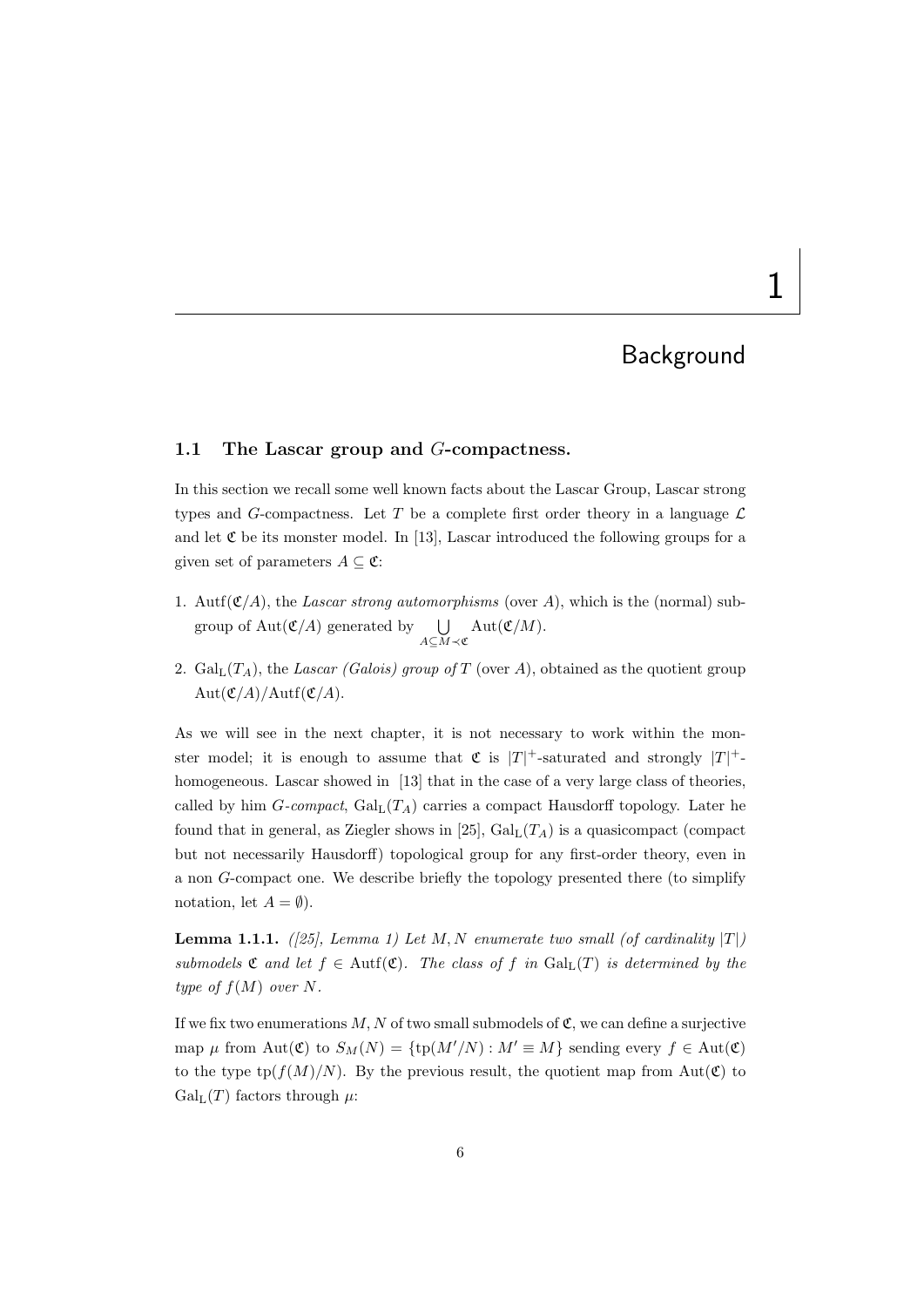# 1

## Background

#### 1.1 The Lascar group and G-compactness.

In this section we recall some well known facts about the Lascar Group, Lascar strong types and G-compactness. Let T be a complete first order theory in a language  $\mathcal L$ and let  $\mathfrak C$  be its monster model. In [13], Lascar introduced the following groups for a given set of parameters  $A \subseteq \mathfrak{C}$ :

- 1. Autf $(\mathfrak{C}/A)$ , the Lascar strong automorphisms (over A), which is the (normal) subgroup of  $Aut(\mathfrak{C}/A)$  generated by  $\bigcup$  $A \subseteq M \prec \mathfrak{C}$  $\mathrm{Aut}(\mathfrak{C}/M).$
- 2. Gal<sub>L</sub> $(T_A)$ , the *Lascar (Galois) group of* T (over A), obtained as the quotient group  $Aut(\mathfrak{C}/A)/Autf(\mathfrak{C}/A).$

As we will see in the next chapter, it is not necessary to work within the monster model; it is enough to assume that  $\mathfrak C$  is  $|T|^+$ -saturated and strongly  $|T|^+$ homogeneous. Lascar showed in [13] that in the case of a very large class of theories, called by him  $G$ -compact,  $Gal<sub>L</sub>(T<sub>A</sub>)$  carries a compact Hausdorff topology. Later he found that in general, as Ziegler shows in [25],  $Gal<sub>L</sub>(T<sub>A</sub>)$  is a quasicompact (compact but not necessarily Hausdorff) topological group for any first-order theory, even in a non G-compact one. We describe briefly the topology presented there (to simplify notation, let  $A = \emptyset$ .

**Lemma 1.1.1.** ([25], Lemma 1) Let M, N enumerate two small (of cardinality  $|T|$ ) submodels  $\mathfrak C$  and let  $f \in \text{Autf}(\mathfrak C)$ . The class of f in  $\text{Gal}_L(T)$  is determined by the type of  $f(M)$  over N.

If we fix two enumerations  $M, N$  of two small submodels of  $\mathfrak{C}$ , we can define a surjective map  $\mu$  from Aut( $\mathfrak{C}$ ) to  $S_M(N) = \{ \text{tp}(M'/N) : M' \equiv M \}$  sending every  $f \in \text{Aut}(\mathfrak{C})$ to the type tp( $f(M)/N$ ). By the previous result, the quotient map from  $Aut(\mathfrak{C})$  to  $Gal_{L}(T)$  factors through  $\mu$ :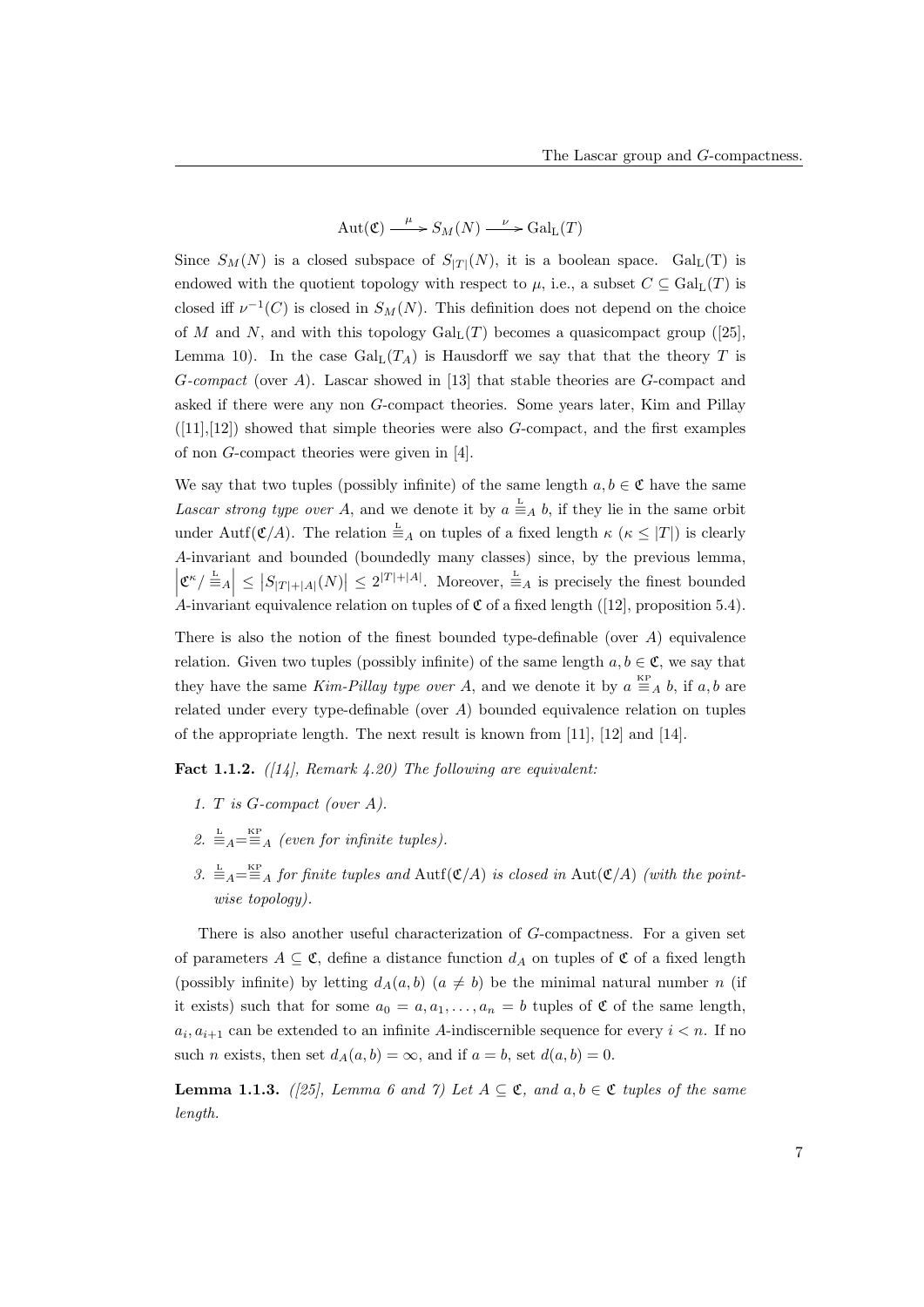$$
Aut(\mathfrak{C}) \xrightarrow{\mu} S_M(N) \xrightarrow{\nu} Gal_L(T)
$$

Since  $S_M(N)$  is a closed subspace of  $S_{|T|}(N)$ , it is a boolean space. Gal<sub>L</sub>(T) is endowed with the quotient topology with respect to  $\mu$ , i.e., a subset  $C \subseteq \text{Gal}_{\text{L}}(T)$  is closed iff  $\nu^{-1}(C)$  is closed in  $S_M(N)$ . This definition does not depend on the choice of M and N, and with this topology  $Gal<sub>L</sub>(T)$  becomes a quasicompact group ([25], Lemma 10). In the case  $Gal_{L}(T_{A})$  is Hausdorff we say that that the theory T is G-compact (over A). Lascar showed in [13] that stable theories are G-compact and asked if there were any non G-compact theories. Some years later, Kim and Pillay  $([11],[12])$  showed that simple theories were also G-compact, and the first examples of non G-compact theories were given in [4].

We say that two tuples (possibly infinite) of the same length  $a, b \in \mathfrak{C}$  have the same Lascar strong type over A, and we denote it by  $a \stackrel{L}{=} A b$ , if they lie in the same orbit under Autf( $\mathfrak{C}/A$ ). The relation  $\equiv_A^L$  on tuples of a fixed length  $\kappa$  ( $\kappa \leq |T|$ ) is clearly A-invariant and bounded (boundedly many classes) since, by the previous lemma,  $\left|\mathfrak{C}^{\kappa}/\frac{L}{m}\right| \leq |S_{|T|+|A|}(N)| \leq 2^{|T|+|A|}$ . Moreover,  $\frac{L}{m}$  is precisely the finest bounded A-invariant equivalence relation on tuples of  $\mathfrak C$  of a fixed length ([12], proposition 5.4).

There is also the notion of the finest bounded type-definable (over  $A$ ) equivalence relation. Given two tuples (possibly infinite) of the same length  $a, b \in \mathfrak{C}$ , we say that they have the same Kim-Pillay type over A, and we denote it by  $a \equiv_A b$ , if  $a, b$  are related under every type-definable (over A) bounded equivalence relation on tuples of the appropriate length. The next result is known from [11], [12] and [14].

**Fact 1.1.2.** ( $\begin{bmatrix} 14 \end{bmatrix}$ , Remark 4.20) The following are equivalent:

- 1. T is G-compact (over A).
- 2.  $\stackrel{\text{L}}{=}$   $A = \stackrel{\text{KP}}{=}$  A (even for infinite tuples).
- 3.  $\equiv_A = \equiv_A$  for finite tuples and Autf( $\mathfrak{C}/A$ ) is closed in Aut( $\mathfrak{C}/A$ ) (with the pointwise topology).

There is also another useful characterization of G-compactness. For a given set of parameters  $A \subseteq \mathfrak{C}$ , define a distance function  $d_A$  on tuples of  $\mathfrak{C}$  of a fixed length (possibly infinite) by letting  $d_A(a, b)$   $(a \neq b)$  be the minimal natural number n (if it exists) such that for some  $a_0 = a, a_1, \ldots, a_n = b$  tuples of  $\mathfrak C$  of the same length,  $a_i, a_{i+1}$  can be extended to an infinite A-indiscernible sequence for every  $i < n$ . If no such *n* exists, then set  $d_A(a, b) = \infty$ , and if  $a = b$ , set  $d(a, b) = 0$ .

**Lemma 1.1.3.** ([25], Lemma 6 and 7) Let  $A \subseteq \mathfrak{C}$ , and  $a, b \in \mathfrak{C}$  tuples of the same length.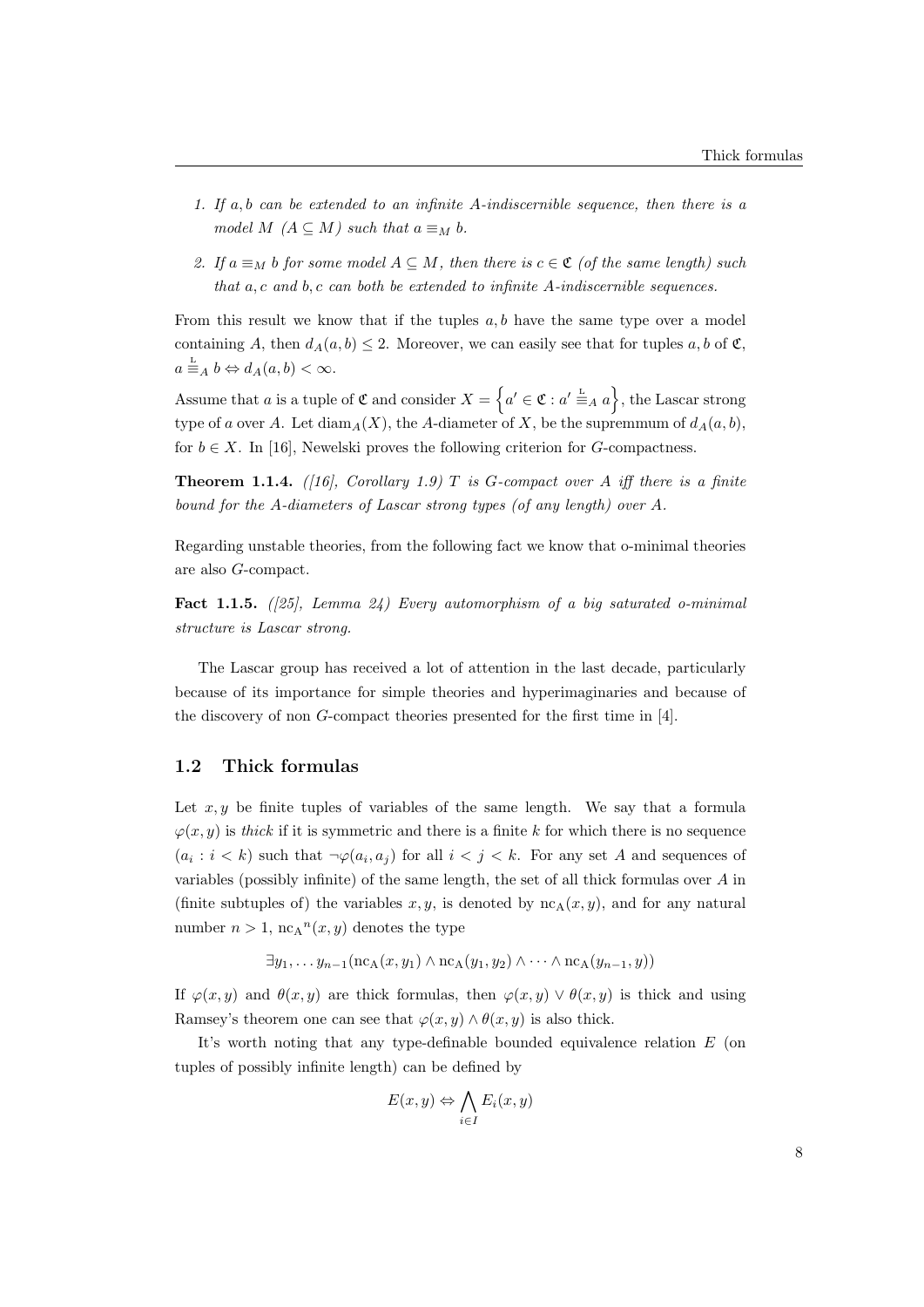- 1. If  $a, b$  can be extended to an infinite A-indiscernible sequence, then there is a model M  $(A \subseteq M)$  such that  $a \equiv_M b$ .
- 2. If  $a \equiv_M b$  for some model  $A \subseteq M$ , then there is  $c \in \mathfrak{C}$  (of the same length) such that  $a, c$  and  $b, c$  can both be extended to infinite A-indiscernible sequences.

From this result we know that if the tuples  $a, b$  have the same type over a model containing A, then  $d_A(a, b) \leq 2$ . Moreover, we can easily see that for tuples  $a, b$  of  $\mathfrak{C}$ ,  $a \stackrel{\mathsf{L}}{=}{}_{A} b \Leftrightarrow d_{A}(a, b) < \infty.$ 

Assume that a is a tuple of  $\mathfrak C$  and consider  $X = \left\{ a' \in \mathfrak C : a' \stackrel{\mathbb{L}}{=} A \mid a \right\}$ , the Lascar strong type of a over A. Let  $\text{diam}_A(X)$ , the A-diameter of X, be the supremmum of  $d_A(a, b)$ , for  $b \in X$ . In [16], Newelski proves the following criterion for G-compactness.

**Theorem 1.1.4.** ([16], Corollary 1.9) T is G-compact over A iff there is a finite bound for the A-diameters of Lascar strong types (of any length) over A.

Regarding unstable theories, from the following fact we know that o-minimal theories are also G-compact.

**Fact 1.1.5.** ([25], Lemma 24) Every automorphism of a big saturated o-minimal structure is Lascar strong.

The Lascar group has received a lot of attention in the last decade, particularly because of its importance for simple theories and hyperimaginaries and because of the discovery of non G-compact theories presented for the first time in [4].

#### 1.2 Thick formulas

Let  $x, y$  be finite tuples of variables of the same length. We say that a formula  $\varphi(x, y)$  is thick if it is symmetric and there is a finite k for which there is no sequence  $(a_i : i < k)$  such that  $\neg \varphi(a_i, a_j)$  for all  $i < j < k$ . For any set A and sequences of variables (possibly infinite) of the same length, the set of all thick formulas over  $A$  in (finite subtuples of) the variables  $x, y$ , is denoted by  $nc_A(x, y)$ , and for any natural number  $n > 1$ , nc<sub>A</sub><sup>n</sup>(x, y) denotes the type

$$
\exists y_1, \ldots y_{n-1}(\mathrm{nc}_A(x, y_1) \wedge \mathrm{nc}_A(y_1, y_2) \wedge \cdots \wedge \mathrm{nc}_A(y_{n-1}, y))
$$

If  $\varphi(x, y)$  and  $\theta(x, y)$  are thick formulas, then  $\varphi(x, y) \vee \theta(x, y)$  is thick and using Ramsey's theorem one can see that  $\varphi(x, y) \wedge \theta(x, y)$  is also thick.

It's worth noting that any type-definable bounded equivalence relation E (on tuples of possibly infinite length) can be defined by

$$
E(x, y) \Leftrightarrow \bigwedge_{i \in I} E_i(x, y)
$$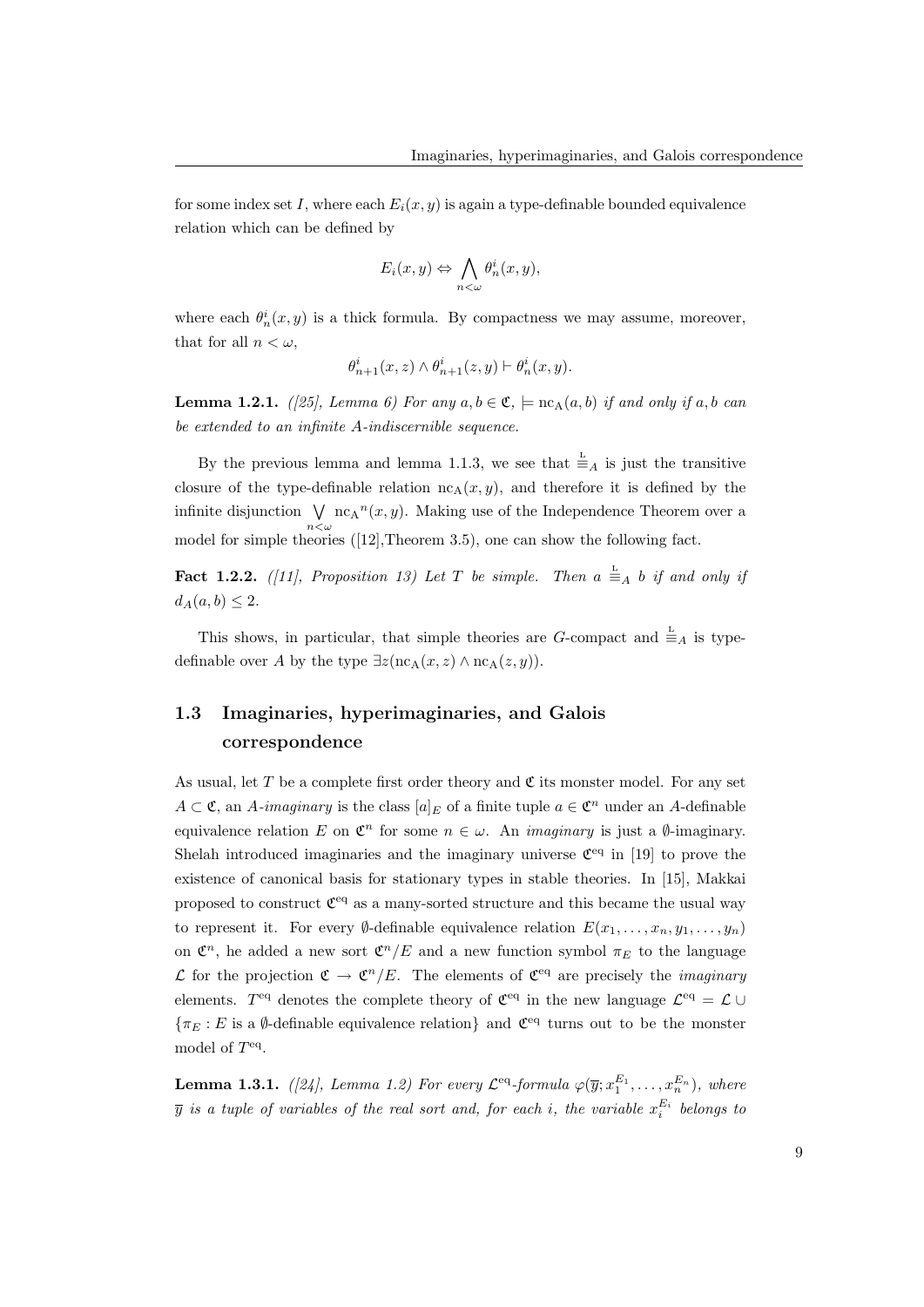for some index set I, where each  $E_i(x, y)$  is again a type-definable bounded equivalence relation which can be defined by

$$
E_i(x, y) \Leftrightarrow \bigwedge_{n < \omega} \theta_n^i(x, y),
$$

where each  $\theta_n^i(x, y)$  is a thick formula. By compactness we may assume, moreover, that for all  $n < \omega$ ,

$$
\theta^i_{n+1}(x,z) \wedge \theta^i_{n+1}(z,y) \vdash \theta^i_n(x,y).
$$

**Lemma 1.2.1.** ([25], Lemma 6) For any  $a, b \in \mathfrak{C}$ ,  $\models nc_A(a, b)$  if and only if a, b can be extended to an infinite A-indiscernible sequence.

By the previous lemma and lemma 1.1.3, we see that  $\frac{L}{=}$  is just the transitive closure of the type-definable relation  $nc_A(x, y)$ , and therefore it is defined by the infinite disjunction  $\bigvee$  nc<sub>A</sub><sup>n</sup>(x, y). Making use of the Independence Theorem over a model for simple theories ([12], Theorem 3.5), one can show the following fact.

**Fact 1.2.2.** ([11], Proposition 13) Let T be simple. Then  $a \stackrel{L}{=} A$  b if and only if  $d_A(a, b) \leq 2.$ 

This shows, in particular, that simple theories are G-compact and  $\frac{L}{=}$ <sub>A</sub> is typedefinable over A by the type  $\exists z \, (\mathrm{nc}_A(x, z) \land \mathrm{nc}_A(z, y)).$ 

## 1.3 Imaginaries, hyperimaginaries, and Galois correspondence

As usual, let T be a complete first order theory and  $\mathfrak C$  its monster model. For any set  $A \subset \mathfrak{C}$ , an A-imaginary is the class  $[a]_E$  of a finite tuple  $a \in \mathfrak{C}^n$  under an A-definable equivalence relation E on  $\mathfrak{C}^n$  for some  $n \in \omega$ . An *imaginary* is just a  $\emptyset$ -imaginary. Shelah introduced imaginaries and the imaginary universe  $\mathfrak{C}^{\text{eq}}$  in [19] to prove the existence of canonical basis for stationary types in stable theories. In [15], Makkai proposed to construct  $\mathfrak{C}^{eq}$  as a many-sorted structure and this became the usual way to represent it. For every Ø-definable equivalence relation  $E(x_1, \ldots, x_n, y_1, \ldots, y_n)$ on  $\mathfrak{C}^n$ , he added a new sort  $\mathfrak{C}^n/E$  and a new function symbol  $\pi_E$  to the language  $\mathcal L$  for the projection  $\mathfrak C \to \mathfrak C^n / E$ . The elements of  $\mathfrak C$ <sup>eq</sup> are precisely the *imaginary* elements.  $T<sup>eq</sup>$  denotes the complete theory of  $\mathfrak{C}^{eq}$  in the new language  $\mathcal{L}^{eq} = \mathcal{L} \cup$  $\{\pi_E : E$  is a Ø-definable equivalence relation and  $\mathfrak{C}^{eq}$  turns out to be the monster model of  $T<sup>eq</sup>$ .

**Lemma 1.3.1.** ([24], Lemma 1.2) For every  $\mathcal{L}^{eq}$ -formula  $\varphi(\overline{y}; x_1^{E_1}, \ldots, x_n^{E_n})$ , where  $\overline{y}$  is a tuple of variables of the real sort and, for each i, the variable  $x_i^{E_i}$  belongs to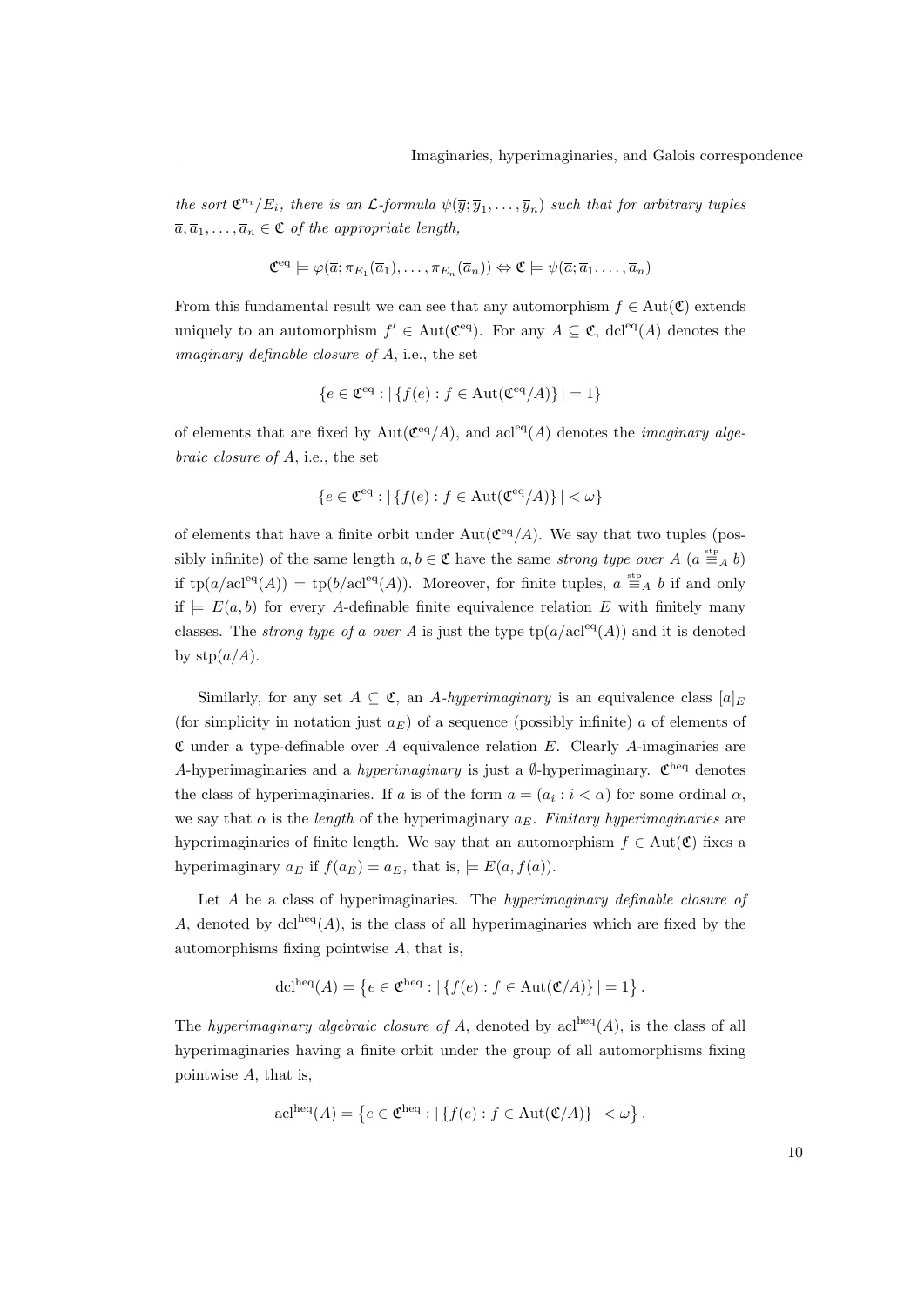the sort  $\mathfrak{C}^{n_i}/E_i$ , there is an  $\mathcal{L}$ -formula  $\psi(\overline{y}; \overline{y}_1, \ldots, \overline{y}_n)$  such that for arbitrary tuples  $\overline{a}, \overline{a}_1, \ldots, \overline{a}_n \in \mathfrak{C}$  of the appropriate length,

$$
\mathfrak{C}^{\text{eq}} \models \varphi(\overline{a}; \pi_{E_1}(\overline{a}_1), \ldots, \pi_{E_n}(\overline{a}_n)) \Leftrightarrow \mathfrak{C} \models \psi(\overline{a}; \overline{a}_1, \ldots, \overline{a}_n)
$$

From this fundamental result we can see that any automorphism  $f \in Aut(\mathfrak{C})$  extends uniquely to an automorphism  $f' \in \text{Aut}(\mathfrak{C}^{eq})$ . For any  $A \subseteq \mathfrak{C}$ , dcl<sup>eq</sup>(A) denotes the imaginary definable closure of  $A$ , i.e., the set

$$
\{e \in \mathfrak{C}^{\text{eq}} : |\{f(e) : f \in \text{Aut}(\mathfrak{C}^{\text{eq}}/A)\}| = 1\}
$$

of elements that are fixed by  $\text{Aut}(\mathfrak{C}^{eq}/A)$ , and  $\text{acl}^{eq}(A)$  denotes the *imaginary alge*braic closure of A, i.e., the set

$$
\{e \in \mathfrak{C}^{\text{eq}} : |\{f(e) : f \in \text{Aut}(\mathfrak{C}^{\text{eq}}/A)\}| < \omega\}
$$

of elements that have a finite orbit under  $Aut(\mathfrak{C}^{eq}/A)$ . We say that two tuples (possibly infinite) of the same length  $a, b \in \mathfrak{C}$  have the same strong type over  $A$   $(a \stackrel{\text{step}}{=} A b)$ if  $tp(a/acl<sup>eq</sup>(A)) = tp(b/acl<sup>eq</sup>(A)).$  Moreover, for finite tuples,  $a \stackrel{\text{step}}{=} A b$  if and only if  $\models E(a, b)$  for every A-definable finite equivalence relation E with finitely many classes. The *strong type of a over A* is just the type  $tp(a/acl<sup>eq</sup>(A))$  and it is denoted by  $\text{stp}(a/A)$ .

Similarly, for any set  $A \subseteq \mathfrak{C}$ , an A-hyperimaginary is an equivalence class  $[a]_E$ (for simplicity in notation just  $a_F$ ) of a sequence (possibly infinite) a of elements of  $\mathfrak C$  under a type-definable over A equivalence relation E. Clearly A-imaginaries are A-hyperimaginaries and a *hyperimaginary* is just a  $\emptyset$ -hyperimaginary.  $\mathfrak{C}^{\text{heq}}$  denotes the class of hyperimaginaries. If a is of the form  $a = (a_i : i < \alpha)$  for some ordinal  $\alpha$ , we say that  $\alpha$  is the length of the hyperimaginary  $a_E$ . Finitary hyperimaginaries are hyperimaginaries of finite length. We say that an automorphism  $f \in Aut(\mathfrak{C})$  fixes a hyperimaginary  $a_E$  if  $f(a_E) = a_E$ , that is,  $\models E(a, f(a))$ .

Let A be a class of hyperimaginaries. The hyperimaginary definable closure of A, denoted by  $dcl^{heq}(A)$ , is the class of all hyperimaginaries which are fixed by the automorphisms fixing pointwise A, that is,

$$
\operatorname{dcl}^{\operatorname{heq}}(A) = \left\{ e \in \mathfrak{C}^{\operatorname{heq}} : \left| \{ f(e) : f \in \operatorname{Aut}(\mathfrak{C}/A) \} \right| = 1 \right\}.
$$

The hyperimaginary algebraic closure of A, denoted by  $\text{acl}^{\text{heq}}(A)$ , is the class of all hyperimaginaries having a finite orbit under the group of all automorphisms fixing pointwise A, that is,

$$
\operatorname{acl}^{\operatorname{heq}}(A) = \left\{ e \in \mathfrak{C}^{\operatorname{heq}} : \left| \{ f(e) : f \in \operatorname{Aut}(\mathfrak{C}/A) \} \right| < \omega \right\}.
$$

10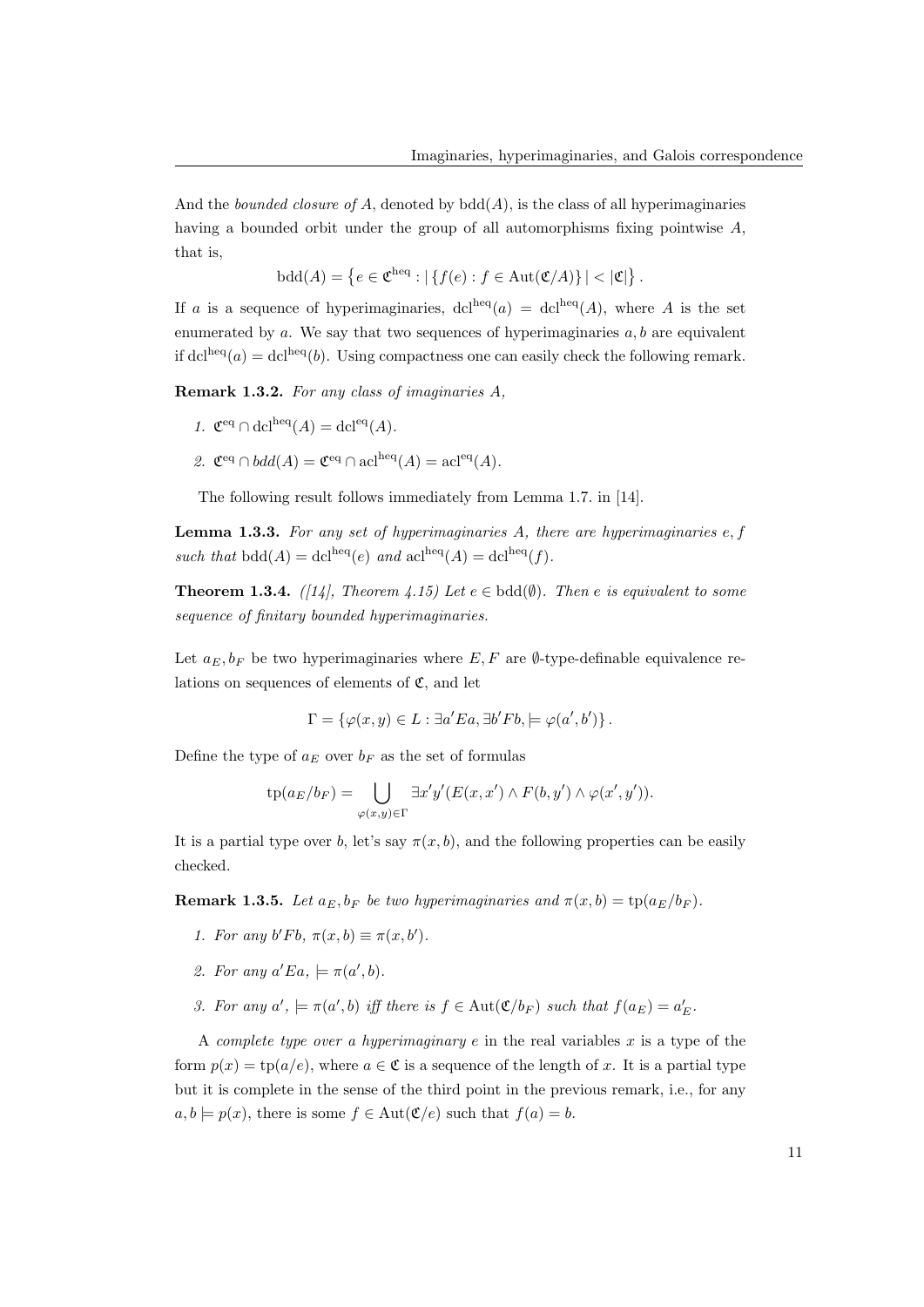And the bounded closure of A, denoted by  $\text{bdd}(A)$ , is the class of all hyperimaginaries having a bounded orbit under the group of all automorphisms fixing pointwise A, that is,

 $\mathrm{bdd}(A) = \{e \in \mathfrak{C}^{\mathrm{heq}} : |\{f(e) : f \in \mathrm{Aut}(\mathfrak{C}/A)\}| < |\mathfrak{C}|\}.$ 

If a is a sequence of hyperimaginaries,  $dcl^{heq}(a) = dcl^{heq}(A)$ , where A is the set enumerated by  $a$ . We say that two sequences of hyperimaginaries  $a, b$  are equivalent if dcl<sup>heq</sup>(a) = dcl<sup>heq</sup>(b). Using compactness one can easily check the following remark.

Remark 1.3.2. For any class of imaginaries A,

- 1.  $\mathfrak{C}^{\text{eq}} \cap \text{dcl}^{\text{heq}}(A) = \text{dcl}^{\text{eq}}(A)$ .
- 2.  $\mathfrak{C}^{\text{eq}} \cap \text{bdd}(A) = \mathfrak{C}^{\text{eq}} \cap \text{acl}^{\text{heq}}(A) = \text{acl}^{\text{eq}}(A).$

The following result follows immediately from Lemma 1.7. in [14].

**Lemma 1.3.3.** For any set of hyperimaginaries  $A$ , there are hyperimaginaries  $e, f$ such that  $\text{bdd}(A) = \text{dcl}^{\text{heq}}(e)$  and  $\text{acl}^{\text{heq}}(A) = \text{dcl}^{\text{heq}}(f)$ .

**Theorem 1.3.4.** ([14], Theorem 4.15) Let  $e \in \text{bdd}(\emptyset)$ . Then e is equivalent to some sequence of finitary bounded hyperimaginaries.

Let  $a_E, b_F$  be two hyperimaginaries where E, F are Ø-type-definable equivalence relations on sequences of elements of  $\mathfrak{C}$ , and let

$$
\Gamma = \{ \varphi(x, y) \in L : \exists a' E a, \exists b' F b, \models \varphi(a', b') \}.
$$

Define the type of  $a_E$  over  $b_F$  as the set of formulas

$$
\text{tp}(a_E/b_F) = \bigcup_{\varphi(x,y)\in\Gamma} \exists x'y'(E(x,x')\wedge F(b,y')\wedge \varphi(x',y')).
$$

It is a partial type over b, let's say  $\pi(x, b)$ , and the following properties can be easily checked.

**Remark 1.3.5.** Let  $a_E, b_F$  be two hyperimaginaries and  $\pi(x, b) = \text{tp}(a_E/b_F)$ .

- 1. For any  $b'Fb, \pi(x, b) \equiv \pi(x, b').$
- 2. For any  $a'Ea$ ,  $\models \pi(a',b)$ .
- 3. For any  $a'$ ,  $\models \pi(a',b)$  iff there is  $f \in Aut(\mathfrak{C}/b_F)$  such that  $f(a_E) = a'_E$ .

A complete type over a hyperimaginary  $e$  in the real variables  $x$  is a type of the form  $p(x) = \text{tp}(a/e)$ , where  $a \in \mathfrak{C}$  is a sequence of the length of x. It is a partial type but it is complete in the sense of the third point in the previous remark, i.e., for any  $a, b \models p(x)$ , there is some  $f \in \text{Aut}(\mathfrak{C}/e)$  such that  $f(a) = b$ .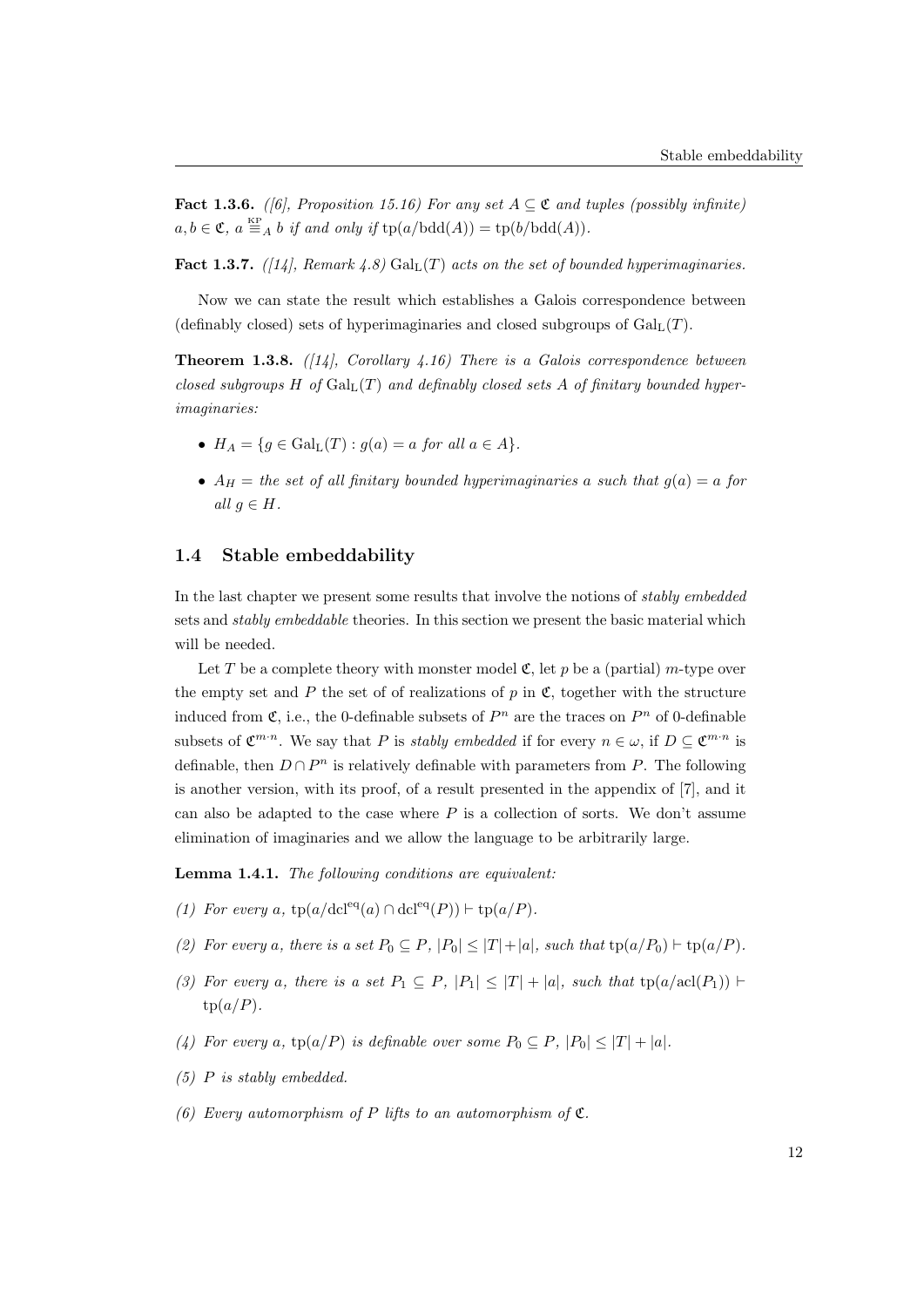Fact 1.3.6. ([6], Proposition 15.16) For any set  $A \subseteq \mathfrak{C}$  and tuples (possibly infinite)  $a, b \in \mathfrak{C}, a \stackrel{\text{KP}}{=} A b \text{ if and only if } tp(a/bdd(A)) = tp(b/bdd(A)).$ 

Fact 1.3.7.  $(114)$ , Remark 4.8) Gal<sub>L</sub>(T) acts on the set of bounded hyperimaginaries.

Now we can state the result which establishes a Galois correspondence between (definably closed) sets of hyperimaginaries and closed subgroups of  $Gal_{L}(T)$ .

**Theorem 1.3.8.** ([14], Corollary 4.16) There is a Galois correspondence between closed subgroups H of  $Gal_L(T)$  and definably closed sets A of finitary bounded hyperimaginaries:

- $H_A = \{ g \in \text{Gal}_{\mathbb{L}}(T) : g(a) = a \text{ for all } a \in A \}.$
- $A_H$  = the set of all finitary bounded hyperimaginaries a such that  $g(a) = a$  for all  $q \in H$ .

#### 1.4 Stable embeddability

In the last chapter we present some results that involve the notions of stably embedded sets and *stably embeddable* theories. In this section we present the basic material which will be needed.

Let T be a complete theory with monster model  $\mathfrak{C}$ , let p be a (partial) m-type over the empty set and  $P$  the set of of realizations of  $p$  in  $\mathfrak{C}$ , together with the structure induced from  $\mathfrak{C}$ , i.e., the 0-definable subsets of  $P^n$  are the traces on  $P^n$  of 0-definable subsets of  $\mathfrak{C}^{m \cdot n}$ . We say that P is *stably embedded* if for every  $n \in \omega$ , if  $D \subseteq \mathfrak{C}^{m \cdot n}$  is definable, then  $D \cap P^n$  is relatively definable with parameters from P. The following is another version, with its proof, of a result presented in the appendix of [7], and it can also be adapted to the case where  $P$  is a collection of sorts. We don't assume elimination of imaginaries and we allow the language to be arbitrarily large.

Lemma 1.4.1. The following conditions are equivalent:

- (1) For every a,  $tp(a/\text{dcl}^{\text{eq}}(a) \cap \text{dcl}^{\text{eq}}(P)) \vdash tp(a/P)$ .
- (2) For every a, there is a set  $P_0 \subseteq P$ ,  $|P_0| \leq |T| + |a|$ , such that  $tp(a/P_0) \vdash tp(a/P)$ .
- (3) For every a, there is a set  $P_1 \subseteq P$ ,  $|P_1| \leq |T| + |a|$ , such that  $tp(a/acl(P_1))$   $\vdash$  $tp(a/P)$ .
- (4) For every a,  $tp(a/P)$  is definable over some  $P_0 \subseteq P$ ,  $|P_0| \leq |T| + |a|$ .
- (5) P is stably embedded.
- (6) Every automorphism of P lifts to an automorphism of  $\mathfrak{C}$ .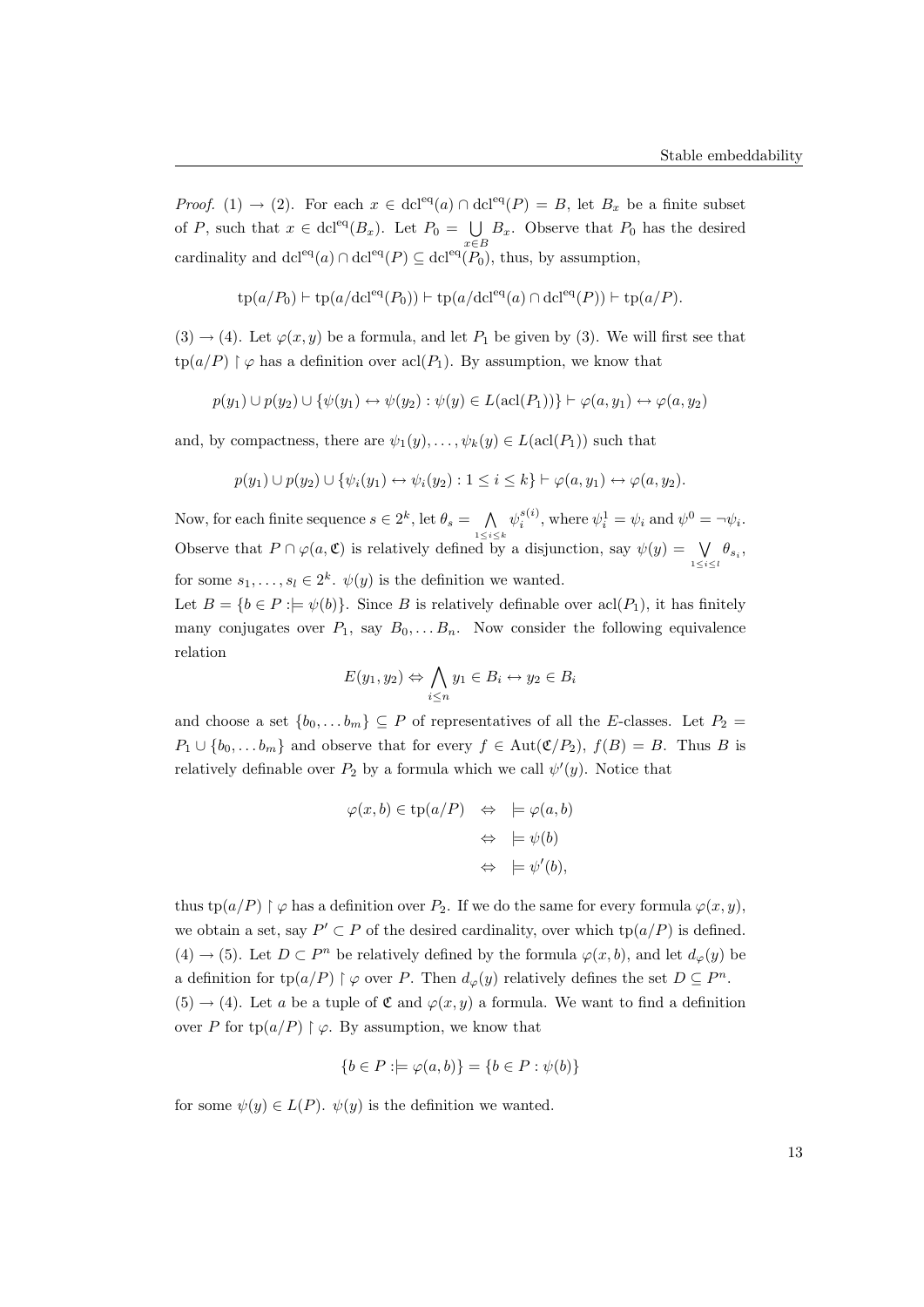*Proof.* (1)  $\rightarrow$  (2). For each  $x \in \text{dcl}^{eq}(a) \cap \text{dcl}^{eq}(P) = B$ , let  $B_x$  be a finite subset of P, such that  $x \in \text{dcl}^{\text{eq}}(B_x)$ . Let  $P_0 = \bigcup$  $\bigcup_{x \in B} B_x$ . Observe that  $P_0$  has the desired cardinality and  $\text{dcl}^{\text{eq}}(a) \cap \text{dcl}^{\text{eq}}(P) \subseteq \text{dcl}^{\text{eq}}(P_0)$ , thus, by assumption,

$$
\text{tp}(a/P_0) \vdash \text{tp}(a/\text{dcl}^{\text{eq}}(P_0)) \vdash \text{tp}(a/\text{dcl}^{\text{eq}}(a) \cap \text{dcl}^{\text{eq}}(P)) \vdash \text{tp}(a/P).
$$

 $(3) \rightarrow (4)$ . Let  $\varphi(x, y)$  be a formula, and let  $P_1$  be given by (3). We will first see that  $\text{tp}(a/P) \restriction \varphi$  has a definition over  $\text{acl}(P_1)$ . By assumption, we know that

$$
p(y_1) \cup p(y_2) \cup \{ \psi(y_1) \leftrightarrow \psi(y_2) : \psi(y) \in L(\text{acl}(P_1)) \} \vdash \varphi(a, y_1) \leftrightarrow \varphi(a, y_2)
$$

and, by compactness, there are  $\psi_1(y), \ldots, \psi_k(y) \in L(\text{acl}(P_1))$  such that

$$
p(y_1) \cup p(y_2) \cup \{ \psi_i(y_1) \leftrightarrow \psi_i(y_2) : 1 \leq i \leq k \} \vdash \varphi(a, y_1) \leftrightarrow \varphi(a, y_2).
$$

Now, for each finite sequence  $s \in 2^k$ , let  $\theta_s = \bigwedge_{1 \leq i \leq k} \psi_i^{s(i)}$ , where  $\psi_i^1 = \psi_i$  and  $\psi^0 = \neg \psi_i$ . Observe that  $P \cap \varphi(a, \mathfrak{C})$  is relatively defined by a disjunction, say  $\psi(y) = \bigvee_{1 \leq i \leq l} \theta_{s_i}$ , for some  $s_1, \ldots, s_l \in 2^k$ .  $\psi(y)$  is the definition we wanted.

Let  $B = \{b \in P : \models \psi(b)\}.$  Since B is relatively definable over  $\text{acl}(P_1)$ , it has finitely many conjugates over  $P_1$ , say  $B_0, \ldots B_n$ . Now consider the following equivalence relation

$$
E(y_1, y_2) \Leftrightarrow \bigwedge_{i \le n} y_1 \in B_i \leftrightarrow y_2 \in B_i
$$

and choose a set  $\{b_0, \ldots b_m\} \subseteq P$  of representatives of all the E-classes. Let  $P_2 =$  $P_1 \cup \{b_0, \ldots b_m\}$  and observe that for every  $f \in \text{Aut}(\mathfrak{C}/P_2)$ ,  $f(B) = B$ . Thus B is relatively definable over  $P_2$  by a formula which we call  $\psi'(y)$ . Notice that

$$
\varphi(x, b) \in \text{tp}(a/P) \quad \Leftrightarrow \quad \models \varphi(a, b)
$$

$$
\Leftrightarrow \quad \models \psi(b)
$$

$$
\Leftrightarrow \quad \models \psi'(b),
$$

thus tp(a/P)  $\upharpoonright \varphi$  has a definition over  $P_2$ . If we do the same for every formula  $\varphi(x, y)$ , we obtain a set, say  $P' \subset P$  of the desired cardinality, over which tp( $a/P$ ) is defined.  $(4) \rightarrow (5)$ . Let  $D \subset P^n$  be relatively defined by the formula  $\varphi(x, b)$ , and let  $d_{\varphi}(y)$  be a definition for  $\text{tp}(a/P) \restriction \varphi$  over P. Then  $d_{\varphi}(y)$  relatively defines the set  $D \subseteq P^n$ .  $(5) \rightarrow (4)$ . Let a be a tuple of  $\mathfrak{C}$  and  $\varphi(x, y)$  a formula. We want to find a definition over P for  $tp(a/P) \upharpoonright \varphi$ . By assumption, we know that

$$
\{b \in P : \models \varphi(a, b)\} = \{b \in P : \psi(b)\}
$$

for some  $\psi(y) \in L(P)$ .  $\psi(y)$  is the definition we wanted.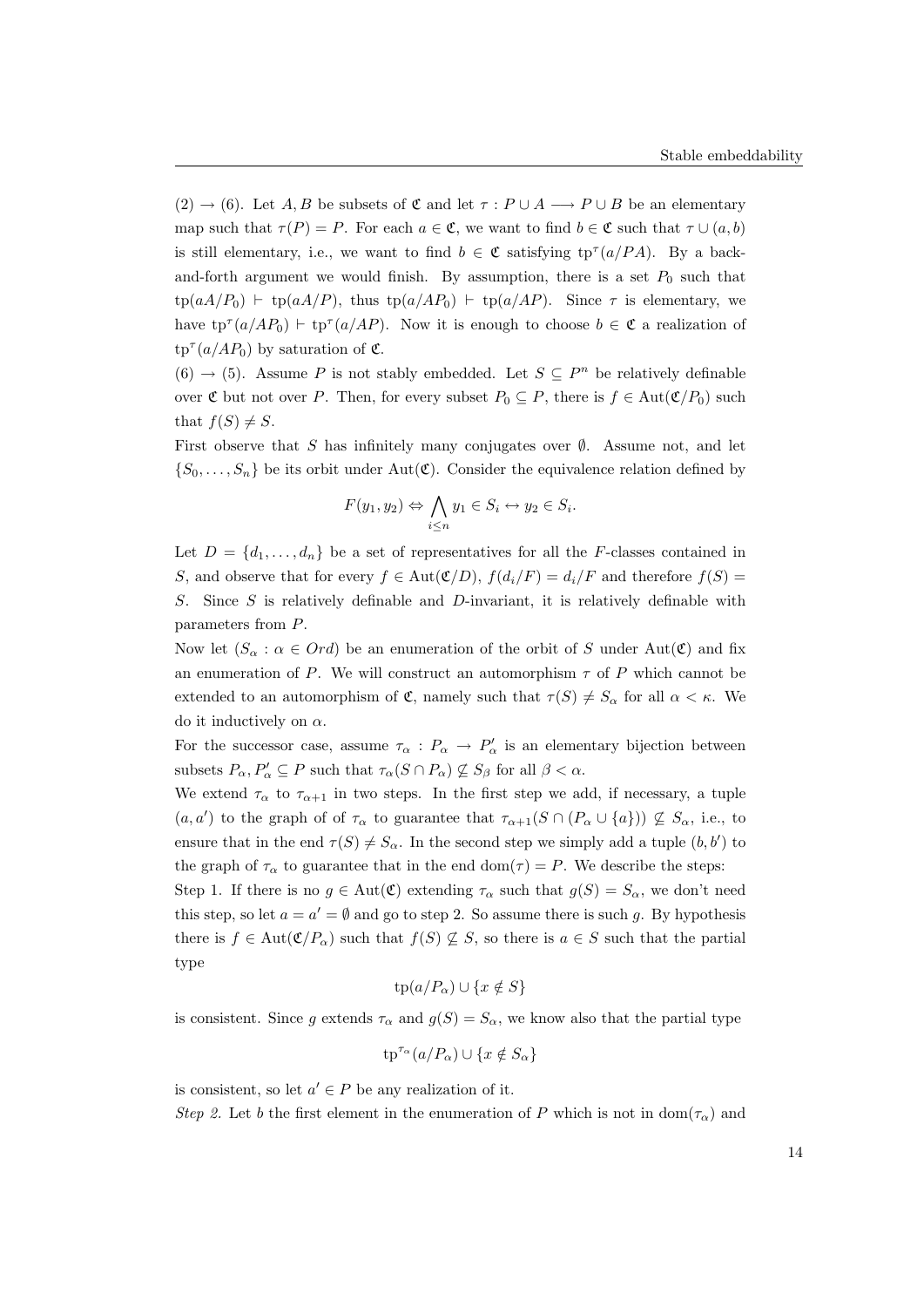$(2) \rightarrow (6)$ . Let A, B be subsets of C and let  $\tau : P \cup A \longrightarrow P \cup B$  be an elementary map such that  $\tau(P) = P$ . For each  $a \in \mathfrak{C}$ , we want to find  $b \in \mathfrak{C}$  such that  $\tau \cup (a, b)$ is still elementary, i.e., we want to find  $b \in \mathfrak{C}$  satisfying  $tp^{\tau}(a/PA)$ . By a backand-forth argument we would finish. By assumption, there is a set  $P_0$  such that  $tp(aA/P_0)$   $\vdash$  tp(aA/P), thus tp(a/AP<sub>0</sub>)  $\vdash$  tp(a/AP). Since  $\tau$  is elementary, we have  $tp^{\tau}(a/AP_0) \vdash tp^{\tau}(a/AP)$ . Now it is enough to choose  $b \in \mathfrak{C}$  a realization of  $tp^{\tau}(a/AP_0)$  by saturation of  $\mathfrak{C}$ .

 $(6) \rightarrow (5)$ . Assume P is not stably embedded. Let  $S \subseteq P^n$  be relatively definable over  $\mathfrak C$  but not over P. Then, for every subset  $P_0 \subseteq P$ , there is  $f \in \mathrm{Aut}(\mathfrak C/P_0)$  such that  $f(S) \neq S$ .

First observe that S has infinitely many conjugates over  $\emptyset$ . Assume not, and let  $\{S_0, \ldots, S_n\}$  be its orbit under Aut $(\mathfrak{C})$ . Consider the equivalence relation defined by

$$
F(y_1, y_2) \Leftrightarrow \bigwedge_{i \le n} y_1 \in S_i \leftrightarrow y_2 \in S_i.
$$

Let  $D = \{d_1, \ldots, d_n\}$  be a set of representatives for all the F-classes contained in S, and observe that for every  $f \in Aut(\mathfrak{C}/D)$ ,  $f(d_i/F) = d_i/F$  and therefore  $f(S) =$ S. Since  $S$  is relatively definable and  $D$ -invariant, it is relatively definable with parameters from P.

Now let  $(S_\alpha : \alpha \in Ord)$  be an enumeration of the orbit of S under Aut $(\mathfrak{C})$  and fix an enumeration of P. We will construct an automorphism  $\tau$  of P which cannot be extended to an automorphism of  $\mathfrak{C}$ , namely such that  $\tau(S) \neq S_\alpha$  for all  $\alpha < \kappa$ . We do it inductively on  $\alpha$ .

For the successor case, assume  $\tau_{\alpha}: P_{\alpha} \to P_{\alpha}'$  is an elementary bijection between subsets  $P_{\alpha}, P_{\alpha}' \subseteq P$  such that  $\tau_{\alpha}(S \cap P_{\alpha}) \nsubseteq S_{\beta}$  for all  $\beta < \alpha$ .

We extend  $\tau_{\alpha}$  to  $\tau_{\alpha+1}$  in two steps. In the first step we add, if necessary, a tuple  $(a, a')$  to the graph of of  $\tau_{\alpha}$  to guarantee that  $\tau_{\alpha+1}(S \cap (P_{\alpha} \cup \{a\})) \nsubseteq S_{\alpha}$ , i.e., to ensure that in the end  $\tau(S) \neq S_\alpha$ . In the second step we simply add a tuple  $(b, b')$  to the graph of  $\tau_{\alpha}$  to guarantee that in the end dom $(\tau) = P$ . We describe the steps:

Step 1. If there is no  $g \in Aut(\mathfrak{C})$  extending  $\tau_{\alpha}$  such that  $g(S) = S_{\alpha}$ , we don't need this step, so let  $a = a' = \emptyset$  and go to step 2. So assume there is such g. By hypothesis there is  $f \in Aut(\mathfrak{C}/P_\alpha)$  such that  $f(S) \not\subseteq S$ , so there is  $a \in S$  such that the partial type

$$
tp(a/P_\alpha) \cup \{x \notin S\}
$$

is consistent. Since g extends  $\tau_{\alpha}$  and  $g(S) = S_{\alpha}$ , we know also that the partial type

$$
\operatorname{tp}^{\tau_\alpha}(a/P_\alpha) \cup \{x \notin S_\alpha\}
$$

is consistent, so let  $a' \in P$  be any realization of it.

Step 2. Let b the first element in the enumeration of P which is not in dom( $\tau_{\alpha}$ ) and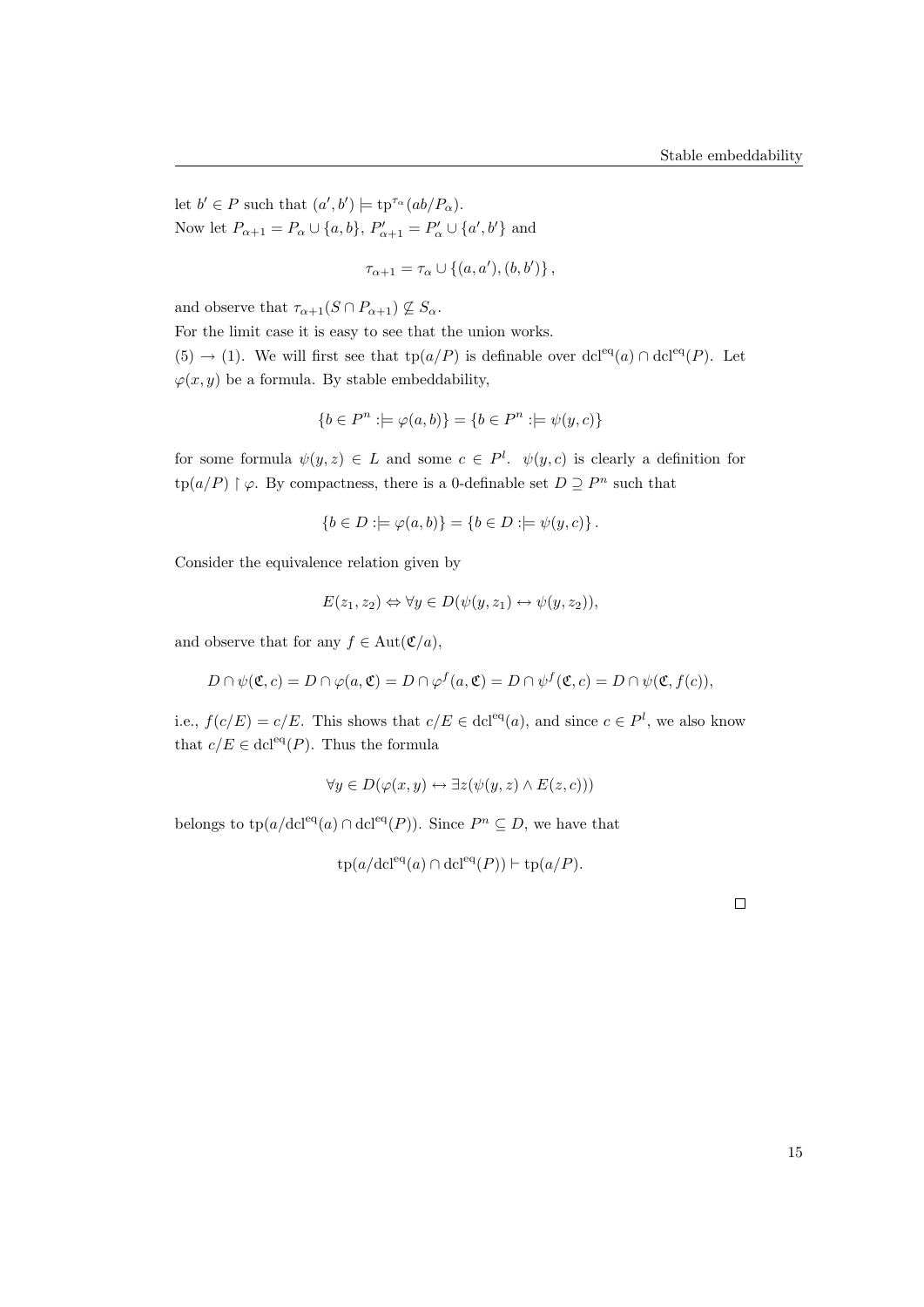let  $b' \in P$  such that  $(a', b') \models \text{tp}^{\tau_{\alpha}}(ab/P_{\alpha}).$ Now let  $P_{\alpha+1} = P_{\alpha} \cup \{a, b\}, P'_{\alpha+1} = P'_{\alpha} \cup \{a', b'\}$  and

$$
\tau_{\alpha+1} = \tau_{\alpha} \cup \{(a, a'), (b, b')\}\,,
$$

and observe that  $\tau_{\alpha+1}(S \cap P_{\alpha+1}) \nsubseteq S_\alpha$ .

For the limit case it is easy to see that the union works.

 $(5) \rightarrow (1)$ . We will first see that  $tp(a/P)$  is definable over dcl<sup>eq</sup>(a) ∩ dcl<sup>eq</sup>(P). Let  $\varphi(x, y)$  be a formula. By stable embeddability,

$$
\{b \in P^n : \models \varphi(a, b)\} = \{b \in P^n : \models \psi(y, c)\}
$$

for some formula  $\psi(y, z) \in L$  and some  $c \in P^l$ .  $\psi(y, c)$  is clearly a definition for tp( $a/P$ ) |  $\varphi$ . By compactness, there is a 0-definable set  $D \supseteq P^n$  such that

$$
\{b \in D : \models \varphi(a, b)\} = \{b \in D : \models \psi(y, c)\}.
$$

Consider the equivalence relation given by

$$
E(z_1, z_2) \Leftrightarrow \forall y \in D(\psi(y, z_1) \leftrightarrow \psi(y, z_2)),
$$

and observe that for any  $f \in Aut(\mathfrak{C}/a)$ ,

$$
D \cap \psi(\mathfrak{C},c) = D \cap \varphi(a,\mathfrak{C}) = D \cap \varphi^f(a,\mathfrak{C}) = D \cap \psi^f(\mathfrak{C},c) = D \cap \psi(\mathfrak{C},f(c)),
$$

i.e.,  $f(c/E) = c/E$ . This shows that  $c/E \in \text{dcl}^{eq}(a)$ , and since  $c \in P^l$ , we also know that  $c/E \in \text{dcl}^{\text{eq}}(P)$ . Thus the formula

$$
\forall y \in D(\varphi(x, y) \leftrightarrow \exists z (\psi(y, z) \land E(z, c)))
$$

belongs to  $tp(a/\text{dcl}^{\text{eq}}(a) \cap \text{dcl}^{\text{eq}}(P))$ . Since  $P^n \subseteq D$ , we have that

$$
tp(a/\text{dcl}^{\text{eq}}(a) \cap \text{dcl}^{\text{eq}}(P)) \vdash tp(a/P).
$$

 $\Box$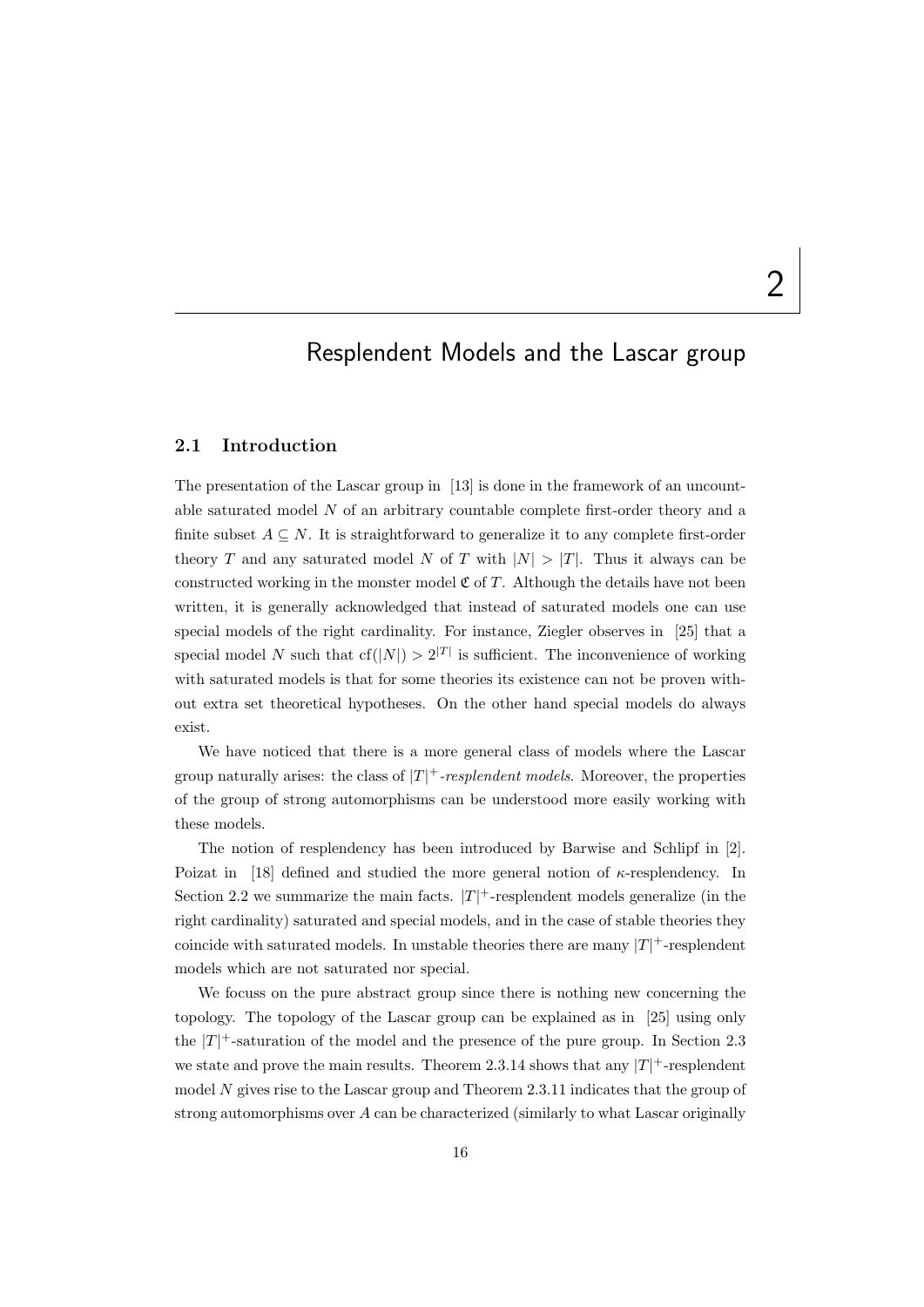## Resplendent Models and the Lascar group

#### 2.1 Introduction

The presentation of the Lascar group in [13] is done in the framework of an uncountable saturated model N of an arbitrary countable complete first-order theory and a finite subset  $A \subseteq N$ . It is straightforward to generalize it to any complete first-order theory T and any saturated model N of T with  $|N| > |T|$ . Thus it always can be constructed working in the monster model  $\mathfrak{C}$  of T. Although the details have not been written, it is generally acknowledged that instead of saturated models one can use special models of the right cardinality. For instance, Ziegler observes in [25] that a special model N such that  $cf(|N|) > 2^{|T|}$  is sufficient. The inconvenience of working with saturated models is that for some theories its existence can not be proven without extra set theoretical hypotheses. On the other hand special models do always exist.

We have noticed that there is a more general class of models where the Lascar group naturally arises: the class of  $|T|^+$ -resplendent models. Moreover, the properties of the group of strong automorphisms can be understood more easily working with these models.

The notion of resplendency has been introduced by Barwise and Schlipf in [2]. Poizat in [18] defined and studied the more general notion of  $\kappa$ -resplendency. In Section 2.2 we summarize the main facts.  $|T|$ <sup>+</sup>-resplendent models generalize (in the right cardinality) saturated and special models, and in the case of stable theories they coincide with saturated models. In unstable theories there are many  $|T|$ <sup>+</sup>-resplendent models which are not saturated nor special.

We focuss on the pure abstract group since there is nothing new concerning the topology. The topology of the Lascar group can be explained as in [25] using only the  $|T|^+$ -saturation of the model and the presence of the pure group. In Section 2.3 we state and prove the main results. Theorem 2.3.14 shows that any  $|T|$ <sup>+</sup>-resplendent model N gives rise to the Lascar group and Theorem 2.3.11 indicates that the group of strong automorphisms over A can be characterized (similarly to what Lascar originally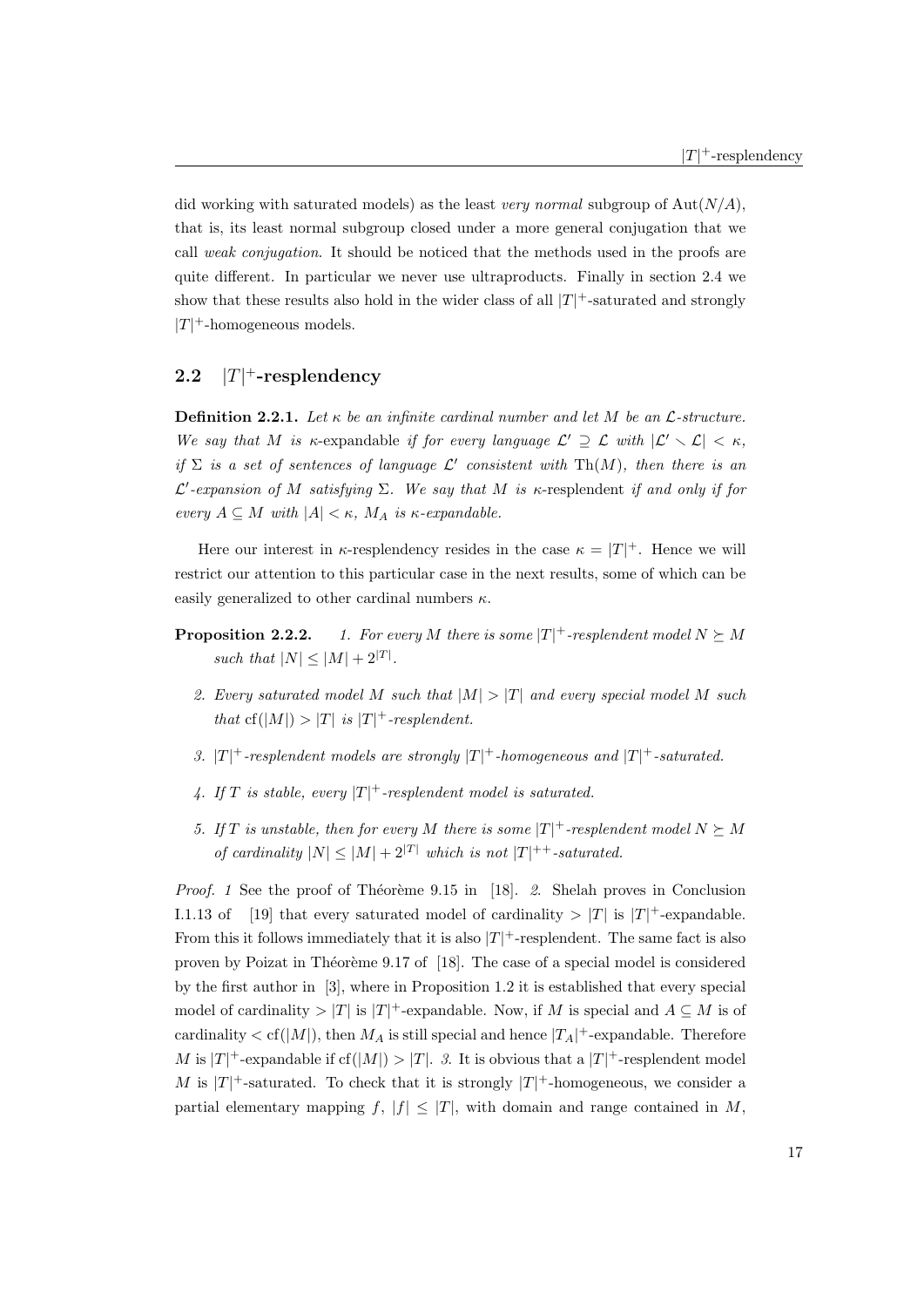did working with saturated models) as the least very normal subgroup of  $\text{Aut}(N/A)$ , that is, its least normal subgroup closed under a more general conjugation that we call weak conjugation. It should be noticed that the methods used in the proofs are quite different. In particular we never use ultraproducts. Finally in section 2.4 we show that these results also hold in the wider class of all  $|T|$ <sup>+</sup>-saturated and strongly  $|T|$ <sup>+</sup>-homogeneous models.

### 2.2  $|T|$ <sup>+</sup>-resplendency

**Definition 2.2.1.** Let  $\kappa$  be an infinite cardinal number and let M be an  $\mathcal{L}\text{-}structure$ . We say that M is  $\kappa$ -expandable if for every language  $\mathcal{L}' \supseteq \mathcal{L}$  with  $|\mathcal{L}' \setminus \mathcal{L}| < \kappa$ , if  $\Sigma$  is a set of sentences of language  $\mathcal{L}'$  consistent with Th(M), then there is an  $\mathcal{L}'$ -expansion of M satisfying  $\Sigma$ . We say that M is κ-resplendent if and only if for every  $A \subseteq M$  with  $|A| < \kappa$ ,  $M_A$  is  $\kappa$ -expandable.

Here our interest in  $\kappa$ -resplendency resides in the case  $\kappa = |T|^+$ . Hence we will restrict our attention to this particular case in the next results, some of which can be easily generalized to other cardinal numbers  $\kappa$ .

- **Proposition 2.2.2.** 1. For every M there is some  $|T|^+$ -resplendent model  $N \succeq M$ such that  $|N| \leq |M| + 2^{|T|}$ .
	- 2. Every saturated model M such that  $|M|>|T|$  and every special model M such that  $cf(|M|) > |T|$  is  $|T|$ <sup>+</sup>-resplendent.
	- 3.  $|T|^+$ -resplendent models are strongly  $|T|^+$ -homogeneous and  $|T|^+$ -saturated.
	- 4. If T is stable, every  $|T|$ <sup>+</sup>-resplendent model is saturated.
	- 5. If T is unstable, then for every M there is some  $|T|^+$ -resplendent model  $N \succeq M$ of cardinality  $|N| \leq |M| + 2^{|T|}$  which is not  $|T|^{++}$ -saturated.

*Proof.* 1 See the proof of Théorème 9.15 in  $[18]$ . 2. Shelah proves in Conclusion I.1.13 of [19] that every saturated model of cardinality  $>|T|$  is  $|T|$ <sup>+</sup>-expandable. From this it follows immediately that it is also  $|T|$ <sup>+</sup>-resplendent. The same fact is also proven by Poizat in Théorème 9.17 of [18]. The case of a special model is considered by the first author in [3], where in Proposition 1.2 it is established that every special model of cardinality  $>|T|$  is  $|T|^+$ -expandable. Now, if M is special and  $A \subseteq M$  is of cardinality  $<$  cf(|M|), then  $M_A$  is still special and hence  $|T_A|$ <sup>+</sup>-expandable. Therefore M is  $|T|^+$ -expandable if  $cf(|M|) > |T|$ . 3. It is obvious that a  $|T|^+$ -resplendent model M is  $|T|^+$ -saturated. To check that it is strongly  $|T|^+$ -homogeneous, we consider a partial elementary mapping  $f, |f| \leq |T|$ , with domain and range contained in M,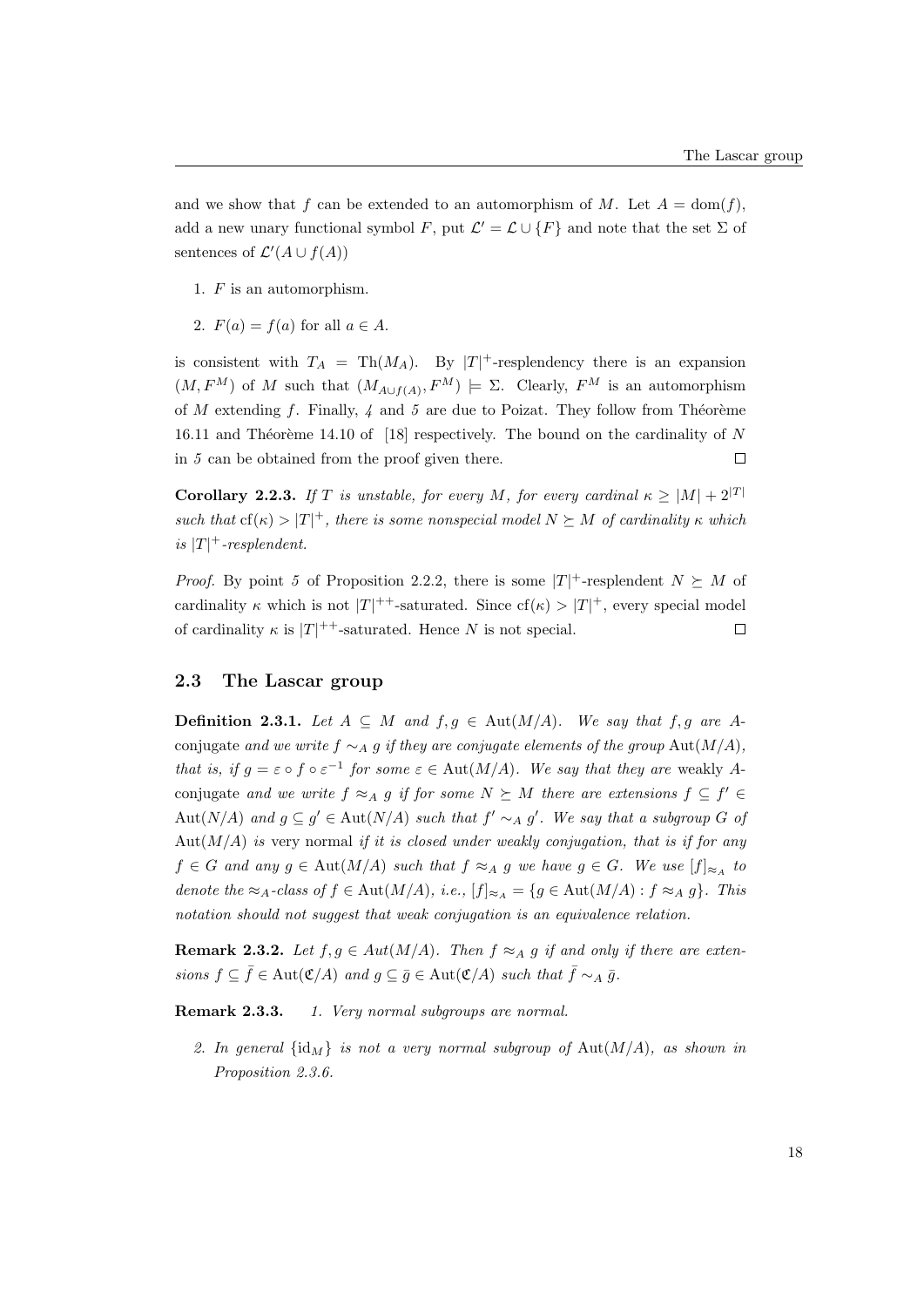and we show that f can be extended to an automorphism of M. Let  $A = \text{dom}(f)$ , add a new unary functional symbol F, put  $\mathcal{L}' = \mathcal{L} \cup \{F\}$  and note that the set  $\Sigma$  of sentences of  $\mathcal{L}'(A \cup f(A))$ 

- 1. F is an automorphism.
- 2.  $F(a) = f(a)$  for all  $a \in A$ .

is consistent with  $T_A = \text{Th}(M_A)$ . By  $|T|^+$ -resplendency there is an expansion  $(M, F^M)$  of M such that  $(M_{A\cup f(A)}, F^M) \models \Sigma$ . Clearly,  $F^M$  is an automorphism of M extending f. Finally,  $\lambda$  and 5 are due to Poizat. They follow from Théorème 16.11 and Théorème 14.10 of [18] respectively. The bound on the cardinality of  $N$ in 5 can be obtained from the proof given there.  $\Box$ 

**Corollary 2.2.3.** If T is unstable, for every M, for every cardinal  $\kappa \geq |M| + 2^{|T|}$ such that  $cf(\kappa) > |T|^+$ , there is some nonspecial model  $N \succeq M$  of cardinality  $\kappa$  which is  $|T|$ <sup>+</sup>-resplendent.

*Proof.* By point 5 of Proposition 2.2.2, there is some  $|T|$ <sup>+</sup>-resplendent  $N \succeq M$  of cardinality  $\kappa$  which is not  $|T|^{++}$ -saturated. Since  $cf(\kappa) > |T|^+$ , every special model of cardinality  $\kappa$  is  $|T|^{++}$ -saturated. Hence N is not special.  $\Box$ 

#### 2.3 The Lascar group

**Definition 2.3.1.** Let  $A \subseteq M$  and  $f, g \in Aut(M/A)$ . We say that  $f, g$  are Aconjugate and we write  $f \sim_A g$  if they are conjugate elements of the group Aut(M/A), that is, if  $g = \varepsilon \circ f \circ \varepsilon^{-1}$  for some  $\varepsilon \in \text{Aut}(M/A)$ . We say that they are weakly Aconjugate and we write  $f \approx_A g$  if for some  $N \succeq M$  there are extensions  $f \subseteq f' \in$ Aut(N/A) and  $g \subseteq g' \in Aut(N/A)$  such that  $f' \sim_A g'$ . We say that a subgroup G of Aut $(M/A)$  is very normal if it is closed under weakly conjugation, that is if for any  $f \in G$  and any  $g \in \text{Aut}(M/A)$  such that  $f \approx_A g$  we have  $g \in G$ . We use  $[f]_{\approx_A}$  to denote the  $\approx_A$ -class of  $f \in \text{Aut}(M/A)$ , i.e.,  $[f]_{\approx_A} = \{g \in \text{Aut}(M/A) : f \approx_A g\}$ . This notation should not suggest that weak conjugation is an equivalence relation.

**Remark 2.3.2.** Let  $f, g \in Aut(M/A)$ . Then  $f \approx_A g$  if and only if there are extensions  $f \subseteq \overline{f} \in \text{Aut}(\mathfrak{C}/A)$  and  $g \subseteq \overline{g} \in \text{Aut}(\mathfrak{C}/A)$  such that  $\overline{f} \sim_A \overline{g}$ .

Remark 2.3.3. 1. Very normal subgroups are normal.

2. In general  $\{id_M\}$  is not a very normal subgroup of  $Aut(M/A)$ , as shown in Proposition 2.3.6.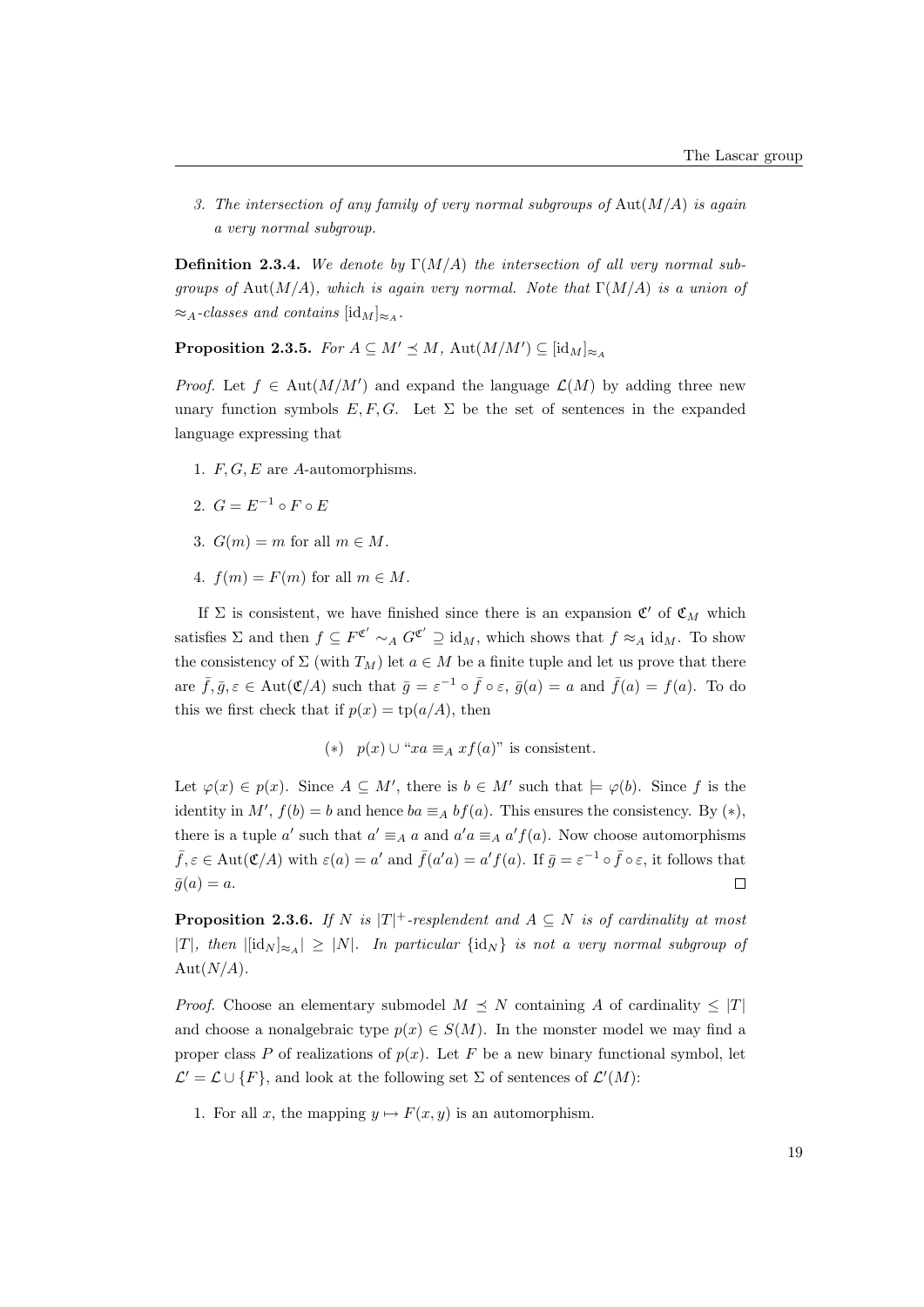3. The intersection of any family of very normal subgroups of  $\text{Aut}(M/A)$  is again a very normal subgroup.

**Definition 2.3.4.** We denote by  $\Gamma(M/A)$  the intersection of all very normal subgroups of Aut $(M/A)$ , which is again very normal. Note that  $\Gamma(M/A)$  is a union of  $\approx_A$ -classes and contains  $[\mathrm{id}_M]_{\approx_A}$ .

**Proposition 2.3.5.** For  $A \subseteq M' \preceq M$ ,  $Aut(M/M') \subseteq [id_M]_{\approx_A}$ 

*Proof.* Let  $f \in Aut(M/M')$  and expand the language  $\mathcal{L}(M)$  by adding three new unary function symbols  $E, F, G$ . Let  $\Sigma$  be the set of sentences in the expanded language expressing that

- 1.  $F, G, E$  are A-automorphisms.
- 2.  $G = E^{-1} \circ F \circ E$
- 3.  $G(m) = m$  for all  $m \in M$ .
- 4.  $f(m) = F(m)$  for all  $m \in M$ .

If  $\Sigma$  is consistent, we have finished since there is an expansion  $\mathfrak{C}'$  of  $\mathfrak{C}_M$  which satisfies  $\Sigma$  and then  $f \subseteq F^{\mathfrak{C}'} \sim_A G^{\mathfrak{C}'} \supseteq id_M$ , which shows that  $f \approx_A id_M$ . To show the consistency of  $\Sigma$  (with  $T_M$ ) let  $a \in M$  be a finite tuple and let us prove that there are  $\bar{f}, \bar{g}, \varepsilon \in \text{Aut}(\mathfrak{C}/A)$  such that  $\bar{g} = \varepsilon^{-1} \circ \bar{f} \circ \varepsilon$ ,  $\bar{g}(a) = a$  and  $\bar{f}(a) = f(a)$ . To do this we first check that if  $p(x) = \text{tp}(a/A)$ , then

(\*) 
$$
p(x) \cup "xa \equiv_A x f(a)"
$$
 is consistent.

Let  $\varphi(x) \in p(x)$ . Since  $A \subseteq M'$ , there is  $b \in M'$  such that  $\models \varphi(b)$ . Since f is the identity in  $M'$ ,  $f(b) = b$  and hence  $ba \equiv_A bf(a)$ . This ensures the consistency. By (\*), there is a tuple a' such that  $a' \equiv_A a$  and  $a'a \equiv_A a' f(a)$ . Now choose automorphisms  $\bar{f}, \varepsilon \in \text{Aut}(\mathfrak{C}/A)$  with  $\varepsilon(a) = a'$  and  $\bar{f}(a'a) = a' f(a)$ . If  $\bar{g} = \varepsilon^{-1} \circ \bar{f} \circ \varepsilon$ , it follows that  $\overline{q}(a) = a.$  $\Box$ 

**Proposition 2.3.6.** If N is  $|T|$ <sup>+</sup>-resplendent and  $A \subseteq N$  is of cardinality at most |T|, then  $\left|\left[\mathrm{id}_N\right]_{\approx A}\right|\geq \left|N\right|$ . In particular  $\{\mathrm{id}_N\}$  is not a very normal subgroup of  $Aut(N/A).$ 

*Proof.* Choose an elementary submodel  $M \preceq N$  containing A of cardinality  $\leq |T|$ and choose a nonalgebraic type  $p(x) \in S(M)$ . In the monster model we may find a proper class P of realizations of  $p(x)$ . Let F be a new binary functional symbol, let  $\mathcal{L}' = \mathcal{L} \cup \{F\}$ , and look at the following set  $\Sigma$  of sentences of  $\mathcal{L}'(M)$ :

1. For all x, the mapping  $y \mapsto F(x, y)$  is an automorphism.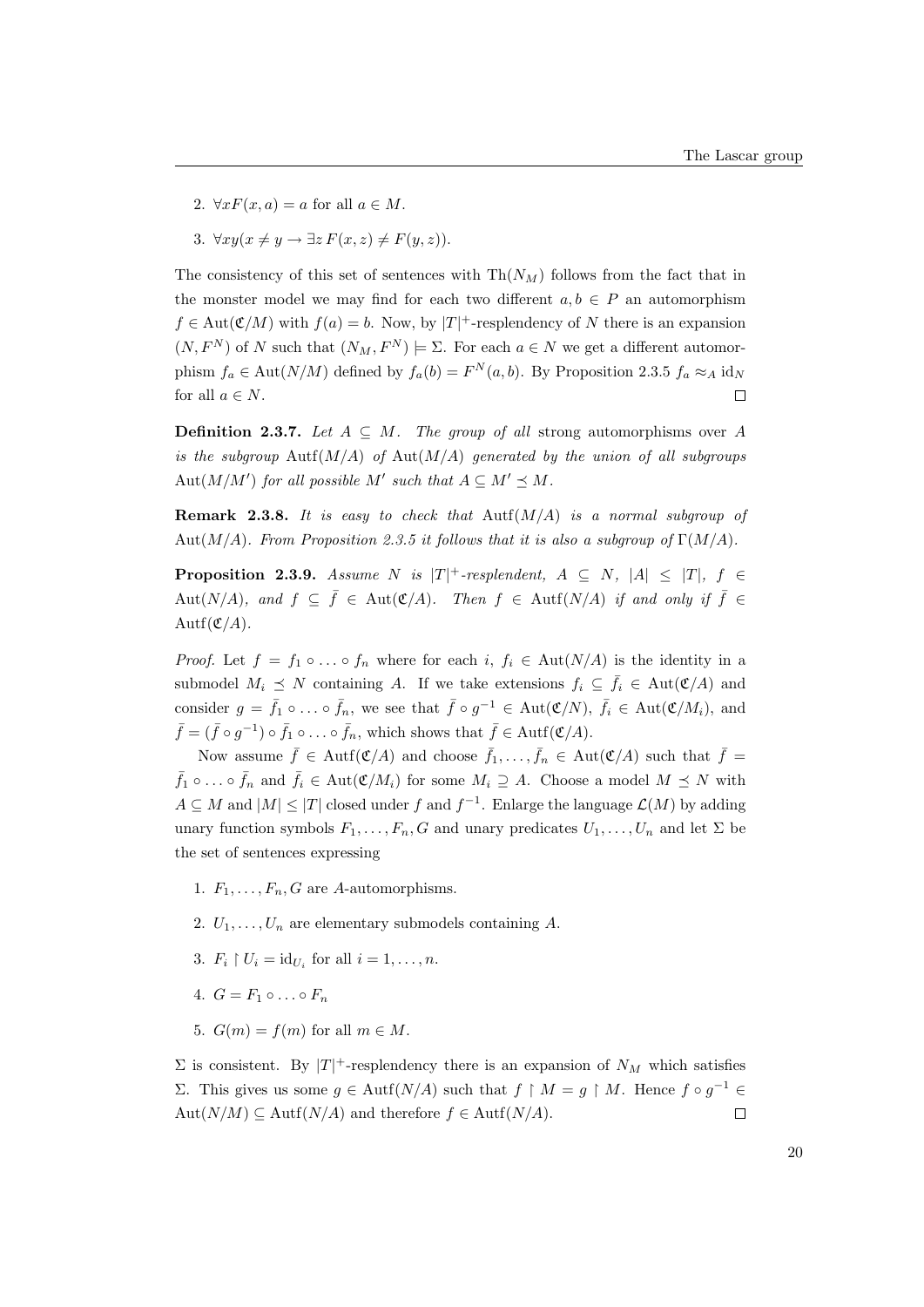- 2.  $\forall x F(x,a) = a$  for all  $a \in M$ .
- 3.  $\forall x u(x \neq u \rightarrow \exists z F(x, z) \neq F(u, z)).$

The consistency of this set of sentences with  $\text{Th}(N_M)$  follows from the fact that in the monster model we may find for each two different  $a, b \in P$  an automorphism  $f \in \text{Aut}(\mathfrak{C}/M)$  with  $f(a) = b$ . Now, by  $|T|^+$ -resplendency of N there is an expansion  $(N, F^N)$  of N such that  $(N_M, F^N) \models \Sigma$ . For each  $a \in N$  we get a different automorphism  $f_a \in \text{Aut}(N/M)$  defined by  $f_a(b) = F^N(a, b)$ . By Proposition 2.3.5  $f_a \approx_A id_N$ for all  $a \in N$ .  $\Box$ 

**Definition 2.3.7.** Let  $A \subseteq M$ . The group of all strong automorphisms over A is the subgroup Autf $(M/A)$  of Aut $(M/A)$  generated by the union of all subgroups Aut $(M/M')$  for all possible M' such that  $A \subseteq M' \preceq M$ .

**Remark 2.3.8.** It is easy to check that  $Aut(M/A)$  is a normal subgroup of Aut(M/A). From Proposition 2.3.5 it follows that it is also a subgroup of  $\Gamma(M/A)$ .

**Proposition 2.3.9.** Assume N is  $|T|^+$ -resplendent,  $A \subseteq N$ ,  $|A| \leq |T|$ ,  $f \in$ Aut(N/A), and  $f \subseteq \overline{f} \in$  Aut(C/A). Then  $f \in$  Autf(N/A) if and only if  $\overline{f} \in$ Autf $({\mathfrak C}/A)$ .

*Proof.* Let  $f = f_1 \circ \ldots \circ f_n$  where for each  $i, f_i \in Aut(N/A)$  is the identity in a submodel  $M_i \preceq N$  containing A. If we take extensions  $f_i \subseteq \bar{f}_i \in \text{Aut}(\mathfrak{C}/A)$  and consider  $g = \bar{f}_1 \circ \ldots \circ \bar{f}_n$ , we see that  $\bar{f} \circ g^{-1} \in \text{Aut}(\mathfrak{C}/N)$ ,  $\bar{f}_i \in \text{Aut}(\mathfrak{C}/M_i)$ , and  $\bar{f} = (\bar{f} \circ g^{-1}) \circ \bar{f}_1 \circ \ldots \circ \bar{f}_n$ , which shows that  $\bar{f} \in \text{Autf}(\mathfrak{C}/A)$ .

Now assume  $\bar{f} \in \text{Aut}(\mathfrak{C}/A)$  and choose  $\bar{f}_1, \ldots, \bar{f}_n \in \text{Aut}(\mathfrak{C}/A)$  such that  $\bar{f} =$  $\bar{f}_1 \circ \ldots \circ \bar{f}_n$  and  $\bar{f}_i \in \text{Aut}(\mathfrak{C}/M_i)$  for some  $M_i \supseteq A$ . Choose a model  $M \preceq N$  with  $A \subseteq M$  and  $|M| \leq |T|$  closed under f and  $f^{-1}$ . Enlarge the language  $\mathcal{L}(M)$  by adding unary function symbols  $F_1, \ldots, F_n, G$  and unary predicates  $U_1, \ldots, U_n$  and let  $\Sigma$  be the set of sentences expressing

- 1.  $F_1, \ldots, F_n, G$  are A-automorphisms.
- 2.  $U_1, \ldots, U_n$  are elementary submodels containing A.
- 3.  $F_i \restriction U_i = \text{id}_{U_i}$  for all  $i = 1, \ldots, n$ .
- 4.  $G = F_1 \circ \ldots \circ F_n$
- 5.  $G(m) = f(m)$  for all  $m \in M$ .

 $\Sigma$  is consistent. By  $|T|^+$ -resplendency there is an expansion of  $N_M$  which satisfies Σ. This gives us some  $g \in \text{Autf}(N/A)$  such that  $f \restriction M = g \restriction M$ . Hence  $f \circ g^{-1}$  ∈ Aut $(N/M) \subset$  Autf $(N/A)$  and therefore  $f \in$  Autf $(N/A)$ .  $\Box$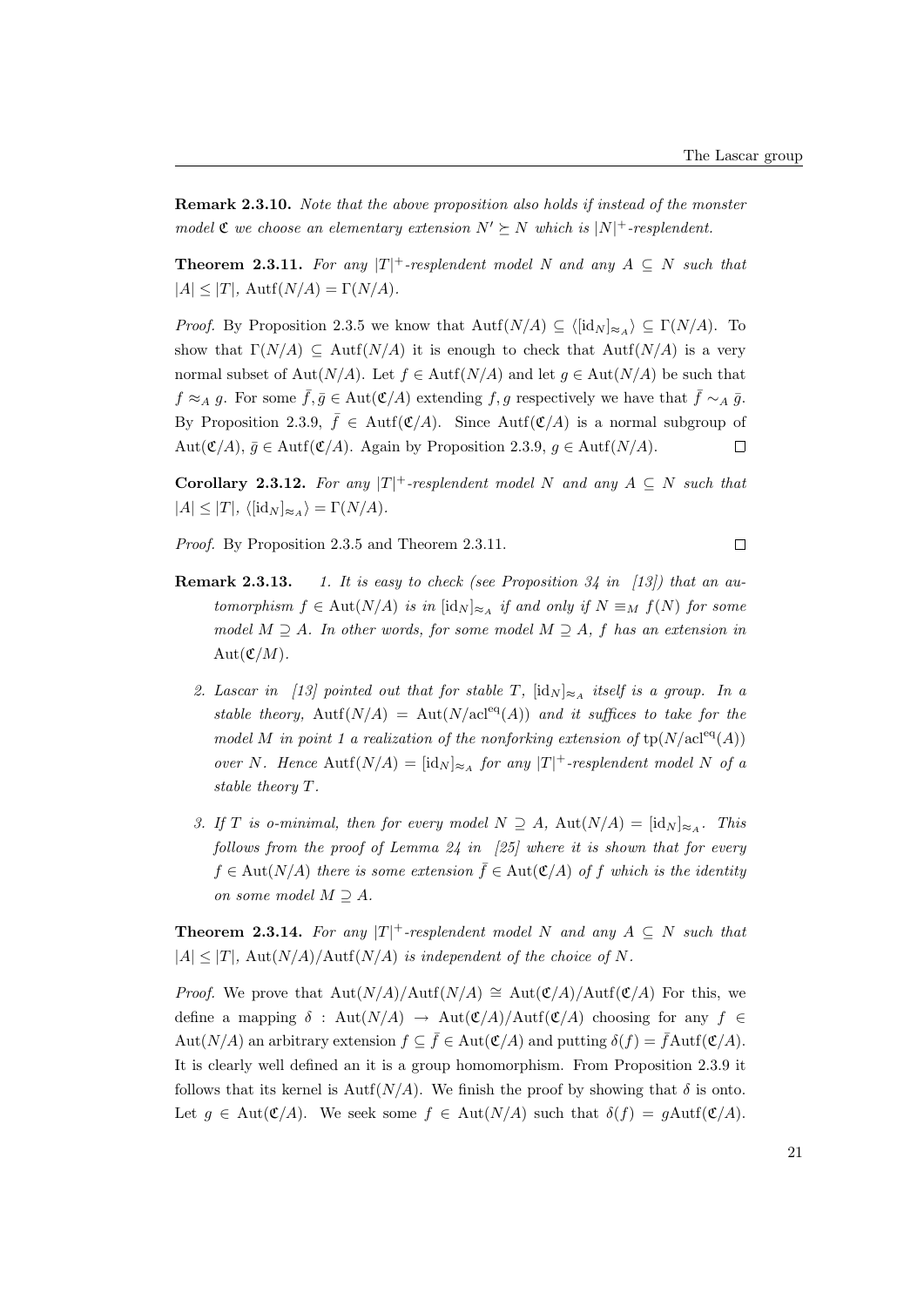$\Box$ 

Remark 2.3.10. Note that the above proposition also holds if instead of the monster model  $\mathfrak C$  we choose an elementary extension  $N' \succeq N$  which is  $|N|$ <sup>+</sup>-resplendent.

**Theorem 2.3.11.** For any  $|T|^+$ -resplendent model N and any  $A \subseteq N$  such that  $|A| \leq |T|$ ,  $\mathrm{Aut}f(N/A) = \Gamma(N/A)$ .

*Proof.* By Proposition 2.3.5 we know that  $\text{Autf}(N/A) \subseteq \langle [\text{id}_N]_{\approx_A} \rangle \subseteq \Gamma(N/A)$ . To show that  $\Gamma(N/A) \subseteq \text{Autf}(N/A)$  it is enough to check that  $\text{Autf}(N/A)$  is a very normal subset of Aut $(N/A)$ . Let  $f \in \text{Aut}(N/A)$  and let  $g \in \text{Aut}(N/A)$  be such that  $f \approx_A g$ . For some  $\bar{f}, \bar{g} \in Aut(\mathfrak{C}/A)$  extending f, g respectively we have that  $\bar{f} \sim_A \bar{g}$ . By Proposition 2.3.9,  $\bar{f} \in \text{Autf}(\mathfrak{C}/A)$ . Since  $\text{Autf}(\mathfrak{C}/A)$  is a normal subgroup of Aut $(\mathfrak{C}/A), \bar{g} \in \text{Aut}(\mathfrak{C}/A)$ . Again by Proposition 2.3.9,  $g \in \text{Aut}(\mathfrak{N}/A)$ .  $\Box$ 

**Corollary 2.3.12.** For any  $|T|^+$ -resplendent model N and any  $A \subseteq N$  such that  $|A| \leq |T|, \langle [\mathrm{id}_N]_{\approx_A} \rangle = \Gamma(N/A).$ 

Proof. By Proposition 2.3.5 and Theorem 2.3.11.

**Remark 2.3.13.** 1. It is easy to check (see Proposition 34 in [13]) that an automorphism  $f \in Aut(N/A)$  is in  $[\mathrm{id}_N]_{\approx_A}$  if and only if  $N \equiv_M f(N)$  for some model  $M \supseteq A$ . In other words, for some model  $M \supseteq A$ , f has an extension in  $Aut(\mathfrak{C}/M).$ 

- 2. Lascar in [13] pointed out that for stable T,  $[\text{id}_N]_{\approx_A}$  itself is a group. In a stable theory,  $Aut(N/A) = Aut(N/act<sup>eq</sup>(A))$  and it suffices to take for the model M in point 1 a realization of the nonforking extension of  $tp(N/\text{acl}^{eq}(A))$ over N. Hence Autf $(N/A) = [\mathrm{id}_N]_{\approx_A}$  for any  $|T|^+$ -resplendent model N of a stable theory T.
- 3. If T is o-minimal, then for every model  $N \supseteq A$ ,  $Aut(N/A) = [id_N]_{\approx A}$ . This follows from the proof of Lemma  $24$  in [25] where it is shown that for every  $f \in \text{Aut}(N/A)$  there is some extension  $\overline{f} \in \text{Aut}(\mathfrak{C}/A)$  of f which is the identity on some model  $M \supseteq A$ .

**Theorem 2.3.14.** For any  $|T|$ <sup>+</sup>-resplendent model N and any  $A \subseteq N$  such that  $|A| \leq |T|$ , Aut $(N/A)/$ Autf $(N/A)$  is independent of the choice of N.

*Proof.* We prove that  $\text{Aut}(N/A)/\text{Autf}(N/A) \cong \text{Aut}(\mathfrak{C}/A)/\text{Autf}(\mathfrak{C}/A)$  For this, we define a mapping  $\delta$ : Aut $(N/A) \rightarrow$  Aut $(\mathfrak{C}/A)/$ Autf $(\mathfrak{C}/A)$  choosing for any  $f \in$ Aut $(N/A)$  an arbitrary extension  $f \subseteq \overline{f} \in \text{Aut}(\mathfrak{C}/A)$  and putting  $\delta(f) = \overline{f} \text{Aut}(\mathfrak{C}/A)$ . It is clearly well defined an it is a group homomorphism. From Proposition 2.3.9 it follows that its kernel is Autf( $N/A$ ). We finish the proof by showing that  $\delta$  is onto. Let  $q \in \text{Aut}(\mathfrak{C}/A)$ . We seek some  $f \in \text{Aut}(N/A)$  such that  $\delta(f) = q\text{Aut}(\mathfrak{C}/A)$ .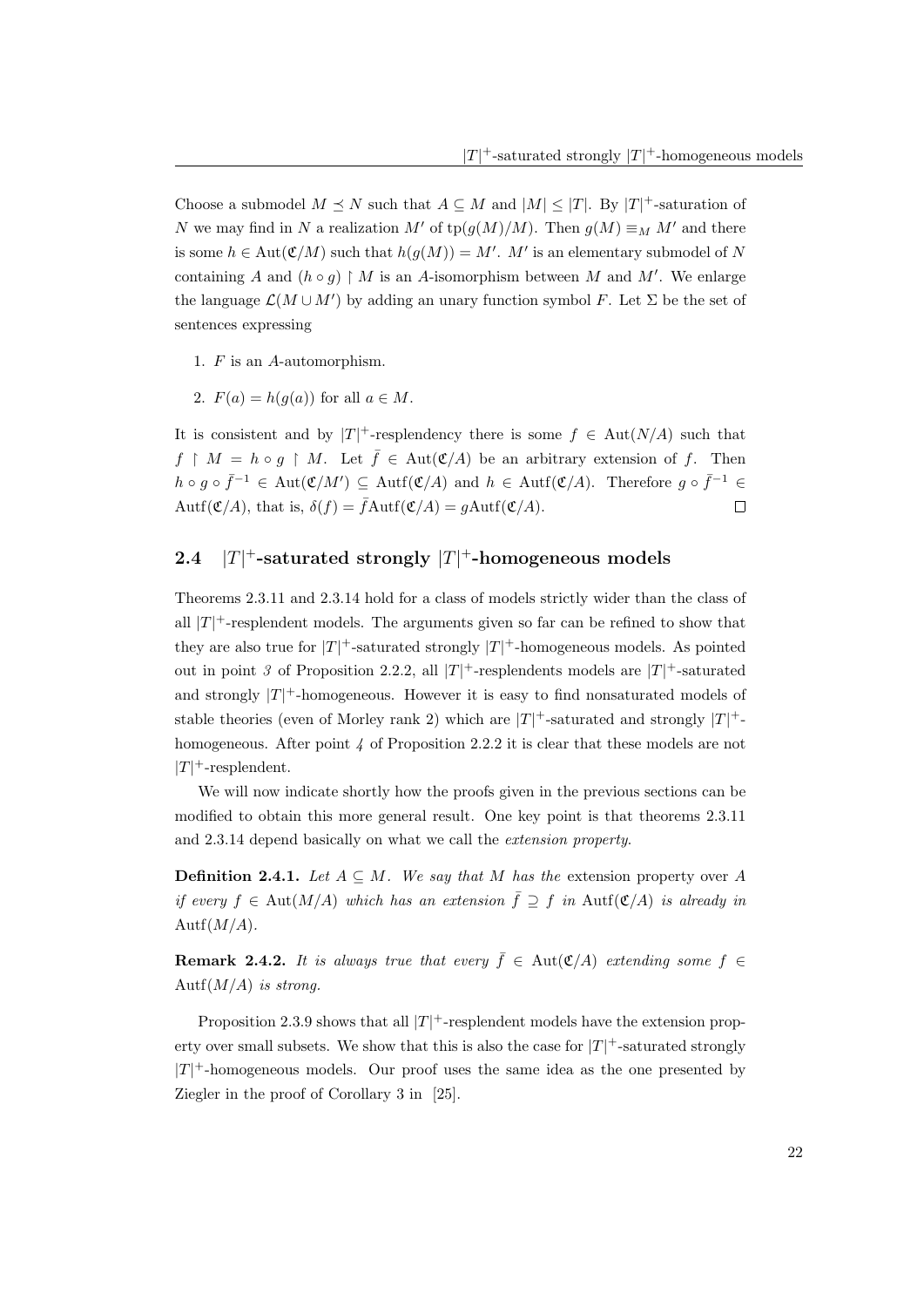Choose a submodel  $M \leq N$  such that  $A \subseteq M$  and  $|M| \leq |T|$ . By  $|T|$ <sup>+</sup>-saturation of N we may find in N a realization M' of  $\text{tp}(g(M)/M)$ . Then  $g(M) \equiv_M M'$  and there is some  $h \in Aut(\mathfrak{C}/M)$  such that  $h(g(M)) = M'$ . M' is an elementary submodel of N containing A and  $(h \circ g) \upharpoonright M$  is an A-isomorphism between M and M'. We enlarge the language  $\mathcal{L}(M \cup M')$  by adding an unary function symbol F. Let  $\Sigma$  be the set of sentences expressing

- 1. F is an A-automorphism.
- 2.  $F(a) = h(q(a))$  for all  $a \in M$ .

It is consistent and by  $|T|^+$ -resplendency there is some  $f \in Aut(N/A)$  such that  $f \restriction M = h \circ g \restriction M$ . Let  $\bar{f} \in Aut(\mathfrak{C}/A)$  be an arbitrary extension of f. Then  $h \circ g \circ \bar{f}^{-1} \in \text{Aut}(\mathfrak{C}/M') \subseteq \text{Autf}(\mathfrak{C}/A)$  and  $h \in \text{Autf}(\mathfrak{C}/A)$ . Therefore  $g \circ \bar{f}^{-1} \in$ Autf( $\mathfrak{C}/A$ ), that is,  $\delta(f) = \bar{f}$ Autf( $\mathfrak{C}/A$ ) = gAutf( $\mathfrak{C}/A$ ).  $\Box$ 

### 2.4  $|T|^+$ -saturated strongly  $|T|^+$ -homogeneous models

Theorems 2.3.11 and 2.3.14 hold for a class of models strictly wider than the class of all  $|T|^+$ -resplendent models. The arguments given so far can be refined to show that they are also true for  $|T|^+$ -saturated strongly  $|T|^+$ -homogeneous models. As pointed out in point 3 of Proposition 2.2.2, all  $|T|$ <sup>+</sup>-resplendents models are  $|T|$ <sup>+</sup>-saturated and strongly  $|T|^+$ -homogeneous. However it is easy to find nonsaturated models of stable theories (even of Morley rank 2) which are  $|T|$ <sup>+</sup>-saturated and strongly  $|T|$ <sup>+</sup>homogeneous. After point 4 of Proposition 2.2.2 it is clear that these models are not  $|T|$ <sup>+</sup>-resplendent.

We will now indicate shortly how the proofs given in the previous sections can be modified to obtain this more general result. One key point is that theorems 2.3.11 and 2.3.14 depend basically on what we call the extension property.

**Definition 2.4.1.** Let  $A \subseteq M$ . We say that M has the extension property over A if every  $f \in Aut(M/A)$  which has an extension  $\overline{f} \supseteq f$  in  $Aut(\mathfrak{C}/A)$  is already in Autf $(M/A)$ .

**Remark 2.4.2.** It is always true that every  $\bar{f} \in$  Aut $(\mathfrak{C}/A)$  extending some  $f \in$ Autf $(M/A)$  is strong.

Proposition 2.3.9 shows that all  $|T|$ <sup>+</sup>-resplendent models have the extension property over small subsets. We show that this is also the case for  $|T|$ <sup>+</sup>-saturated strongly  $|T|$ <sup>+</sup>-homogeneous models. Our proof uses the same idea as the one presented by Ziegler in the proof of Corollary 3 in [25].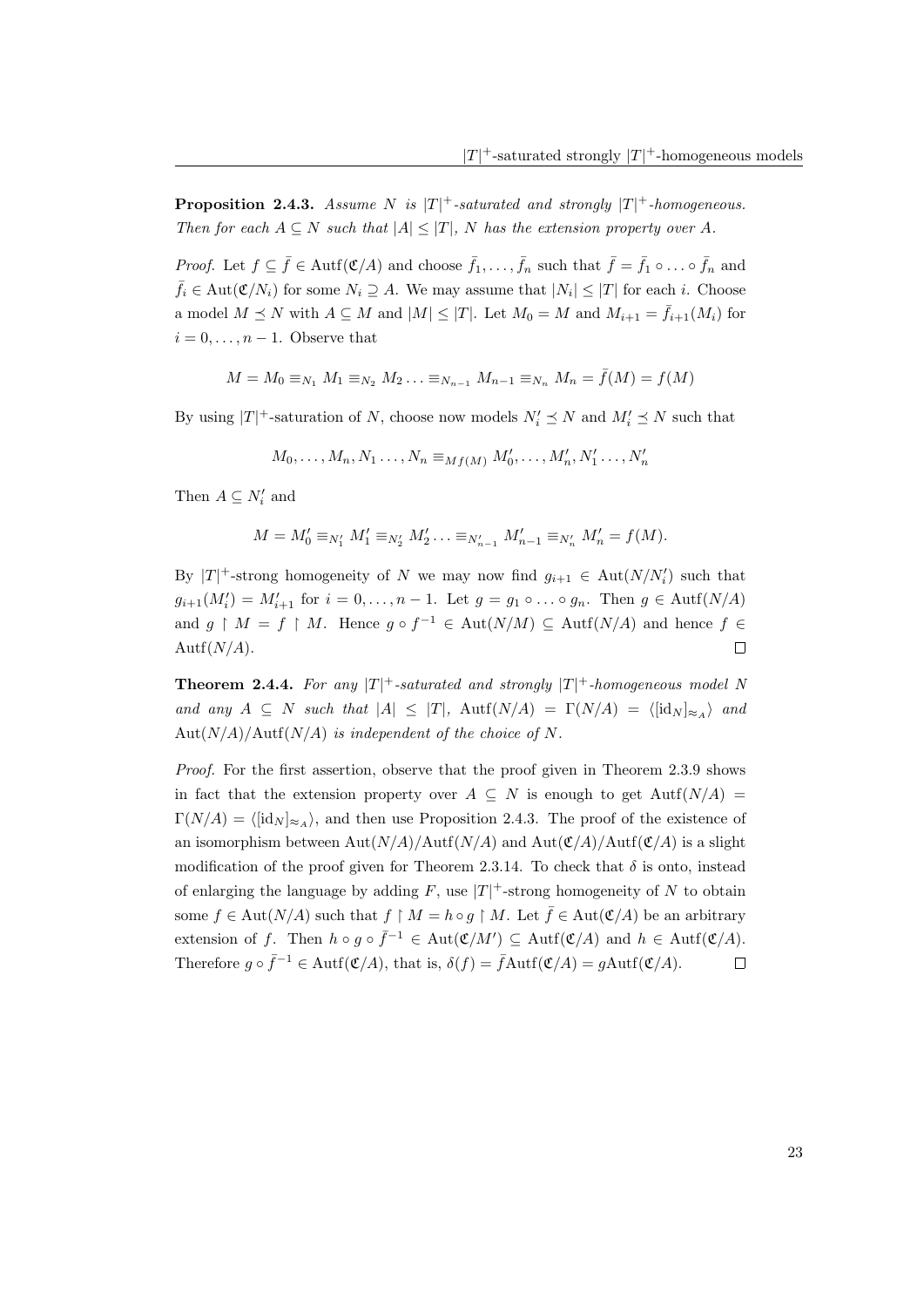**Proposition 2.4.3.** Assume N is  $|T|^+$ -saturated and strongly  $|T|^+$ -homogeneous. Then for each  $A \subseteq N$  such that  $|A| \leq |T|$ , N has the extension property over A.

*Proof.* Let  $f \subseteq \overline{f} \in \text{Autf}(\mathfrak{C}/A)$  and choose  $\overline{f}_1, \ldots, \overline{f}_n$  such that  $\overline{f} = \overline{f}_1 \circ \ldots \circ \overline{f}_n$  and  $\bar{f}_i \in \text{Aut}(\mathfrak{C}/N_i)$  for some  $N_i \supseteq A$ . We may assume that  $|N_i| \leq |T|$  for each i. Choose a model  $M \preceq N$  with  $A \subseteq M$  and  $|M| \leq |T|$ . Let  $M_0 = M$  and  $M_{i+1} = \overline{f}_{i+1}(M_i)$  for  $i = 0, \ldots, n-1$ . Observe that

$$
M = M_0 \equiv_{N_1} M_1 \equiv_{N_2} M_2 \ldots \equiv_{N_{n-1}} M_{n-1} \equiv_{N_n} M_n = \bar{f}(M) = f(M)
$$

By using  $|T|^+$ -saturation of N, choose now models  $N'_i \leq N$  and  $M'_i \leq N$  such that

$$
M_0, \ldots, M_n, N_1, \ldots, N_n \equiv_{Mf(M)} M'_0, \ldots, M'_n, N'_1, \ldots, N'_n
$$

Then  $A \subseteq N'_i$  and

$$
M = M'_0 \equiv_{N'_1} M'_1 \equiv_{N'_2} M'_2 \dots \equiv_{N'_{n-1}} M'_{n-1} \equiv_{N'_n} M'_n = f(M).
$$

By  $|T|^+$ -strong homogeneity of N we may now find  $g_{i+1} \in \text{Aut}(N/N'_i)$  such that  $g_{i+1}(M'_i) = M'_{i+1}$  for  $i = 0, \ldots, n-1$ . Let  $g = g_1 \circ \ldots \circ g_n$ . Then  $g \in \text{Autf}(N/A)$ and  $g \restriction M = f \restriction M$ . Hence  $g \circ f^{-1} \in Aut(N/M) \subseteq Aut(N/A)$  and hence  $f \in$ Aut $f(N/A)$ .  $\Box$ 

**Theorem 2.4.4.** For any  $|T|^+$ -saturated and strongly  $|T|^+$ -homogeneous model N and any  $A \subseteq N$  such that  $|A| \leq |T|$ ,  $\text{Autf}(N/A) = \Gamma(N/A) = \langle \frac{\text{Id}_N}{\text{Id}_N} \rangle$  and  $Aut(N/A)/Aut(N/A)$  is independent of the choice of N.

Proof. For the first assertion, observe that the proof given in Theorem 2.3.9 shows in fact that the extension property over  $A \subseteq N$  is enough to get  $Aut(N/A) =$  $\Gamma(N/A) = \langle [id_N]_{\approx_A} \rangle$ , and then use Proposition 2.4.3. The proof of the existence of an isomorphism between  $\text{Aut}(N/A)/\text{Aut}f(N/A)$  and  $\text{Aut}(\mathfrak{C}/A)/\text{Aut}f(\mathfrak{C}/A)$  is a slight modification of the proof given for Theorem 2.3.14. To check that  $\delta$  is onto, instead of enlarging the language by adding  $F$ , use  $|T|^+$ -strong homogeneity of N to obtain some  $f \in \text{Aut}(N/A)$  such that  $f \upharpoonright M = h \circ g \upharpoonright M$ . Let  $\overline{f} \in \text{Aut}(\mathfrak{C}/A)$  be an arbitrary extension of f. Then  $h \circ g \circ \bar{f}^{-1} \in \text{Aut}(\mathfrak{C}/M') \subseteq \text{Aut}(\mathfrak{C}/A)$  and  $h \in \text{Aut}(\mathfrak{C}/A)$ . Therefore  $g \circ \bar{f}^{-1} \in \text{Autf}(\mathfrak{C}/A)$ , that is,  $\delta(f) = \bar{f} \text{Autf}(\mathfrak{C}/A) = g \text{Autf}(\mathfrak{C}/A)$ .  $\Box$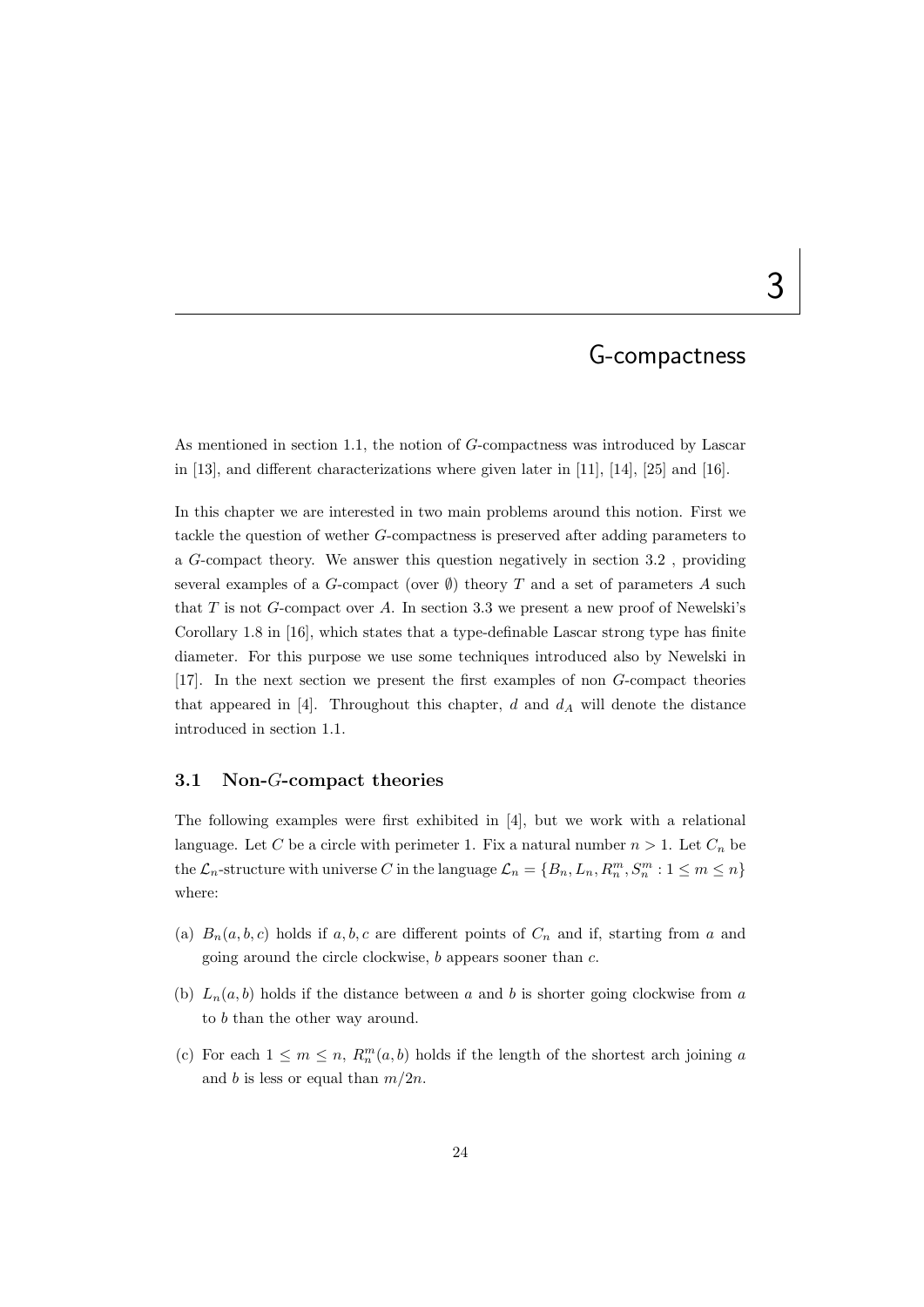## G-compactness

As mentioned in section 1.1, the notion of G-compactness was introduced by Lascar in [13], and different characterizations where given later in [11], [14], [25] and [16].

In this chapter we are interested in two main problems around this notion. First we tackle the question of wether G-compactness is preserved after adding parameters to a G-compact theory. We answer this question negatively in section 3.2 , providing several examples of a G-compact (over  $\emptyset$ ) theory T and a set of parameters A such that  $T$  is not  $G$ -compact over  $A$ . In section 3.3 we present a new proof of Newelski's Corollary 1.8 in [16], which states that a type-definable Lascar strong type has finite diameter. For this purpose we use some techniques introduced also by Newelski in [17]. In the next section we present the first examples of non G-compact theories that appeared in [4]. Throughout this chapter, d and  $d_A$  will denote the distance introduced in section 1.1.

#### 3.1 Non-G-compact theories

The following examples were first exhibited in [4], but we work with a relational language. Let C be a circle with perimeter 1. Fix a natural number  $n > 1$ . Let  $C_n$  be the  $\mathcal{L}_n$ -structure with universe C in the language  $\mathcal{L}_n = \{B_n, L_n, R_n^m, S_n^m : 1 \leq m \leq n\}$ where:

- (a)  $B_n(a, b, c)$  holds if a, b, c are different points of  $C_n$  and if, starting from a and going around the circle clockwise, b appears sooner than c.
- (b)  $L_n(a, b)$  holds if the distance between a and b is shorter going clockwise from a to b than the other way around.
- (c) For each  $1 \leq m \leq n$ ,  $R_n^m(a, b)$  holds if the length of the shortest arch joining a and b is less or equal than  $m/2n$ .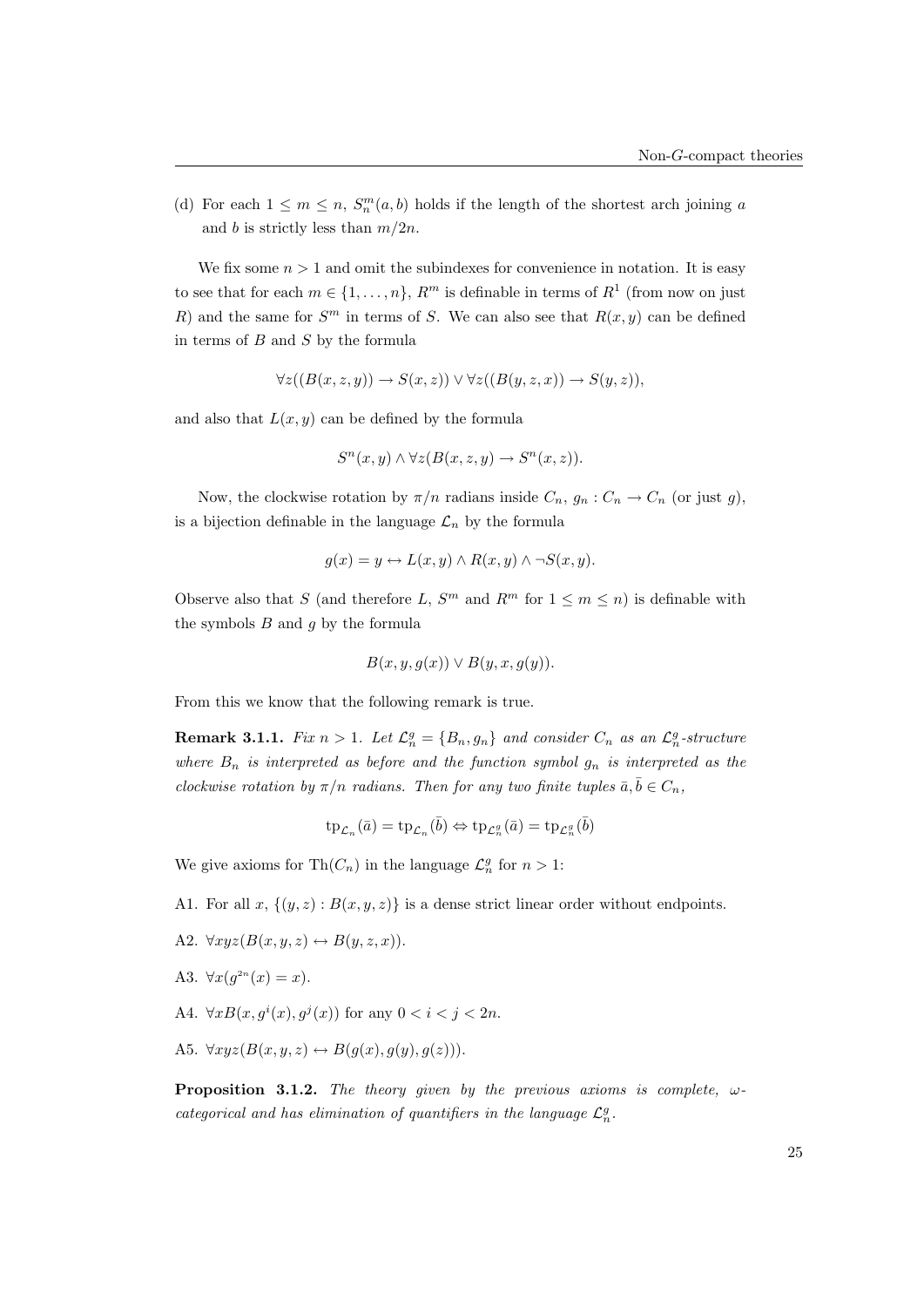(d) For each  $1 \leq m \leq n$ ,  $S_n^m(a, b)$  holds if the length of the shortest arch joining a and b is strictly less than  $m/2n$ .

We fix some  $n > 1$  and omit the subindexes for convenience in notation. It is easy to see that for each  $m \in \{1, \ldots, n\}$ ,  $R^m$  is definable in terms of  $R^1$  (from now on just R) and the same for  $S<sup>m</sup>$  in terms of S. We can also see that  $R(x, y)$  can be defined in terms of  $B$  and  $S$  by the formula

$$
\forall z((B(x,z,y)) \to S(x,z)) \lor \forall z((B(y,z,x)) \to S(y,z)),
$$

and also that  $L(x, y)$  can be defined by the formula

$$
S^{n}(x, y) \wedge \forall z (B(x, z, y) \rightarrow S^{n}(x, z)).
$$

Now, the clockwise rotation by  $\pi/n$  radians inside  $C_n$ ,  $g_n : C_n \to C_n$  (or just g), is a bijection definable in the language  $\mathcal{L}_n$  by the formula

$$
g(x) = y \leftrightarrow L(x, y) \land R(x, y) \land \neg S(x, y).
$$

Observe also that S (and therefore L,  $S^m$  and  $R^m$  for  $1 \leq m \leq n$ ) is definable with the symbols  $B$  and  $q$  by the formula

$$
B(x, y, g(x)) \vee B(y, x, g(y)).
$$

From this we know that the following remark is true.

**Remark 3.1.1.** Fix  $n > 1$ . Let  $\mathcal{L}_n^g = \{B_n, g_n\}$  and consider  $C_n$  as an  $\mathcal{L}_n^g$ -structure where  $B_n$  is interpreted as before and the function symbol  $g_n$  is interpreted as the clockwise rotation by  $\pi/n$  radians. Then for any two finite tuples  $\bar{a}, \bar{b} \in C_n$ ,

$$
\operatorname{tp}_{\mathcal{L}_n}(\bar{a}) = \operatorname{tp}_{\mathcal{L}_n}(\bar{b}) \Leftrightarrow \operatorname{tp}_{\mathcal{L}_n^g}(\bar{a}) = \operatorname{tp}_{\mathcal{L}_n^g}(\bar{b})
$$

We give axioms for Th $(C_n)$  in the language  $\mathcal{L}_n^g$  for  $n > 1$ :

- A1. For all  $x, \{(y, z) : B(x, y, z)\}\)$  is a dense strict linear order without endpoints.
- A2.  $\forall xyz(B(x, y, z) \leftrightarrow B(y, z, x)).$
- A3.  $\forall x (g^{2n}(x) = x).$
- A4.  $\forall x B(x, g^i(x), g^j(x))$  for any  $0 < i < j < 2n$ .
- A5.  $\forall xyz(B(x, y, z) \leftrightarrow B(q(x), q(y), q(z))).$

**Proposition 3.1.2.** The theory given by the previous axioms is complete,  $\omega$ categorical and has elimination of quantifiers in the language  $\mathcal{L}_n^g$ .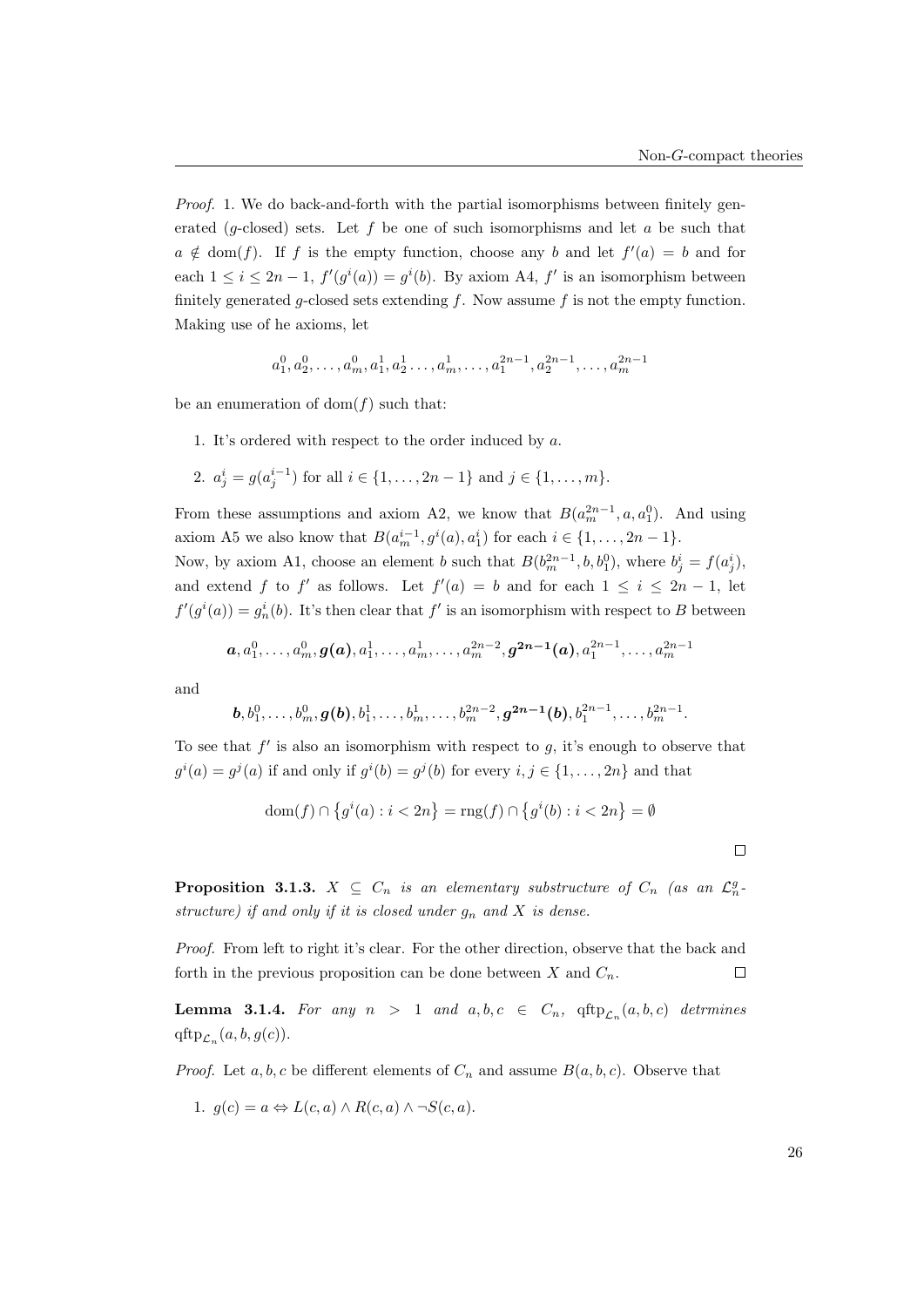Proof. 1. We do back-and-forth with the partial isomorphisms between finitely generated (g-closed) sets. Let f be one of such isomorphisms and let  $a$  be such that  $a \notin \text{dom}(f)$ . If f is the empty function, choose any b and let  $f'(a) = b$  and for each  $1 \leq i \leq 2n-1$ ,  $f'(g^i(a)) = g^i(b)$ . By axiom A4,  $f'$  is an isomorphism between finitely generated g-closed sets extending  $f$ . Now assume  $f$  is not the empty function. Making use of he axioms, let

$$
a_1^0, a_2^0, \ldots, a_m^0, a_1^1, a_2^1, \ldots, a_m^1, \ldots, a_1^{2n-1}, a_2^{2n-1}, \ldots, a_m^{2n-1}
$$

be an enumeration of dom( $f$ ) such that:

1. It's ordered with respect to the order induced by a.

2. 
$$
a_j^i = g(a_j^{i-1})
$$
 for all  $i \in \{1, ..., 2n-1\}$  and  $j \in \{1, ..., m\}$ .

From these assumptions and axiom A2, we know that  $B(a_m^{2n-1}, a, a_1^0)$ . And using axiom A5 we also know that  $B(a_m^{i-1}, g^i(a), a_1^i)$  for each  $i \in \{1, ..., 2n-1\}$ . Now, by axiom A1, choose an element b such that  $B(b_m^{2n-1}, b, b_1^0)$ , where  $b_j^i = f(a_j^i)$ , and extend f to f' as follows. Let  $f'(a) = b$  and for each  $1 \leq i \leq 2n - 1$ , let

$$
f'(g^i(a)) = g^i_n(b)
$$
. It's then clear that  $f'$  is an isomorphism with respect to B between

$$
\boldsymbol{a}, a_1^0,\ldots,a_m^0,\boldsymbol{g}(\boldsymbol{a}),a_1^1,\ldots,a_m^1,\ldots,a_m^{2n-2},\boldsymbol{g}^{2n-1}(\boldsymbol{a}),a_1^{2n-1},\ldots,a_m^{2n-1}
$$

and

$$
\boldsymbol{b}, b^0_1,\ldots, b^0_m, \boldsymbol{g}(\boldsymbol{b}), b^1_1,\ldots, b^1_m,\ldots, b^{2n-2}_m, \boldsymbol{g^{2n-1}}(\boldsymbol{b}), b^{2n-1}_1,\ldots, b^{2n-1}_m.
$$

To see that  $f'$  is also an isomorphism with respect to  $g$ , it's enough to observe that  $g^{i}(a) = g^{j}(a)$  if and only if  $g^{i}(b) = g^{j}(b)$  for every  $i, j \in \{1, ..., 2n\}$  and that

$$
\operatorname{dom}(f) \cap \left\{ g^i(a) : i < 2n \right\} = \operatorname{rng}(f) \cap \left\{ g^i(b) : i < 2n \right\} = \emptyset
$$

**Proposition 3.1.3.**  $X \subseteq C_n$  is an elementary substructure of  $C_n$  (as an  $\mathcal{L}_n^g$ . structure) if and only if it is closed under  $g_n$  and X is dense.

Proof. From left to right it's clear. For the other direction, observe that the back and forth in the previous proposition can be done between  $X$  and  $C_n$ .  $\Box$ 

**Lemma 3.1.4.** For any  $n > 1$  and  $a, b, c \in C_n$ ,  $qftp_{\mathcal{L}_n}(a, b, c)$  detrmines qft $p_{\mathcal{L}_n}(a, b, g(c))$ .

*Proof.* Let a, b, c be different elements of  $C_n$  and assume  $B(a, b, c)$ . Observe that

1. 
$$
g(c) = a \Leftrightarrow L(c, a) \wedge R(c, a) \wedge \neg S(c, a)
$$
.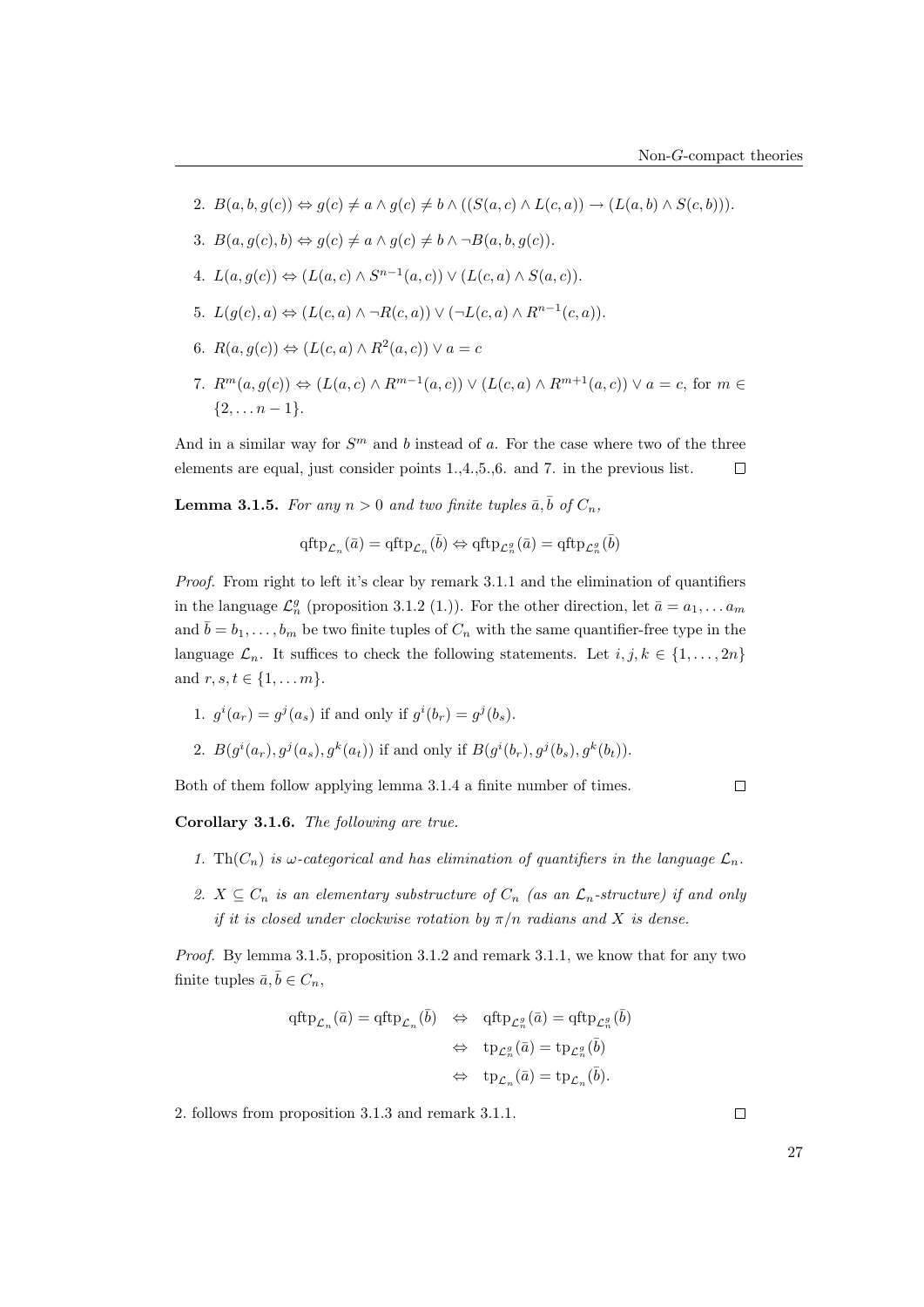- 2.  $B(a, b, q(c)) \Leftrightarrow q(c) \neq a \wedge q(c) \neq b \wedge ((S(a, c) \wedge L(c, a)) \rightarrow (L(a, b) \wedge S(c, b))).$
- 3.  $B(a, g(c), b) \Leftrightarrow g(c) \neq a \wedge g(c) \neq b \wedge \neg B(a, b, g(c)).$
- 4.  $L(a, g(c)) \Leftrightarrow (L(a, c) \wedge S^{n-1}(a, c)) \vee (L(c, a) \wedge S(a, c)).$
- 5.  $L(g(c), a) \Leftrightarrow (L(c, a) \wedge \neg R(c, a)) \vee (\neg L(c, a) \wedge R^{n-1}(c, a)).$
- 6.  $R(a, g(c)) \Leftrightarrow (L(c, a) \wedge R^2(a, c)) \vee a = c$
- 7.  $R^m(a, g(c)) \Leftrightarrow (L(a, c) \wedge R^{m-1}(a, c)) \vee (L(c, a) \wedge R^{m+1}(a, c)) \vee a = c$ , for  $m \in$  ${2, \ldots n-1}.$

And in a similar way for  $S<sup>m</sup>$  and b instead of a. For the case where two of the three elements are equal, just consider points 1.,4.,5.,6. and 7. in the previous list.  $\Box$ 

**Lemma 3.1.5.** For any  $n > 0$  and two finite tuples  $\bar{a}, \bar{b}$  of  $C_n$ ,

$$
\operatorname{qftp}_{\mathcal{L}_n}(\bar{a}) = \operatorname{qftp}_{\mathcal{L}_n}(\bar{b}) \Leftrightarrow \operatorname{qftp}_{\mathcal{L}_n^g}(\bar{a}) = \operatorname{qftp}_{\mathcal{L}_n^g}(\bar{b})
$$

Proof. From right to left it's clear by remark 3.1.1 and the elimination of quantifiers in the language  $\mathcal{L}_n^g$  (proposition 3.1.2 (1.)). For the other direction, let  $\bar{a} = a_1, \ldots a_m$ and  $\bar{b} = b_1, \ldots, b_m$  be two finite tuples of  $C_n$  with the same quantifier-free type in the language  $\mathcal{L}_n$ . It suffices to check the following statements. Let  $i, j, k \in \{1, ..., 2n\}$ and  $r, s, t \in \{1, ..., m\}.$ 

1. 
$$
g^{i}(a_{r}) = g^{j}(a_{s})
$$
 if and only if  $g^{i}(b_{r}) = g^{j}(b_{s})$ .

2.  $B(g^{i}(a_r), g^{j}(a_s), g^{k}(a_t))$  if and only if  $B(g^{i}(b_r), g^{j}(b_s), g^{k}(b_t))$ .

Both of them follow applying lemma 3.1.4 a finite number of times.

 $\Box$ 

Corollary 3.1.6. The following are true.

- 1. Th $(C_n)$  is  $\omega$ -categorical and has elimination of quantifiers in the language  $\mathcal{L}_n$ .
- 2.  $X \subseteq C_n$  is an elementary substructure of  $C_n$  (as an  $\mathcal{L}_n$ -structure) if and only if it is closed under clockwise rotation by  $\pi/n$  radians and X is dense.

Proof. By lemma 3.1.5, proposition 3.1.2 and remark 3.1.1, we know that for any two finite tuples  $\bar{a}, \bar{b} \in C_n$ ,

$$
\begin{array}{rcl} \textrm{qftp}_{\mathcal{L}_n}(\bar{a}) = \textrm{qftp}_{\mathcal{L}_n}(\bar{b}) & \Leftrightarrow & \textrm{qftp}_{\mathcal{L}_n^g}(\bar{a}) = \textrm{qftp}_{\mathcal{L}_n^g}(\bar{b}) \\ & \Leftrightarrow & \textrm{tp}_{\mathcal{L}_n^g}(\bar{a}) = \textrm{tp}_{\mathcal{L}_n^g}(\bar{b}) \\ & \Leftrightarrow & \textrm{tp}_{\mathcal{L}_n}(\bar{a}) = \textrm{tp}_{\mathcal{L}_n}(\bar{b}). \end{array}
$$

2. follows from proposition 3.1.3 and remark 3.1.1.

27

 $\Box$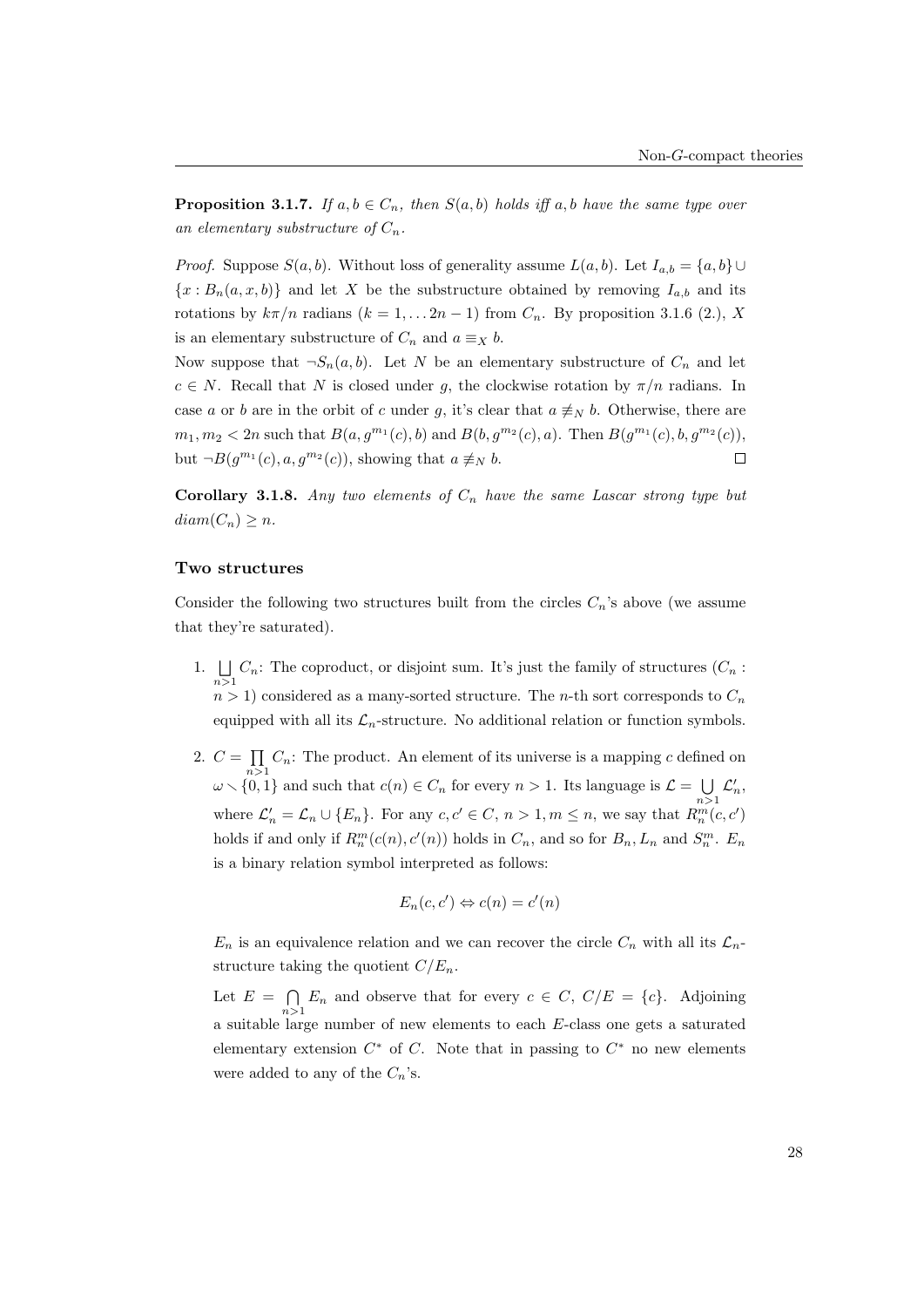**Proposition 3.1.7.** If  $a, b \in C_n$ , then  $S(a, b)$  holds iff a, b have the same type over an elementary substructure of  $C_n$ .

*Proof.* Suppose  $S(a, b)$ . Without loss of generality assume  $L(a, b)$ . Let  $I_{a,b} = \{a, b\} \cup$  ${x : B_n(a, x, b)}$  and let X be the substructure obtained by removing  $I_{a,b}$  and its rotations by  $k\pi/n$  radians  $(k = 1, \ldots 2n-1)$  from  $C_n$ . By proposition 3.1.6 (2.), X is an elementary substructure of  $C_n$  and  $a \equiv_X b$ .

Now suppose that  $\neg S_n(a, b)$ . Let N be an elementary substructure of  $C_n$  and let  $c \in N$ . Recall that N is closed under g, the clockwise rotation by  $\pi/n$  radians. In case a or b are in the orbit of c under g, it's clear that  $a \neq_N b$ . Otherwise, there are  $m_1, m_2 < 2n$  such that  $B(a, g^{m_1}(c), b)$  and  $B(b, g^{m_2}(c), a)$ . Then  $B(g^{m_1}(c), b, g^{m_2}(c))$ , but  $\neg B(g^{m_1}(c), a, g^{m_2}(c))$ , showing that  $a \not\equiv_N b$ .  $\Box$ 

**Corollary 3.1.8.** Any two elements of  $C_n$  have the same Lascar strong type but  $diam(C_n) \geq n$ .

#### Two structures

Consider the following two structures built from the circles  $C_n$ 's above (we assume that they're saturated).

- 1.  $\bigsqcup_{n>1} C_n$ : The coproduct, or disjoint sum. It's just the family of structures  $(C_n$ :  $n > 1$ ) considered as a many-sorted structure. The *n*-th sort corresponds to  $C_n$ equipped with all its  $\mathcal{L}_n$ -structure. No additional relation or function symbols.
- 2.  $C = \prod C_n$ : The product. An element of its universe is a mapping c defined on  $\omega \setminus \{0,1\}$  and such that  $c(n) \in C_n$  for every  $n > 1$ . Its language is  $\mathcal{L} = \bigcup \mathcal{L}'_n$ , where  $\mathcal{L}'_n = \mathcal{L}_n \cup \{E_n\}$ . For any  $c, c' \in C, n > 1, m \leq n$ , we say that  $R_n^m(c, c')$ holds if and only if  $R_n^m(c(n), c'(n))$  holds in  $C_n$ , and so for  $B_n, L_n$  and  $S_n^m$ .  $E_n$ is a binary relation symbol interpreted as follows:

$$
E_n(c, c') \Leftrightarrow c(n) = c'(n)
$$

 $E_n$  is an equivalence relation and we can recover the circle  $C_n$  with all its  $\mathcal{L}_n$ structure taking the quotient  $C/E_n$ .

Let  $E = \bigcap$  $\bigcap_{n>1} E_n$  and observe that for every  $c \in C$ ,  $C/E = \{c\}$ . Adjoining a suitable large number of new elements to each E-class one gets a saturated elementary extension  $C^*$  of C. Note that in passing to  $C^*$  no new elements were added to any of the  $C_n$ 's.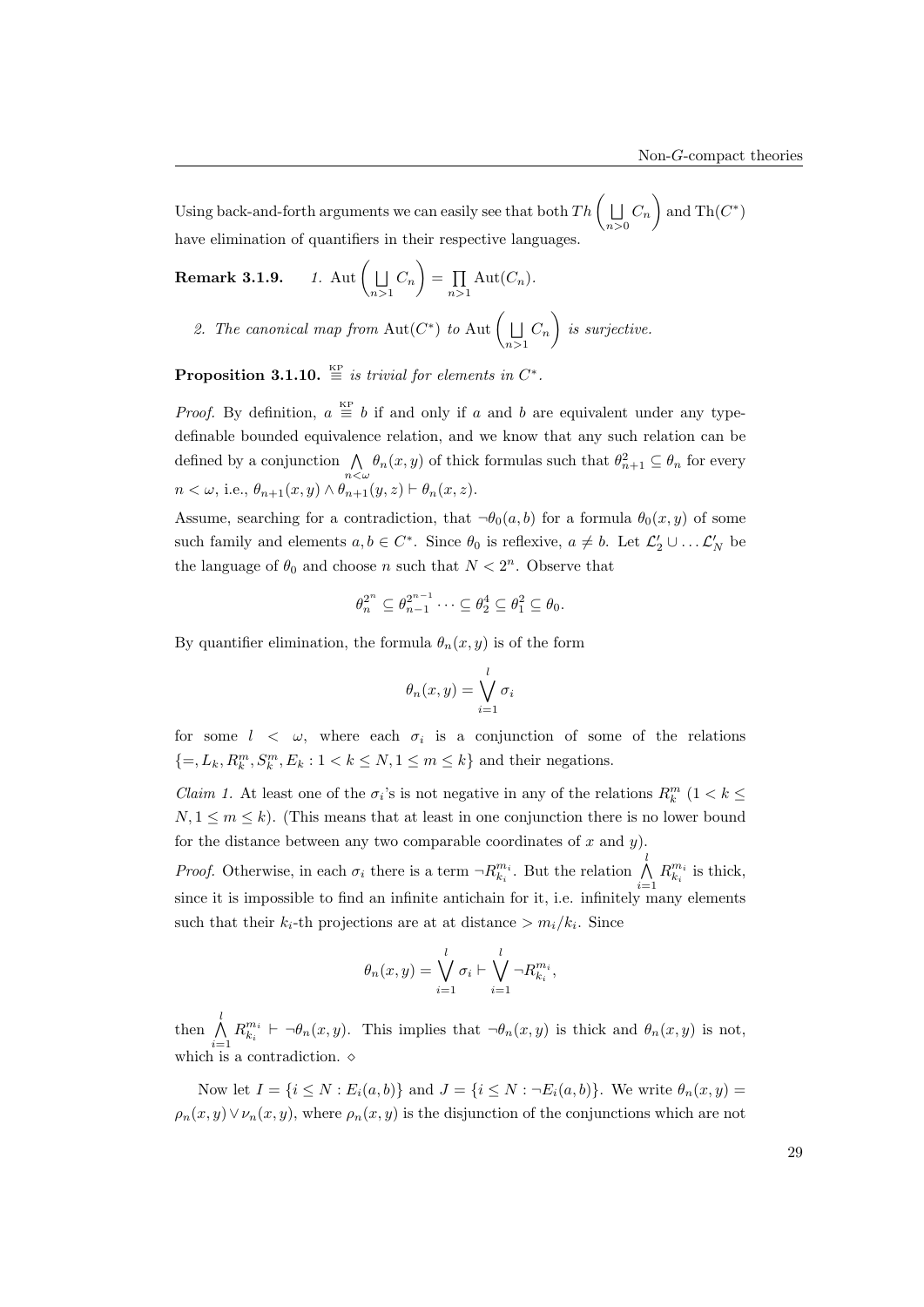Using back-and-forth arguments we can easily see that both Th  $\Big( \bigsqcup$  $\bigcup_{n>0} C_n$  and Th $(C^*)$ have elimination of quantifiers in their respective languages.

**Remark 3.1.9.** 1. Aut 
$$
\left(\bigsqcup_{n>1} C_n\right) = \prod_{n>1} \text{Aut}(C_n)
$$
.

2. The canonical map from  $\text{Aut}(C^*)$  to  $\text{Aut}(\Box)$  $\bigcup_{n>1} C_n$  is surjective.

**Proposition 3.1.10.**  $\stackrel{\text{KP}}{=}$  is trivial for elements in  $C^*$ .

*Proof.* By definition,  $a \equiv b$  if and only if a and b are equivalent under any typedefinable bounded equivalence relation, and we know that any such relation can be defined by a conjunction  $\bigwedge_{n<\omega} \theta_n(x,y)$  of thick formulas such that  $\theta_{n+1}^2 \subseteq \theta_n$  for every  $n < \omega$ , i.e.,  $\theta_{n+1}(x, y) \wedge \theta_{n+1}(y, z) \vdash \theta_n(x, z)$ .

Assume, searching for a contradiction, that  $\neg \theta_0(a, b)$  for a formula  $\theta_0(x, y)$  of some such family and elements  $a, b \in C^*$ . Since  $\theta_0$  is reflexive,  $a \neq b$ . Let  $\mathcal{L}'_2 \cup \dots \mathcal{L}'_N$  be the language of  $\theta_0$  and choose n such that  $N < 2^n$ . Observe that

$$
\theta_n^{2^n} \subseteq \theta_{n-1}^{2^{n-1}} \cdots \subseteq \theta_2^4 \subseteq \theta_1^2 \subseteq \theta_0.
$$

By quantifier elimination, the formula  $\theta_n(x, y)$  is of the form

$$
\theta_n(x,y) = \bigvee_{i=1}^l \sigma_i
$$

for some  $l \leq \omega$ , where each  $\sigma_i$  is a conjunction of some of the relations  $\{=,L_k,R_k^m,S_k^m,E_k: 1 < k \leq N, 1 \leq m \leq k\}$  and their negations.

*Claim 1*. At least one of the  $\sigma_i$ 's is not negative in any of the relations  $R_k^m$  (1 <  $k \leq$  $N, 1 \leq m \leq k$ ). (This means that at least in one conjunction there is no lower bound for the distance between any two comparable coordinates of  $x$  and  $y$ ).

*Proof.* Otherwise, in each  $\sigma_i$  there is a term  $\neg R_{k_i}^{m_i}$ . But the relation  $\bigwedge^l R_{k_i}^{m_i}$  is thick, since it is impossible to find an infinite antichain for it, i.e. infinitely many elements such that their  $k_i$ -th projections are at at distance  $> m_i/k_i$ . Since

$$
\theta_n(x,y) = \bigvee_{i=1}^l \sigma_i \vdash \bigvee_{i=1}^l \neg R_{k_i}^{m_i},
$$

then  $\bigwedge^l$  $i=1$  $R_{k_i}^{m_i} \vdash \neg \theta_n(x, y)$ . This implies that  $\neg \theta_n(x, y)$  is thick and  $\theta_n(x, y)$  is not, which is a contradiction.  $\diamond$ 

Now let  $I = \{i \leq N : E_i(a, b)\}\$ and  $J = \{i \leq N : \neg E_i(a, b)\}\$ . We write  $\theta_n(x, y) =$  $\rho_n(x, y) \vee \nu_n(x, y)$ , where  $\rho_n(x, y)$  is the disjunction of the conjunctions which are not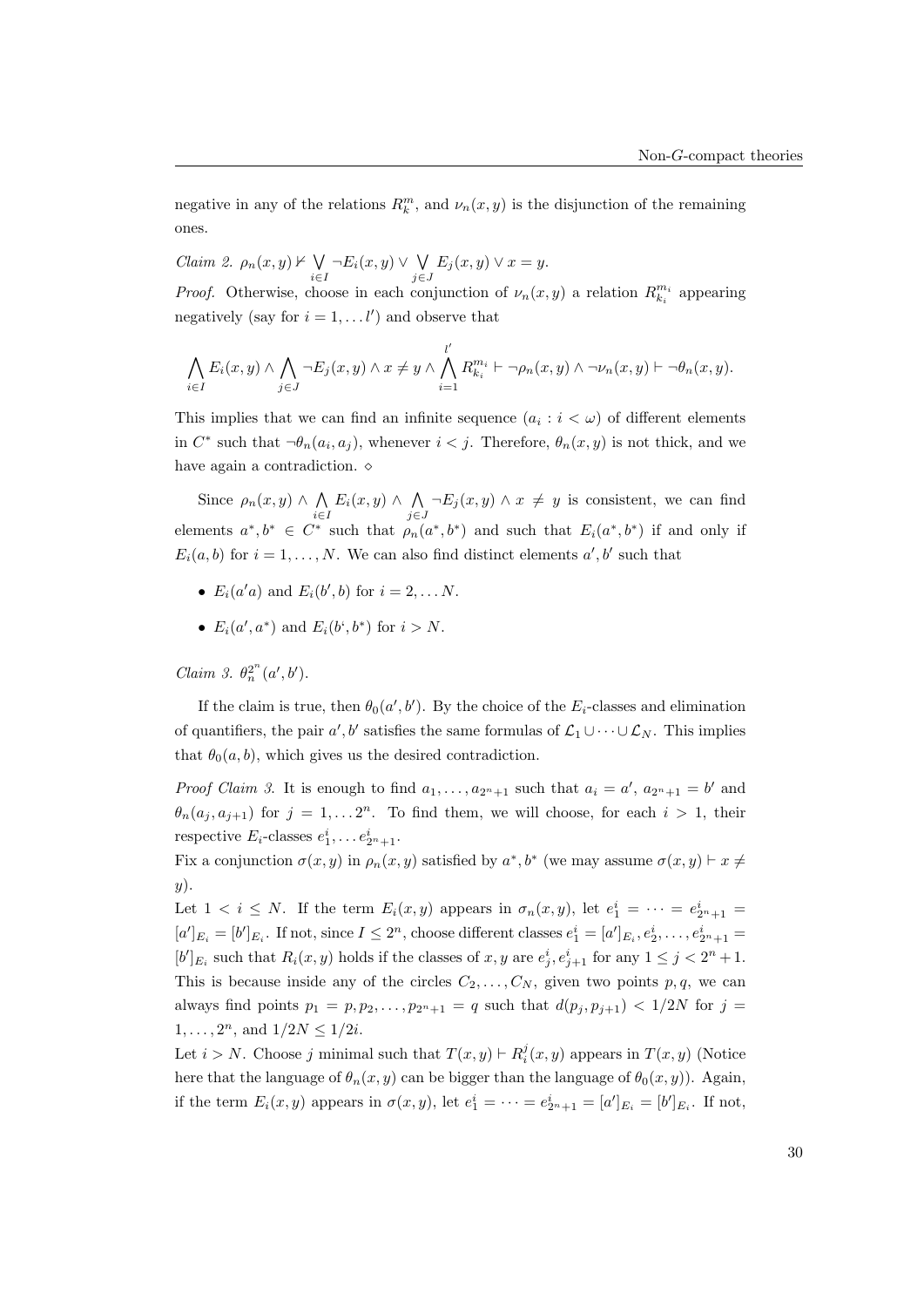negative in any of the relations  $R_k^m$ , and  $\nu_n(x, y)$  is the disjunction of the remaining ones.

Claim 2.  $\rho_n(x, y) \nvdash \bigvee$  $\bigvee_{i\in I} \neg E_i(x,y) \vee \bigvee_{j\in A}$  $\bigvee_{j\in J} E_j(x,y) \vee x=y.$ 

*Proof.* Otherwise, choose in each conjunction of  $\nu_n(x, y)$  a relation  $R_{k_i}^{m_i}$  appearing negatively (say for  $i = 1, \ldots l'$ ) and observe that

$$
\bigwedge_{i\in I} E_i(x,y) \wedge \bigwedge_{j\in J} \neg E_j(x,y) \wedge x \neq y \wedge \bigwedge_{i=1}^{l'} R_{k_i}^{m_i} \vdash \neg \rho_n(x,y) \wedge \neg \nu_n(x,y) \vdash \neg \theta_n(x,y).
$$

This implies that we can find an infinite sequence  $(a_i : i < \omega)$  of different elements in  $C^*$  such that  $\neg \theta_n(a_i, a_j)$ , whenever  $i < j$ . Therefore,  $\theta_n(x, y)$  is not thick, and we have again a contradiction.  $\diamond$ 

Since  $\rho_n(x,y) \wedge \bigwedge$  $\bigwedge_{i\in I} E_i(x,y) \wedge \bigwedge_{j\in\mathbb{N}}$  $\bigwedge_{j\in J} \neg E_j(x,y) \land x \neq y$  is consistent, we can find elements  $a^*, b^* \in C^*$  such that  $\rho_n(a^*,b^*)$  and such that  $E_i(a^*,b^*)$  if and only if  $E_i(a, b)$  for  $i = 1, ..., N$ . We can also find distinct elements  $a', b'$  such that

- $E_i(a'a)$  and  $E_i(b',b)$  for  $i = 2, \ldots N$ .
- $E_i(a', a^*)$  and  $E_i(b', b^*)$  for  $i > N$ .

Claim 3.  $\theta_n^{2^n}(a',b')$ .

If the claim is true, then  $\theta_0(a', b')$ . By the choice of the  $E_i$ -classes and elimination of quantifiers, the pair  $a', b'$  satisfies the same formulas of  $\mathcal{L}_1 \cup \cdots \cup \mathcal{L}_N$ . This implies that  $\theta_0(a, b)$ , which gives us the desired contradiction.

*Proof Claim 3.* It is enough to find  $a_1, \ldots, a_{2n+1}$  such that  $a_i = a'$ ,  $a_{2n+1} = b'$  and  $\theta_n(a_j, a_{j+1})$  for  $j = 1, \ldots 2^n$ . To find them, we will choose, for each  $i > 1$ , their respective  $E_i$ -classes  $e_1^i, \ldots e_{2n+1}^i$ .

Fix a conjunction  $\sigma(x, y)$  in  $\rho_n(x, y)$  satisfied by  $a^*, b^*$  (we may assume  $\sigma(x, y) \vdash x \neq 0$ y).

Let  $1 < i \leq N$ . If the term  $E_i(x, y)$  appears in  $\sigma_n(x, y)$ , let  $e_1^i = \cdots = e_{2^n + 1}^i =$  $[a']_{E_i} = [b']_{E_i}$ . If not, since  $I \leq 2^n$ , choose different classes  $e_1^i = [a']_{E_i}, e_2^i, \ldots, e_{2^n+1}^i =$  $[b']_{E_i}$  such that  $R_i(x, y)$  holds if the classes of  $x, y$  are  $e_j^i, e_{j+1}^i$  for any  $1 \leq j < 2^n + 1$ . This is because inside any of the circles  $C_2, \ldots, C_N$ , given two points p, q, we can always find points  $p_1 = p, p_2, ..., p_{2^n+1} = q$  such that  $d(p_j, p_{j+1}) < 1/2N$  for  $j =$  $1, \ldots, 2^n$ , and  $1/2N \leq 1/2i$ .

Let  $i > N$ . Choose j minimal such that  $T(x, y) \vdash R_i^j(x, y)$  appears in  $T(x, y)$  (Notice here that the language of  $\theta_n(x, y)$  can be bigger than the language of  $\theta_0(x, y)$ ). Again, if the term  $E_i(x, y)$  appears in  $\sigma(x, y)$ , let  $e_1^i = \cdots = e_{2^n + 1}^i = [a']_{E_i} = [b']_{E_i}$ . If not,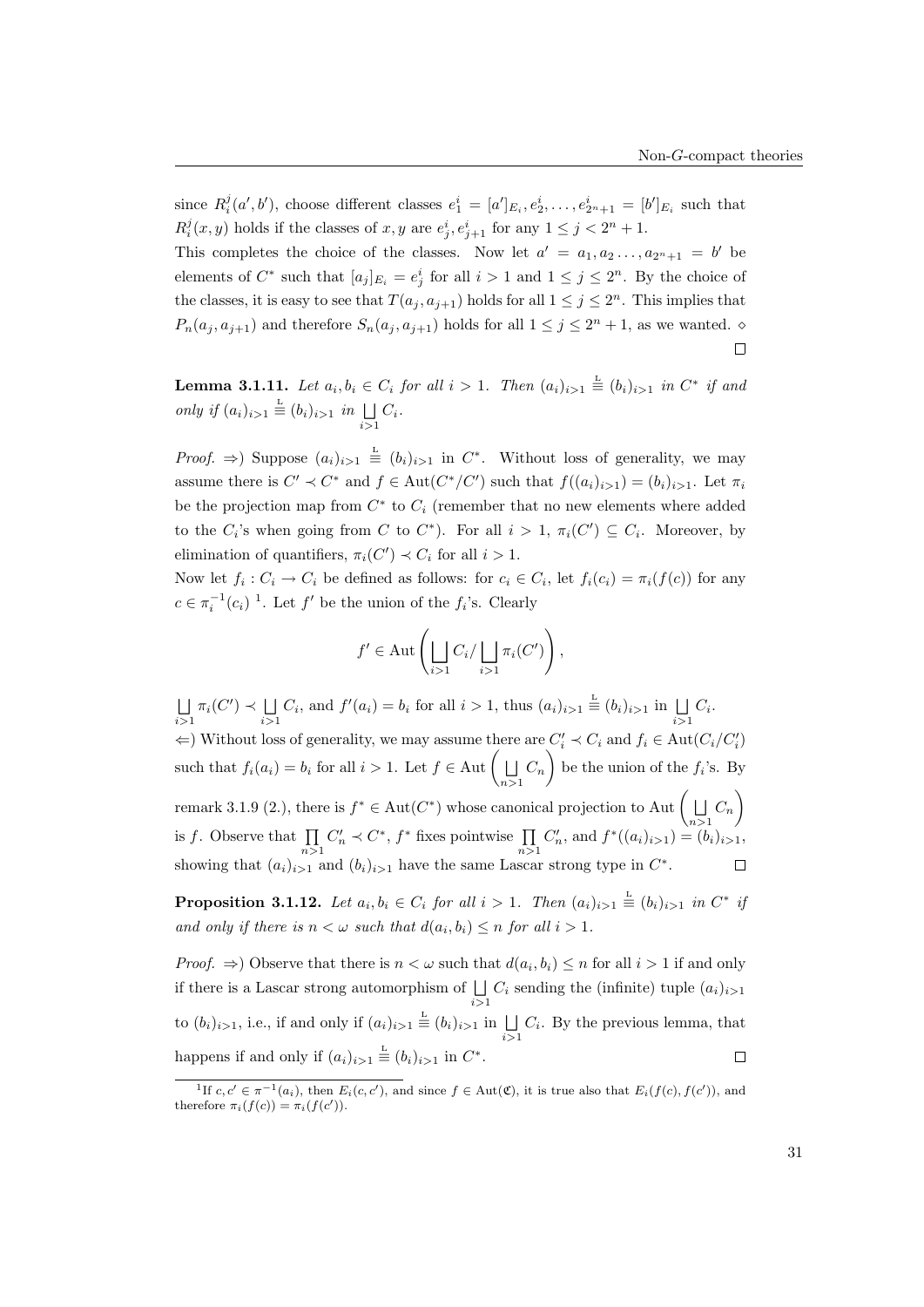since  $R_i^j(a',b')$ , choose different classes  $e_1^i = [a']_{E_i}, e_2^i, \ldots, e_{2^n+1}^i = [b']_{E_i}$  such that  $R_i^j(x, y)$  holds if the classes of  $x, y$  are  $e_j^i, e_{j+1}^i$  for any  $1 \leq j < 2^n + 1$ .

This completes the choice of the classes. Now let  $a' = a_1, a_2, \ldots, a_{2^n+1} = b'$  be elements of  $C^*$  such that  $[a_j]_{E_i} = e_j^i$  for all  $i > 1$  and  $1 \le j \le 2^n$ . By the choice of the classes, it is easy to see that  $T(a_j, a_{j+1})$  holds for all  $1 \leq j \leq 2^n$ . This implies that  $P_n(a_j, a_{j+1})$  and therefore  $S_n(a_j, a_{j+1})$  holds for all  $1 \leq j \leq 2^n + 1$ , as we wanted.  $\diamond$  $\Box$ 

**Lemma 3.1.11.** Let  $a_i, b_i \in C_i$  for all  $i > 1$ . Then  $(a_i)_{i>1} \stackrel{\text{L}}{=} (b_i)_{i>1}$  in  $C^*$  if and only if  $(a_i)_{i>1} \stackrel{\text{L}}{=} (b_i)_{i>1}$  in  $\bigsqcup_{i>1} C_i$ .

*Proof.*  $\Rightarrow$  Suppose  $(a_i)_{i>1} \equiv (b_i)_{i>1}$  in  $C^*$ . Without loss of generality, we may assume there is  $C' \prec C^*$  and  $f \in Aut(C^*/C')$  such that  $f((a_i)_{i>1}) = (b_i)_{i>1}$ . Let  $\pi_i$ be the projection map from  $C^*$  to  $C_i$  (remember that no new elements where added to the  $C_i$ 's when going from C to  $C^*$ ). For all  $i > 1$ ,  $\pi_i(C') \subseteq C_i$ . Moreover, by elimination of quantifiers,  $\pi_i(C') \prec C_i$  for all  $i > 1$ .

Now let  $f_i: C_i \to C_i$  be defined as follows: for  $c_i \in C_i$ , let  $f_i(c_i) = \pi_i(f(c))$  for any  $c \in \pi_i^{-1}(c_i)$ <sup>1</sup>. Let  $f'$  be the union of the  $f_i$ 's. Clearly

$$
f' \in \mathrm{Aut}\left(\bigsqcup_{i>1} C_i/\bigsqcup_{i>1} \pi_i(C')\right),\,
$$

 $\Box$  $\bigcup_{i>1} \pi_i(C') \prec \bigcup_{i>1}$  $\bigsqcup_{i>1} C_i$ , and  $f'(a_i) = b_i$  for all  $i > 1$ , thus  $(a_i)_{i>1} \stackrel{\text{L}}{=} (b_i)_{i>1}$  in  $\bigsqcup_{i>1} C_i$ .  $\Leftarrow$ ) Without loss of generality, we may assume there are  $C_i' \prec C_i$  and  $f_i \in \text{Aut}(C_i/C_i')$ such that  $f_i(a_i) = b_i$  for all  $i > 1$ . Let  $f \in \text{Aut} \left( \begin{array}{c} \Box \end{array} \right)$  $\left(\bigsqcup_{n>1} C_n\right)$  be the union of the  $f_i$ 's. By remark 3.1.9 (2.), there is  $f^* \in Aut(C^*)$  whose canonical projection to Aut  $\Big( \bigsqcup$  $\bigcup_{n>1} C_n$ is f. Observe that  $\prod_{n>1} C'_n \prec C^*$ ,  $f^*$  fixes pointwise  $\prod_{n>1} C'_n$ , and  $f^*((a_i)_{i>1}) = (b_i)_{i>1}$ , showing that  $(a_i)_{i>1}$  and  $(b_i)_{i>1}$  have the same Lascar strong type in  $C^*$ .

**Proposition 3.1.12.** Let  $a_i, b_i \in C_i$  for all  $i > 1$ . Then  $(a_i)_{i>1} \stackrel{\text{L}}{=} (b_i)_{i>1}$  in  $C^*$  is and only if there is  $n < \omega$  such that  $d(a_i, b_i) \leq n$  for all  $i > 1$ .

*Proof.*  $\Rightarrow$  Observe that there is  $n < \omega$  such that  $d(a_i, b_i) \leq n$  for all  $i > 1$  if and only if there is a Lascar strong automorphism of  $\Box$  C<sub>i</sub> sending the (infinite) tuple  $(a_i)_{i>1}$  $i > 1$ to  $(b_i)_{i>1}$ , i.e., if and only if  $(a_i)_{i>1} \stackrel{\mathbb{L}}{=} (b_i)_{i>1}$  in  $\bigcup_{i>1} C_i$ . By the previous lemma, that happens if and only if  $(a_i)_{i>1} \stackrel{\text{L}}{=} (b_i)_{i>1}$  in  $C^*$ .  $\Box$ 

<sup>&</sup>lt;sup>1</sup>If  $c, c' \in \pi^{-1}(a_i)$ , then  $E_i(c, c')$ , and since  $f \in Aut(\mathfrak{C})$ , it is true also that  $E_i(f(c), f(c'))$ , and therefore  $\pi_i(f(c)) = \pi_i(f(c'))$ .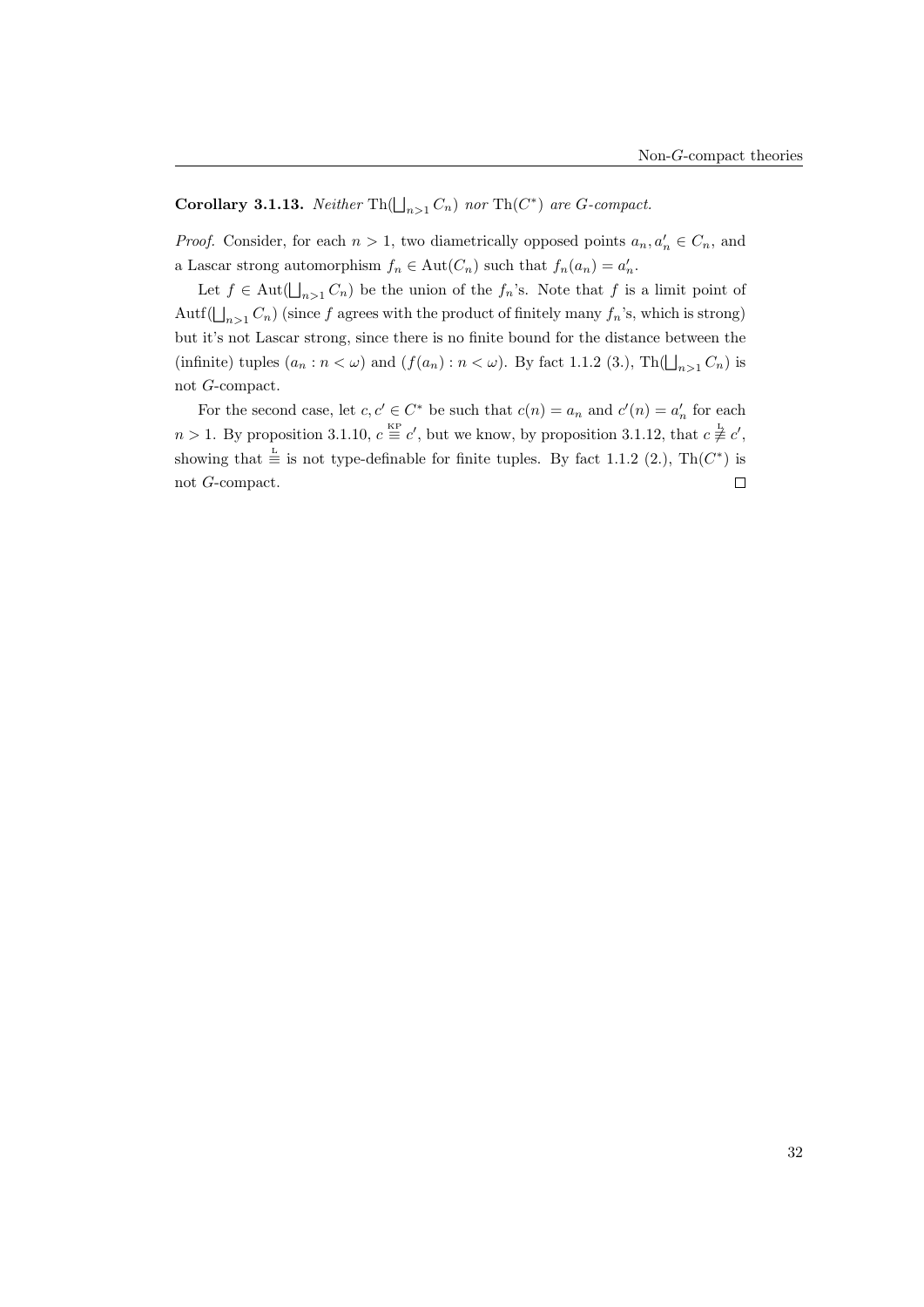**Corollary 3.1.13.** Neither  $\text{Th}(\bigsqcup_{n>1} C_n)$  nor  $\text{Th}(C^*)$  are G-compact.

*Proof.* Consider, for each  $n > 1$ , two diametrically opposed points  $a_n, a'_n \in C_n$ , and a Lascar strong automorphism  $f_n \in \text{Aut}(C_n)$  such that  $f_n(a_n) = a'_n$ .

Let  $f \in \text{Aut}(\bigsqcup_{n>1} C_n)$  be the union of the  $f_n$ 's. Note that  $f$  is a limit point of Autf $(\bigsqcup_{n>1} C_n)$  (since f agrees with the product of finitely many  $f_n$ 's, which is strong) but it's not Lascar strong, since there is no finite bound for the distance between the (infinite) tuples  $(a_n : n < \omega)$  and  $(f(a_n) : n < \omega)$ . By fact 1.1.2 (3.), Th $(\bigsqcup_{n>1} C_n)$  is not G-compact.

For the second case, let  $c, c' \in C^*$  be such that  $c(n) = a_n$  and  $c'(n) = a'_n$  for each  $n > 1$ . By proposition 3.1.10,  $c \equiv c'$ , but we know, by proposition 3.1.12, that  $c \not\equiv c'$ , showing that  $\stackrel{\text{L}}{=}$  is not type-definable for finite tuples. By fact 1.1.2 (2.), Th( $C^*$ ) is not G-compact.  $\Box$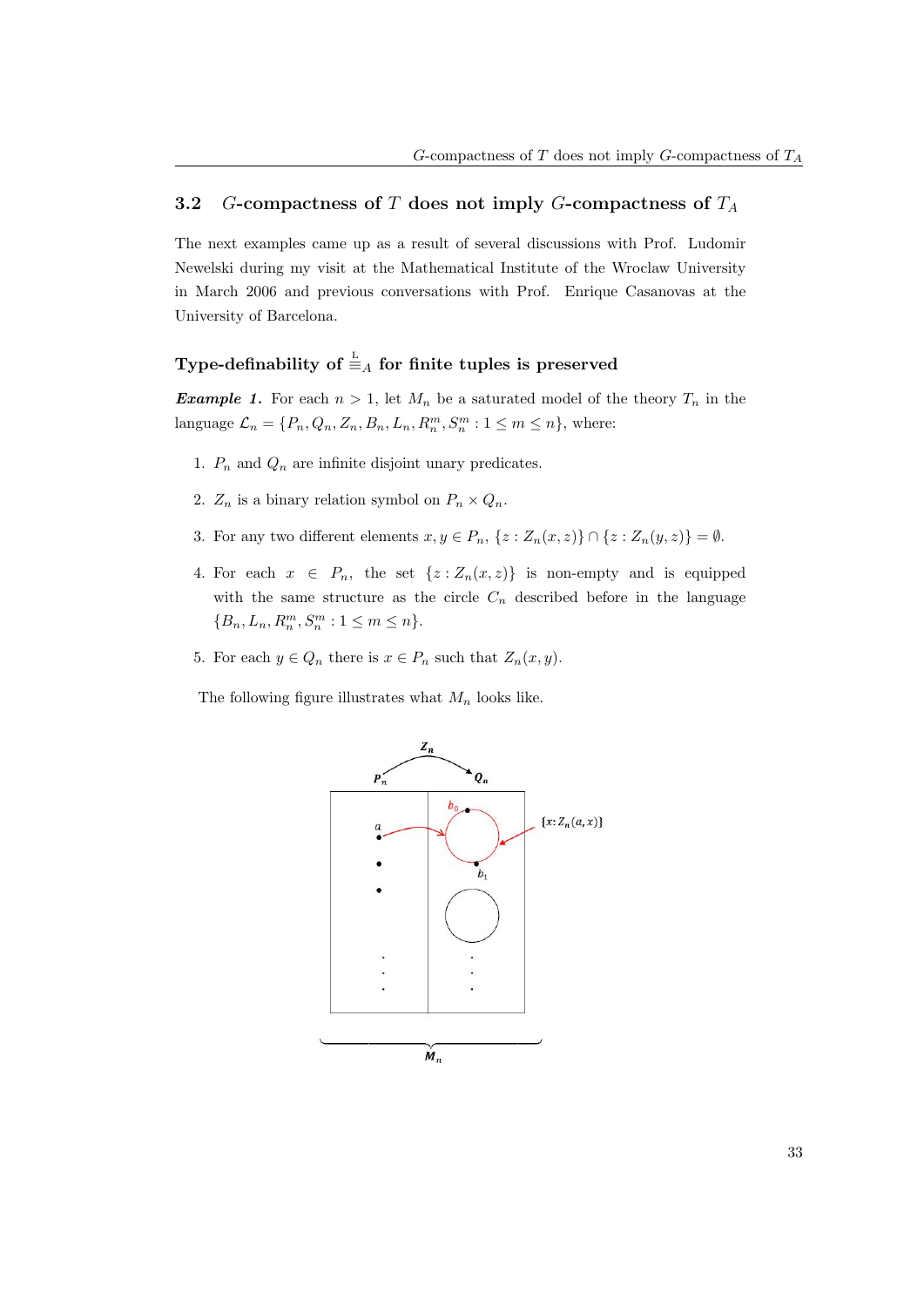### 3.2 G-compactness of T does not imply G-compactness of  $T_A$

The next examples came up as a result of several discussions with Prof. Ludomir Newelski during my visit at the Mathematical Institute of the Wroclaw University in March 2006 and previous conversations with Prof. Enrique Casanovas at the University of Barcelona.

## Type-definability of  $\stackrel{\mathbb{L}}{=} _A$  for finite tuples is preserved

**Example 1.** For each  $n > 1$ , let  $M_n$  be a saturated model of the theory  $T_n$  in the language  $\mathcal{L}_n = \{P_n, Q_n, Z_n, B_n, L_n, R_n^m, S_n^m : 1 \leq m \leq n\}$ , where:

- 1.  $P_n$  and  $Q_n$  are infinite disjoint unary predicates.
- 2.  $Z_n$  is a binary relation symbol on  $P_n \times Q_n$ .
- 3. For any two different elements  $x, y \in P_n$ ,  $\{z : Z_n(x, z)\} \cap \{z : Z_n(y, z)\} = \emptyset$ .
- 4. For each  $x \in P_n$ , the set  $\{z : Z_n(x,z)\}$  is non-empty and is equipped with the same structure as the circle  $C_n$  described before in the language  ${B_n, L_n, R_n^m, S_n^m : 1 \leq m \leq n}.$
- 5. For each  $y \in Q_n$  there is  $x \in P_n$  such that  $Z_n(x, y)$ .

The following figure illustrates what  $M_n$  looks like.

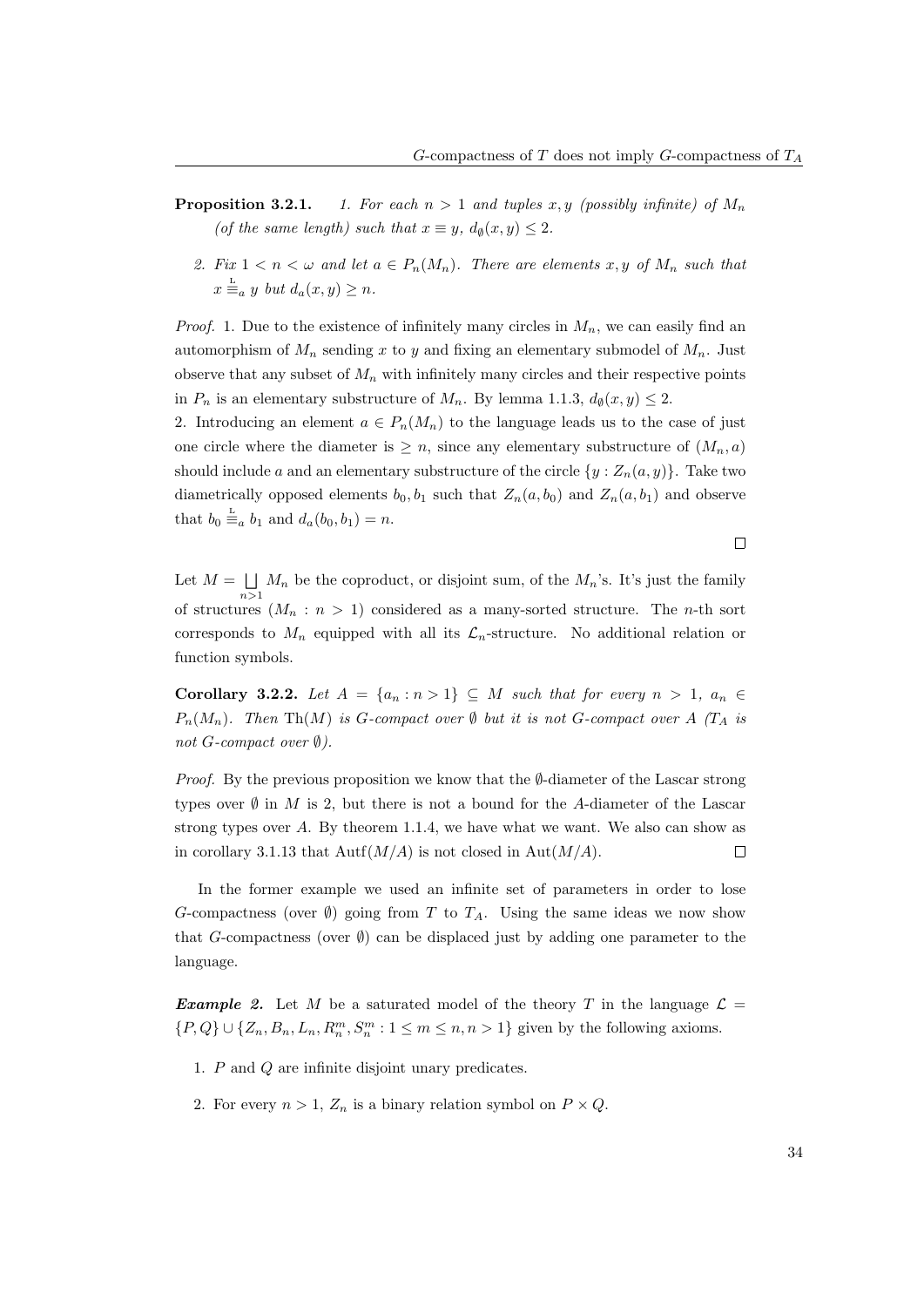- **Proposition 3.2.1.** 1. For each  $n > 1$  and tuples x, y (possibly infinite) of  $M_n$ (of the same length) such that  $x \equiv y$ ,  $d_{\emptyset}(x, y) \leq 2$ .
	- 2. Fix  $1 < n < \omega$  and let  $a \in P_n(M_n)$ . There are elements x, y of  $M_n$  such that  $x \stackrel{\mathsf{L}}{=} a$  y but  $d_a(x, y) \geq n$ .

*Proof.* 1. Due to the existence of infinitely many circles in  $M_n$ , we can easily find an automorphism of  $M_n$  sending x to y and fixing an elementary submodel of  $M_n$ . Just observe that any subset of  $M_n$  with infinitely many circles and their respective points in  $P_n$  is an elementary substructure of  $M_n$ . By lemma 1.1.3,  $d_{\emptyset}(x, y) \leq 2$ .

2. Introducing an element  $a \in P_n(M_n)$  to the language leads us to the case of just one circle where the diameter is  $\geq n$ , since any elementary substructure of  $(M_n, a)$ should include a and an elementary substructure of the circle  $\{y : Z_n(a, y)\}.$  Take two diametrically opposed elements  $b_0, b_1$  such that  $Z_n(a, b_0)$  and  $Z_n(a, b_1)$  and observe that  $b_0 \stackrel{\mathcal{L}}{=} a b_1$  and  $d_a(b_0, b_1) = n$ .

 $\Box$ 

Let  $M = \Box$  $\bigsqcup_{n>1} M_n$  be the coproduct, or disjoint sum, of the  $M_n$ 's. It's just the family of structures  $(M_n : n > 1)$  considered as a many-sorted structure. The *n*-th sort corresponds to  $M_n$  equipped with all its  $\mathcal{L}_n$ -structure. No additional relation or function symbols.

Corollary 3.2.2. Let  $A = \{a_n : n > 1\} \subseteq M$  such that for every  $n > 1$ ,  $a_n \in$  $P_n(M_n)$ . Then Th(M) is G-compact over  $\emptyset$  but it is not G-compact over A (T<sub>A</sub> is not G-compact over  $\emptyset$ ).

*Proof.* By the previous proposition we know that the  $\emptyset$ -diameter of the Lascar strong types over  $\emptyset$  in M is 2, but there is not a bound for the A-diameter of the Lascar strong types over A. By theorem 1.1.4, we have what we want. We also can show as in corollary 3.1.13 that  $\text{Aut}(M/A)$  is not closed in  $\text{Aut}(M/A)$ .  $\Box$ 

In the former example we used an infinite set of parameters in order to lose G-compactness (over  $\emptyset$ ) going from T to  $T_A$ . Using the same ideas we now show that G-compactness (over  $\emptyset$ ) can be displaced just by adding one parameter to the language.

**Example 2.** Let M be a saturated model of the theory T in the language  $\mathcal{L} =$  $\{P,Q\} \cup \{Z_n, B_n, L_n, R_n^m, S_n^m : 1 \leq m \leq n, n > 1\}$  given by the following axioms.

- 1. P and Q are infinite disjoint unary predicates.
- 2. For every  $n > 1$ ,  $Z_n$  is a binary relation symbol on  $P \times Q$ .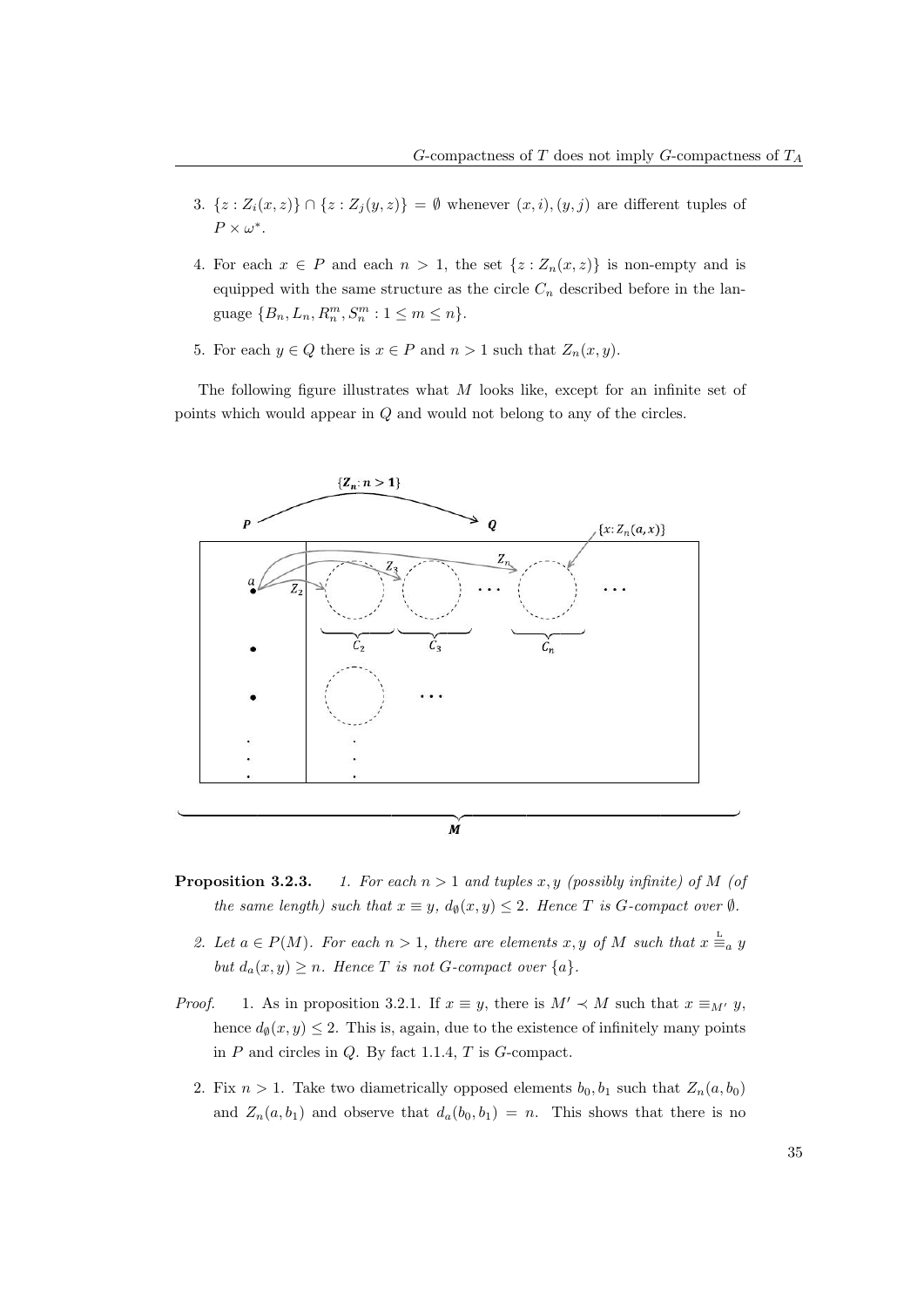- 3.  $\{z: Z_i(x, z)\} \cap \{z: Z_j(y, z)\} = \emptyset$  whenever  $(x, i), (y, j)$  are different tuples of  $P \times \omega^*$ .
- 4. For each  $x \in P$  and each  $n > 1$ , the set  $\{z : Z_n(x, z)\}\$ is non-empty and is equipped with the same structure as the circle  $C_n$  described before in the language  $\{B_n, L_n, R_n^m, S_n^m : 1 \le m \le n\}.$
- 5. For each  $y \in Q$  there is  $x \in P$  and  $n > 1$  such that  $Z_n(x, y)$ .

The following figure illustrates what M looks like, except for an infinite set of points which would appear in Q and would not belong to any of the circles.



- **Proposition 3.2.3.** 1. For each  $n > 1$  and tuples x, y (possibly infinite) of M (of the same length) such that  $x \equiv y$ ,  $d_{\emptyset}(x, y) \leq 2$ . Hence T is G-compact over  $\emptyset$ .
	- 2. Let  $a \in P(M)$ . For each  $n > 1$ , there are elements x, y of M such that  $x \triangleq_a y$ but  $d_a(x, y) \geq n$ . Hence T is not G-compact over  $\{a\}$ .
- *Proof.* 1. As in proposition 3.2.1. If  $x \equiv y$ , there is  $M' \prec M$  such that  $x \equiv_{M'} y$ , hence  $d_{\emptyset}(x, y) \leq 2$ . This is, again, due to the existence of infinitely many points in  $P$  and circles in  $Q$ . By fact 1.1.4,  $T$  is  $G$ -compact.
	- 2. Fix  $n > 1$ . Take two diametrically opposed elements  $b_0, b_1$  such that  $Z_n(a, b_0)$ and  $Z_n(a, b_1)$  and observe that  $d_a(b_0, b_1) = n$ . This shows that there is no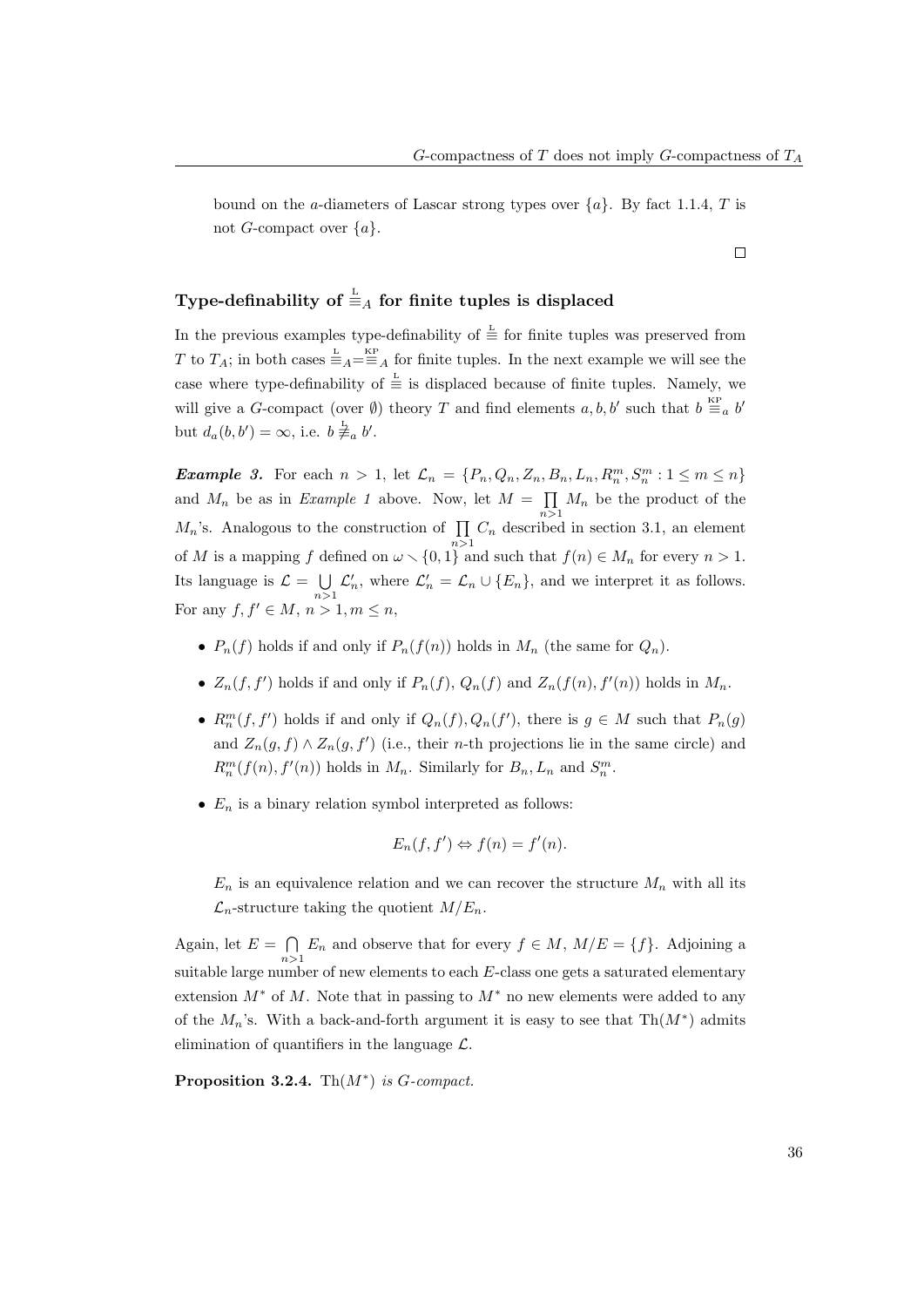bound on the a-diameters of Lascar strong types over  $\{a\}$ . By fact 1.1.4, T is not G-compact over  $\{a\}.$ 

## Type-definability of  $\stackrel{\mathbb{L}}{=}$  for finite tuples is displaced

In the previous examples type-definability of  $\stackrel{\mathbb{L}}{=}$  for finite tuples was preserved from T to  $T_A$ ; in both cases  $\frac{L}{=}A=\equiv A$  for finite tuples. In the next example we will see the case where type-definability of  $\stackrel{\mathbb{L}}{=}$  is displaced because of finite tuples. Namely, we will give a G-compact (over  $\emptyset$ ) theory T and find elements  $a, b, b'$  such that  $b \stackrel{\text{KP}}{=} a b'$ but  $d_a(b, b') = \infty$ , i.e.  $b \neq_a b'$ .

**Example 3.** For each  $n > 1$ , let  $\mathcal{L}_n = \{P_n, Q_n, Z_n, B_n, L_n, R_n^m, S_n^m : 1 \leq m \leq n\}$ and  $M_n$  be as in *Example 1* above. Now, let  $M = \prod M_n$  be the product of the  $M_n$ 's. Analogous to the construction of  $\prod_{n>1} C_n$  described in section 3.1, an element of M is a mapping f defined on  $\omega \setminus \{0, 1\}$  and such that  $f(n) \in M_n$  for every  $n > 1$ . Its language is  $\mathcal{L} = \bigcup$  $n > 1$  $\mathcal{L}'_n$ , where  $\mathcal{L}'_n = \mathcal{L}_n \cup \{E_n\}$ , and we interpret it as follows. For any  $f, f' \in M, n > 1, m \leq n$ ,

- $P_n(f)$  holds if and only if  $P_n(f(n))$  holds in  $M_n$  (the same for  $Q_n$ ).
- $Z_n(f, f')$  holds if and only if  $P_n(f), Q_n(f)$  and  $Z_n(f(n), f'(n))$  holds in  $M_n$ .
- $R_n^m(f, f')$  holds if and only if  $Q_n(f), Q_n(f')$ , there is  $g \in M$  such that  $P_n(g)$ and  $Z_n(g, f) \wedge Z_n(g, f')$  (i.e., their *n*-th projections lie in the same circle) and  $R_n^m(f(n), f'(n))$  holds in  $M_n$ . Similarly for  $B_n, L_n$  and  $S_n^m$ .
- $E_n$  is a binary relation symbol interpreted as follows:

$$
E_n(f, f') \Leftrightarrow f(n) = f'(n).
$$

 $E_n$  is an equivalence relation and we can recover the structure  $M_n$  with all its  $\mathcal{L}_n$ -structure taking the quotient  $M/E_n$ .

Again, let  $E = \bigcap$  $\bigcap_{n>1} E_n$  and observe that for every  $f \in M$ ,  $M/E = \{f\}$ . Adjoining a suitable large number of new elements to each E-class one gets a saturated elementary extension  $M^*$  of M. Note that in passing to  $M^*$  no new elements were added to any of the  $M_n$ 's. With a back-and-forth argument it is easy to see that  $\text{Th}(M^*)$  admits elimination of quantifiers in the language  $\mathcal{L}$ .

Proposition 3.2.4.  $\text{Th}(M^*)$  is G-compact.

 $\Box$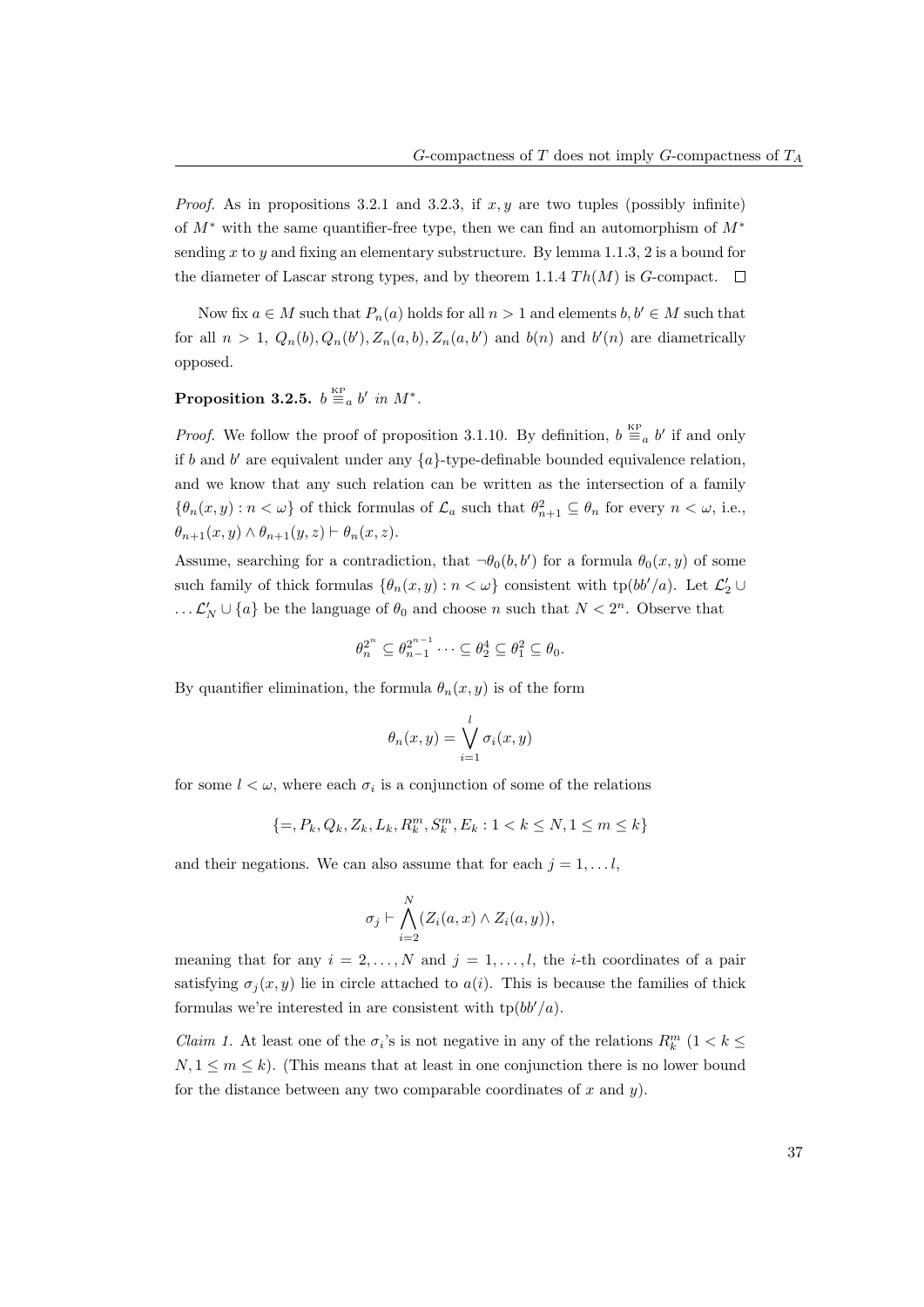*Proof.* As in propositions 3.2.1 and 3.2.3, if  $x, y$  are two tuples (possibly infinite) of M<sup>∗</sup> with the same quantifier-free type, then we can find an automorphism of M<sup>∗</sup> sending x to y and fixing an elementary substructure. By lemma 1.1.3, 2 is a bound for the diameter of Lascar strong types, and by theorem 1.1.4  $Th(M)$  is G-compact.  $\square$ 

Now fix  $a \in M$  such that  $P_n(a)$  holds for all  $n > 1$  and elements  $b, b' \in M$  such that for all  $n > 1$ ,  $Q_n(b)$ ,  $Q_n(b')$ ,  $Z_n(a, b)$ ,  $Z_n(a, b')$  and  $b(n)$  and  $b'(n)$  are diametrically opposed.

### Proposition 3.2.5.  $b \equiv_a b' \text{ in } M^*$ .

*Proof.* We follow the proof of proposition 3.1.10. By definition,  $b \stackrel{\text{KP}}{=} a b'$  if and only if b and b' are equivalent under any  ${a}$ -type-definable bounded equivalence relation, and we know that any such relation can be written as the intersection of a family  $\{\theta_n(x,y): n < \omega\}$  of thick formulas of  $\mathcal{L}_a$  such that  $\theta_{n+1}^2 \subseteq \theta_n$  for every  $n < \omega$ , i.e.,  $\theta_{n+1}(x, y) \wedge \theta_{n+1}(y, z) \vdash \theta_n(x, z).$ 

Assume, searching for a contradiction, that  $\neg \theta_0(b, b')$  for a formula  $\theta_0(x, y)$  of some such family of thick formulas  $\{\theta_n(x, y) : n < \omega\}$  consistent with tp $(bb'/a)$ . Let  $\mathcal{L}_2' \cup$  $\ldots$   $\mathcal{L}'_N \cup \{a\}$  be the language of  $\theta_0$  and choose n such that  $N < 2^n$ . Observe that

$$
\theta_n^{2^n} \subseteq \theta_{n-1}^{2^{n-1}} \cdots \subseteq \theta_2^4 \subseteq \theta_1^2 \subseteq \theta_0.
$$

By quantifier elimination, the formula  $\theta_n(x, y)$  is of the form

$$
\theta_n(x,y) = \bigvee_{i=1}^l \sigma_i(x,y)
$$

for some  $l < \omega$ , where each  $\sigma_i$  is a conjunction of some of the relations

$$
\{=, P_k, Q_k, Z_k, L_k, R_k^m, S_k^m, E_k: 1 < k \le N, 1 \le m \le k\}
$$

and their negations. We can also assume that for each  $j = 1, \ldots l$ ,

$$
\sigma_j \vdash \bigwedge_{i=2}^N (Z_i(a,x) \land Z_i(a,y)),
$$

meaning that for any  $i = 2, ..., N$  and  $j = 1, ..., l$ , the *i*-th coordinates of a pair satisfying  $\sigma_i(x, y)$  lie in circle attached to  $a(i)$ . This is because the families of thick formulas we're interested in are consistent with  $tp(bb'/a)$ .

*Claim 1*. At least one of the  $\sigma_i$ 's is not negative in any of the relations  $R_k^m$  (1 <  $k \leq$  $N, 1 \leq m \leq k$ ). (This means that at least in one conjunction there is no lower bound for the distance between any two comparable coordinates of  $x$  and  $y$ ).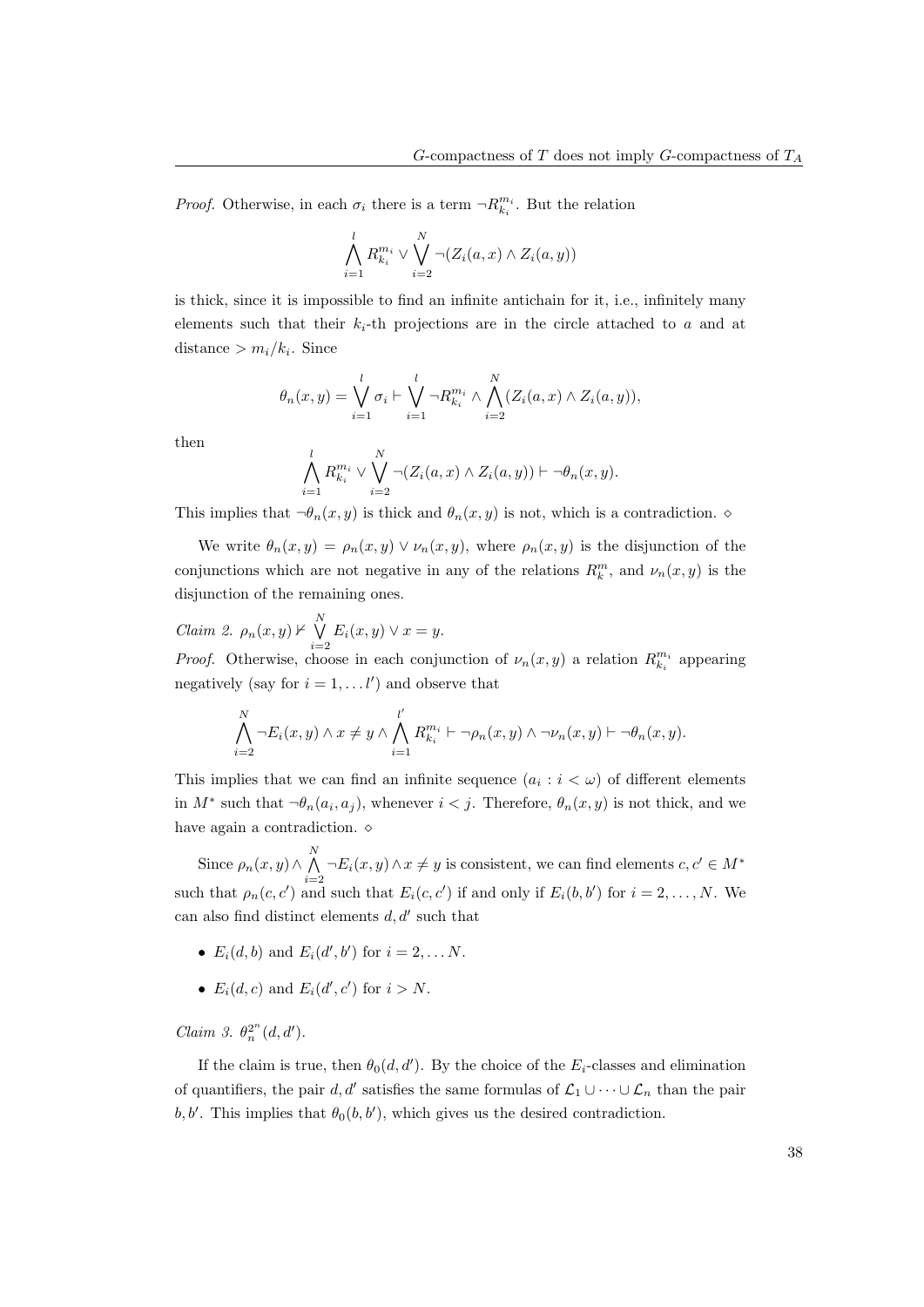*Proof.* Otherwise, in each  $\sigma_i$  there is a term  $\neg R_{k_i}^{m_i}$ . But the relation

$$
\bigwedge_{i=1}^{l} R_{k_i}^{m_i} \vee \bigvee_{i=2}^{N} \neg (Z_i(a, x) \wedge Z_i(a, y))
$$

is thick, since it is impossible to find an infinite antichain for it, i.e., infinitely many elements such that their  $k_i$ -th projections are in the circle attached to a and at distance  $> m_i/k_i$ . Since

$$
\theta_n(x,y) = \bigvee_{i=1}^l \sigma_i \vdash \bigvee_{i=1}^l \neg R_{k_i}^{m_i} \land \bigwedge_{i=2}^N (Z_i(a,x) \land Z_i(a,y)),
$$

then

$$
\bigwedge_{i=1}^l R_{k_i}^{m_i} \vee \bigvee_{i=2}^N \neg (Z_i(a,x) \wedge Z_i(a,y)) \vdash \neg \theta_n(x,y).
$$

This implies that  $\neg \theta_n(x, y)$  is thick and  $\theta_n(x, y)$  is not, which is a contradiction.  $\diamond$ 

We write  $\theta_n(x, y) = \rho_n(x, y) \vee \nu_n(x, y)$ , where  $\rho_n(x, y)$  is the disjunction of the conjunctions which are not negative in any of the relations  $R_k^m$ , and  $\nu_n(x, y)$  is the disjunction of the remaining ones.

Claim 2.  $\rho_n(x, y) \nvdash \bigvee^N$  $\bigvee_{i=2} E_i(x, y) \vee x = y.$ *Proof.* Otherwise, choose in each conjunction of  $\nu_n(x, y)$  a relation  $R_{k_i}^{m_i}$  appearing negatively (say for  $i = 1, \ldots l'$ ) and observe that

$$
\bigwedge_{i=2}^N \neg E_i(x, y) \land x \neq y \land \bigwedge_{i=1}^{l'} R_{k_i}^{m_i} \vdash \neg \rho_n(x, y) \land \neg \nu_n(x, y) \vdash \neg \theta_n(x, y).
$$

This implies that we can find an infinite sequence  $(a_i : i < \omega)$  of different elements in  $M^*$  such that  $\neg \theta_n(a_i, a_j)$ , whenever  $i < j$ . Therefore,  $\theta_n(x, y)$  is not thick, and we have again a contradiction.  $\diamond$ 

Since  $\rho_n(x, y) \wedge \bigwedge^N$  $\bigwedge_{i=2} \neg E_i(x, y) \land x \neq y$  is consistent, we can find elements  $c, c' \in M^*$ such that  $\rho_n(c, c')$  and such that  $E_i(c, c')$  if and only if  $E_i(b, b')$  for  $i = 2, \ldots, N$ . We can also find distinct elements  $d, d'$  such that

- $E_i(d, b)$  and  $E_i(d', b')$  for  $i = 2, \ldots N$ .
- $E_i(d, c)$  and  $E_i(d', c')$  for  $i > N$ .

Claim 3.  $\theta_n^{2^n}(d, d')$ .

If the claim is true, then  $\theta_0(d, d')$ . By the choice of the  $E_i$ -classes and elimination of quantifiers, the pair d, d' satisfies the same formulas of  $\mathcal{L}_1 \cup \cdots \cup \mathcal{L}_n$  than the pair  $b, b'$ . This implies that  $\theta_0(b, b')$ , which gives us the desired contradiction.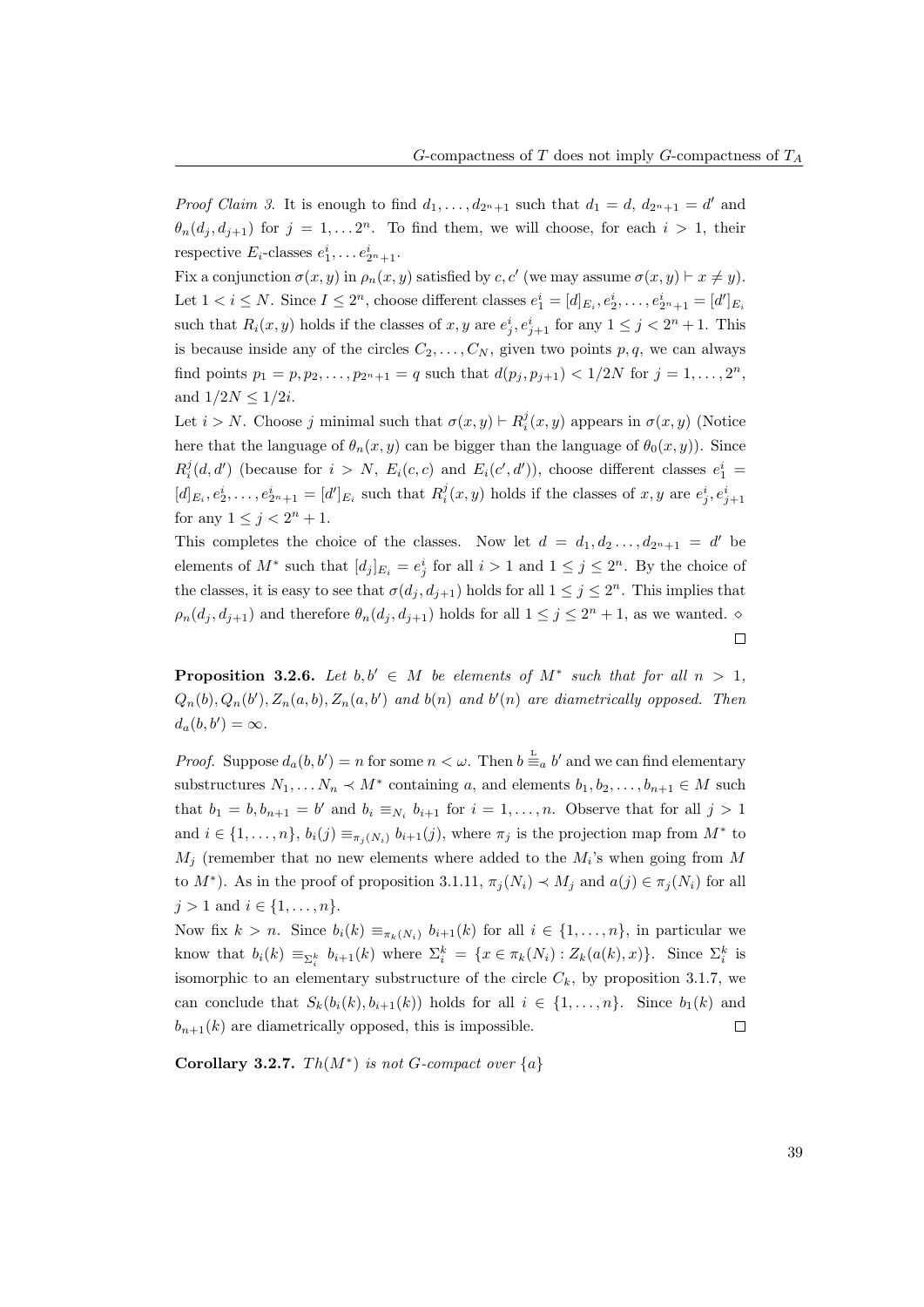*Proof Claim 3.* It is enough to find  $d_1, \ldots, d_{2^n+1}$  such that  $d_1 = d, d_{2^n+1} = d'$  and  $\theta_n(d_j, d_{j+1})$  for  $j = 1, \ldots 2^n$ . To find them, we will choose, for each  $i > 1$ , their respective  $E_i$ -classes  $e_1^i, \ldots e_{2n+1}^i$ .

Fix a conjunction  $\sigma(x, y)$  in  $\rho_n(x, y)$  satisfied by c, c' (we may assume  $\sigma(x, y) \vdash x \neq y$ ). Let  $1 < i \leq N$ . Since  $I \leq 2<sup>n</sup>$ , choose different classes  $e_1^i = [d]_{E_i}, e_2^i, \ldots, e_{2<sup>n</sup>+1}^i = [d']_{E_i}$ such that  $R_i(x, y)$  holds if the classes of  $x, y$  are  $e_j^i, e_{j+1}^i$  for any  $1 \leq j < 2^n + 1$ . This is because inside any of the circles  $C_2, \ldots, C_N$ , given two points p, q, we can always find points  $p_1 = p, p_2, \ldots, p_{2^n+1} = q$  such that  $d(p_j, p_{j+1}) < 1/2N$  for  $j = 1, \ldots, 2^n$ , and  $1/2N \le 1/2i$ .

Let  $i > N$ . Choose j minimal such that  $\sigma(x, y) \vdash R_i^j(x, y)$  appears in  $\sigma(x, y)$  (Notice here that the language of  $\theta_n(x, y)$  can be bigger than the language of  $\theta_0(x, y)$ ). Since  $R_i^j(d, d')$  (because for  $i > N$ ,  $E_i(c, c)$  and  $E_i(c', d')$ ), choose different classes  $e_1^i =$  $[d]_{E_i}, e_2^i, \ldots, e_{2n+1}^i = [d']_{E_i}$  such that  $R_i^j(x, y)$  holds if the classes of  $x, y$  are  $e_j^i, e_{j+1}^i$ for any  $1 \le j < 2^n + 1$ .

This completes the choice of the classes. Now let  $d = d_1, d_2, \ldots, d_{2^n+1} = d'$  be elements of  $M^*$  such that  $[d_j]_{E_i} = e_j^i$  for all  $i > 1$  and  $1 \le j \le 2^n$ . By the choice of the classes, it is easy to see that  $\sigma(d_j, d_{j+1})$  holds for all  $1 \leq j \leq 2^n$ . This implies that  $\rho_n(d_j, d_{j+1})$  and therefore  $\theta_n(d_j, d_{j+1})$  holds for all  $1 \leq j \leq 2^n + 1$ , as we wanted.  $\diamond$  $\Box$ 

**Proposition 3.2.6.** Let  $b, b' \in M$  be elements of  $M^*$  such that for all  $n > 1$ ,  $Q_n(b), Q_n(b'), Z_n(a, b), Z_n(a, b')$  and  $b(n)$  and  $b'(n)$  are diametrically opposed. Then  $d_a(b, b') = \infty.$ 

*Proof.* Suppose  $d_a(b, b') = n$  for some  $n < \omega$ . Then  $b \stackrel{L}{=} a b'$  and we can find elementary substructures  $N_1, \ldots N_n \prec M^*$  containing a, and elements  $b_1, b_2, \ldots, b_{n+1} \in M$  such that  $b_1 = b, b_{n+1} = b'$  and  $b_i \equiv_{N_i} b_{i+1}$  for  $i = 1, ..., n$ . Observe that for all  $j > 1$ and  $i \in \{1, \ldots, n\}, b_i(j) \equiv_{\pi_j(N_i)} b_{i+1}(j)$ , where  $\pi_j$  is the projection map from  $M^*$  to  $M_j$  (remember that no new elements where added to the  $M_i$ 's when going from M to  $M^*$ ). As in the proof of proposition 3.1.11,  $\pi_j(N_i) \prec M_j$  and  $a(j) \in \pi_j(N_i)$  for all  $j > 1$  and  $i \in \{1, ..., n\}$ .

Now fix  $k > n$ . Since  $b_i(k) \equiv_{\pi_k(N_i)} b_{i+1}(k)$  for all  $i \in \{1, ..., n\}$ , in particular we know that  $b_i(k) \equiv_{\Sigma_i^k} b_{i+1}(k)$  where  $\Sigma_i^k = \{x \in \pi_k(N_i) : Z_k(a(k), x)\}\.$  Since  $\Sigma_i^k$  is isomorphic to an elementary substructure of the circle  $C_k$ , by proposition 3.1.7, we can conclude that  $S_k(b_i(k), b_{i+1}(k))$  holds for all  $i \in \{1, ..., n\}$ . Since  $b_1(k)$  and  $b_{n+1}(k)$  are diametrically opposed, this is impossible.  $\Box$ 

Corollary 3.2.7.  $Th(M^*)$  is not G-compact over  $\{a\}$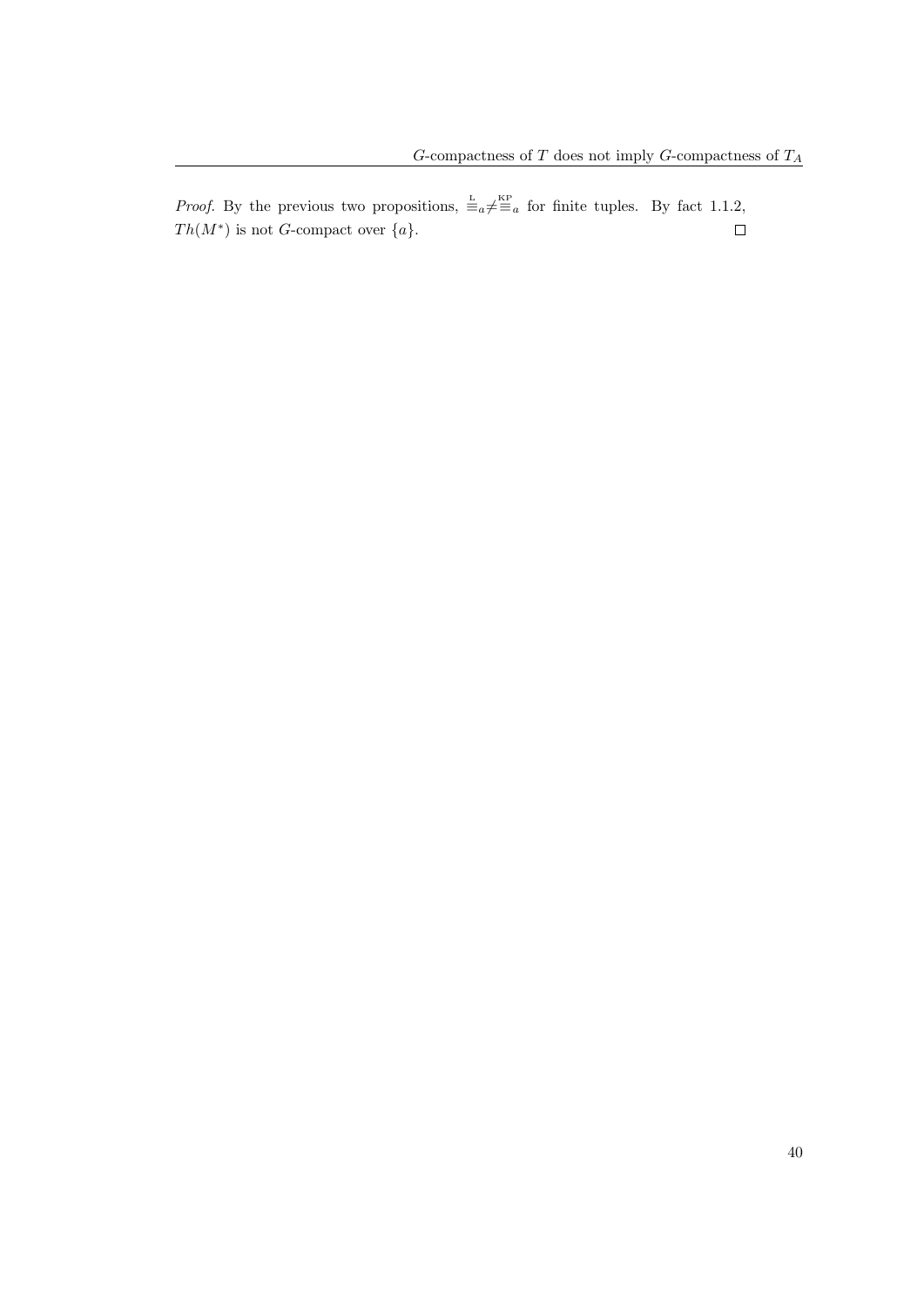*Proof.* By the previous two propositions,  $\frac{L}{=}a \neq \frac{KP}{=}a$  for finite tuples. By fact 1.1.2,  $\Box$  $Th(M^*)$  is not G-compact over  $\{a\}.$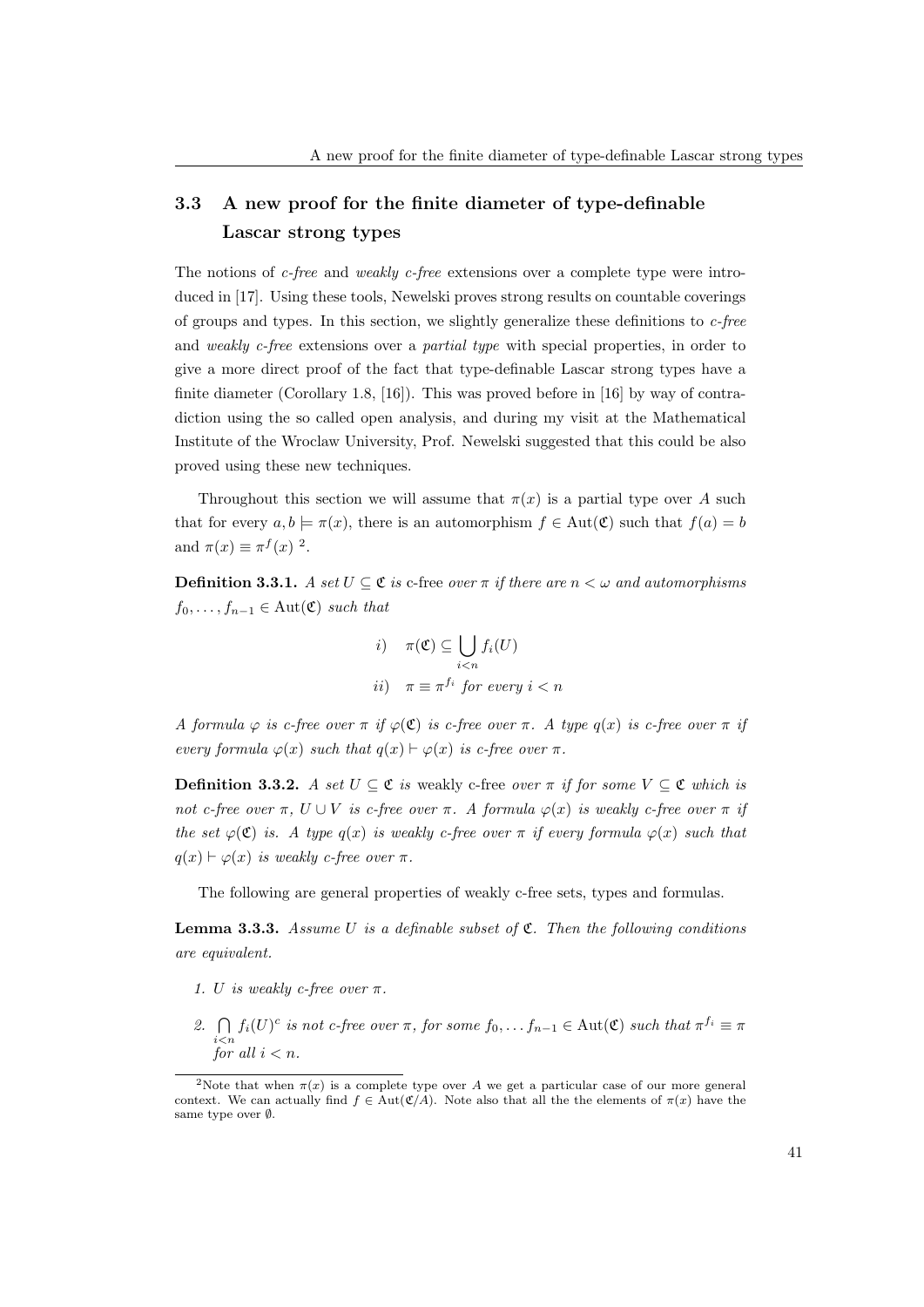## 3.3 A new proof for the finite diameter of type-definable Lascar strong types

The notions of *c-free* and *weakly c-free* extensions over a complete type were introduced in [17]. Using these tools, Newelski proves strong results on countable coverings of groups and types. In this section, we slightly generalize these definitions to  $c$ -free and weakly c-free extensions over a partial type with special properties, in order to give a more direct proof of the fact that type-definable Lascar strong types have a finite diameter (Corollary 1.8, [16]). This was proved before in [16] by way of contradiction using the so called open analysis, and during my visit at the Mathematical Institute of the Wroclaw University, Prof. Newelski suggested that this could be also proved using these new techniques.

Throughout this section we will assume that  $\pi(x)$  is a partial type over A such that for every  $a, b \models \pi(x)$ , there is an automorphism  $f \in Aut(\mathfrak{C})$  such that  $f(a) = b$ and  $\pi(x) \equiv \pi^f(x)^2$ .

**Definition 3.3.1.** A set  $U \subseteq \mathfrak{C}$  is c-free over  $\pi$  if there are  $n < \omega$  and automorphisms  $f_0, \ldots, f_{n-1} \in \text{Aut}(\mathfrak{C})$  such that

$$
\begin{aligned}\ni) & \pi(\mathfrak{C}) \subseteq \bigcup_{i < n} f_i(U) \\
ii) & \pi \equiv \pi^{f_i} \text{ for every } i < n\n\end{aligned}
$$

A formula  $\varphi$  is c-free over  $\pi$  if  $\varphi(\mathfrak{C})$  is c-free over  $\pi$ . A type  $q(x)$  is c-free over  $\pi$  if every formula  $\varphi(x)$  such that  $q(x) \vdash \varphi(x)$  is c-free over  $\pi$ .

**Definition 3.3.2.** A set  $U \subseteq \mathfrak{C}$  is weakly c-free over  $\pi$  if for some  $V \subseteq \mathfrak{C}$  which is not c-free over  $\pi$ ,  $U \cup V$  is c-free over  $\pi$ . A formula  $\varphi(x)$  is weakly c-free over  $\pi$  if the set  $\varphi(\mathfrak{C})$  is. A type  $q(x)$  is weakly c-free over  $\pi$  if every formula  $\varphi(x)$  such that  $q(x) \vdash \varphi(x)$  is weakly c-free over  $\pi$ .

The following are general properties of weakly c-free sets, types and formulas.

**Lemma 3.3.3.** Assume U is a definable subset of  $\mathfrak{C}$ . Then the following conditions are equivalent.

- 1. U is weakly c-free over  $\pi$ .
- 2.  $\bigcap$  $\bigcap_{i\leq n} f_i(U)^c$  is not c-free over  $\pi$ , for some  $f_0, \ldots, f_{n-1} \in \text{Aut}(\mathfrak{C})$  such that  $\pi^{f_i} \equiv \pi$ for all  $i < n$ .

<sup>&</sup>lt;sup>2</sup>Note that when  $\pi(x)$  is a complete type over A we get a particular case of our more general context. We can actually find  $f \in Aut(\mathfrak{C}/A)$ . Note also that all the the elements of  $\pi(x)$  have the same type over ∅.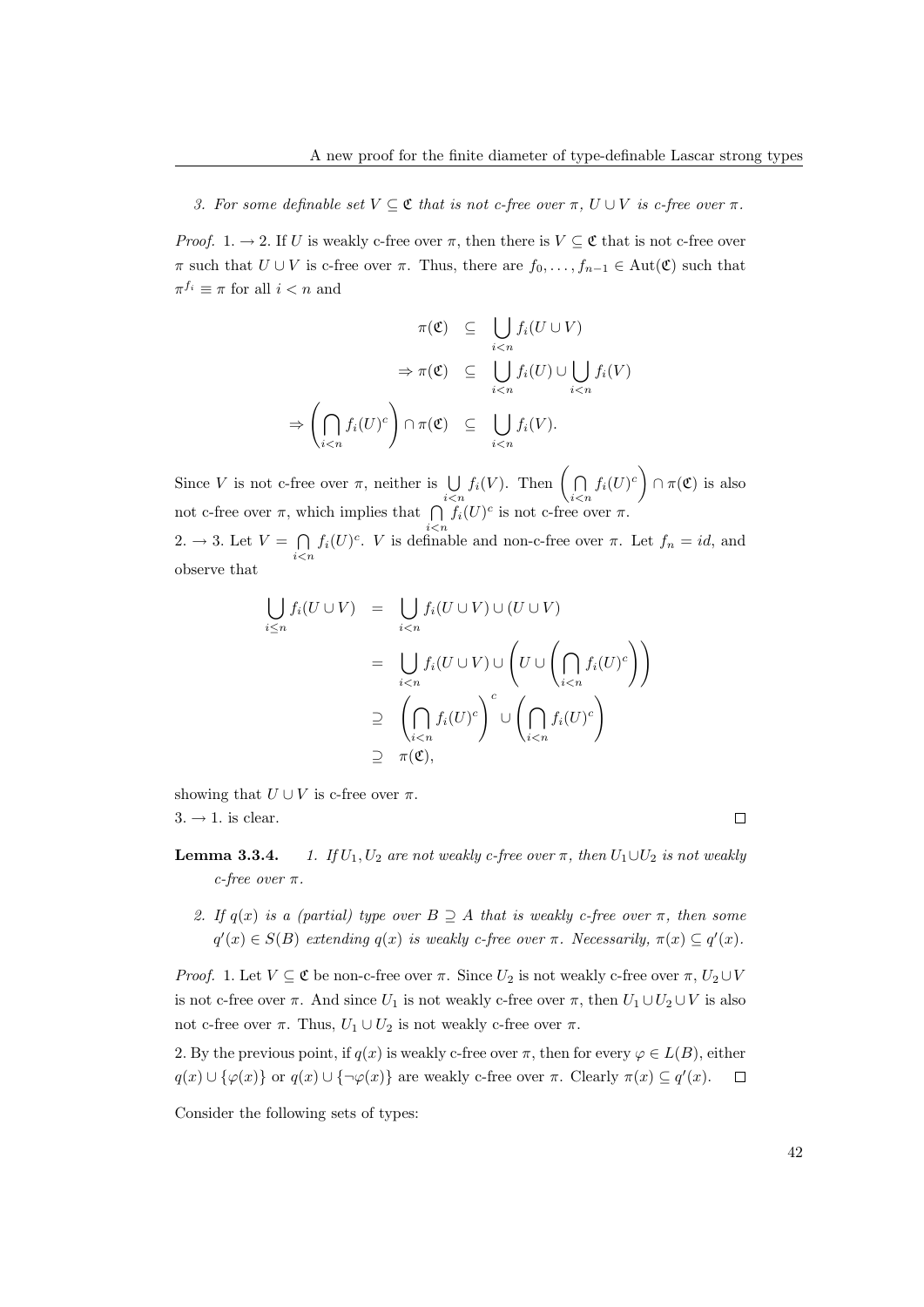3. For some definable set  $V \subseteq \mathfrak{C}$  that is not c-free over  $\pi$ ,  $U \cup V$  is c-free over  $\pi$ .

*Proof.* 1.  $\rightarrow$  2. If U is weakly c-free over  $\pi$ , then there is  $V \subseteq \mathfrak{C}$  that is not c-free over π such that  $U \cup V$  is c-free over π. Thus, there are  $f_0, \ldots, f_{n-1}$  ∈ Aut(**C**) such that  $\pi^{f_i} \equiv \pi$  for all  $i < n$  and

$$
\pi(\mathfrak{C}) \subseteq \bigcup_{i < n} f_i(U \cup V)
$$
\n
$$
\Rightarrow \pi(\mathfrak{C}) \subseteq \bigcup_{i < n} f_i(U) \cup \bigcup_{i < n} f_i(V)
$$
\n
$$
\Rightarrow \left(\bigcap_{i < n} f_i(U)^c\right) \cap \pi(\mathfrak{C}) \subseteq \bigcup_{i < n} f_i(V).
$$

Since V is not c-free over  $\pi$ , neither is  $\bigcup$  $\bigcup_{i < n} f_i(V)$ . Then  $\left(\bigcap_{i < n} f_i(V)\right)$  $\left(\bigcap_{i\leq n} f_i(U)^c\right) \cap \pi(\mathfrak{C})$  is also not c-free over  $\pi$ , which implies that  $\bigcap$  $\bigcap_{i \leq n} f_i(U)^c$  is not c-free over  $\pi$ .

 $2. \rightarrow 3.$  Let  $V = \bigcap$  $\bigcap_{i \le n} f_i(U)^c$ . *V* is definable and non-c-free over π. Let  $f_n = id$ , and observe that

$$
\bigcup_{i \leq n} f_i(U \cup V) = \bigcup_{i < n} f_i(U \cup V) \cup (U \cup V)
$$
\n
$$
= \bigcup_{i < n} f_i(U \cup V) \cup \left( U \cup \left( \bigcap_{i < n} f_i(U)^c \right) \right)
$$
\n
$$
\supseteq \left( \bigcap_{i < n} f_i(U)^c \right)^c \cup \left( \bigcap_{i < n} f_i(U)^c \right)
$$
\n
$$
\supseteq \pi(\mathfrak{C}),
$$

showing that  $U \cup V$  is c-free over  $\pi$ .  $3. \rightarrow 1.$  is clear.

**Lemma 3.3.4.** 1. If  $U_1, U_2$  are not weakly c-free over  $\pi$ , then  $U_1 \cup U_2$  is not weakly c-free over π.

2. If  $q(x)$  is a (partial) type over  $B \supseteq A$  that is weakly c-free over  $\pi$ , then some  $q'(x) \in S(B)$  extending  $q(x)$  is weakly c-free over  $\pi$ . Necessarily,  $\pi(x) \subseteq q'(x)$ .

Proof. 1. Let  $V \subseteq \mathfrak{C}$  be non-c-free over  $\pi$ . Since  $U_2$  is not weakly c-free over  $\pi$ ,  $U_2 \cup V$ is not c-free over  $\pi$ . And since  $U_1$  is not weakly c-free over  $\pi$ , then  $U_1 \cup U_2 \cup V$  is also not c-free over  $\pi$ . Thus,  $U_1 \cup U_2$  is not weakly c-free over  $\pi$ .

2. By the previous point, if  $q(x)$  is weakly c-free over  $\pi$ , then for every  $\varphi \in L(B)$ , either  $q(x) \cup {\varphi(x)}$  or  $q(x) \cup {\neg \varphi(x)}$  are weakly c-free over  $\pi$ . Clearly  $\pi(x) \subseteq q'(x)$ .  $\Box$ 

Consider the following sets of types:

 $\Box$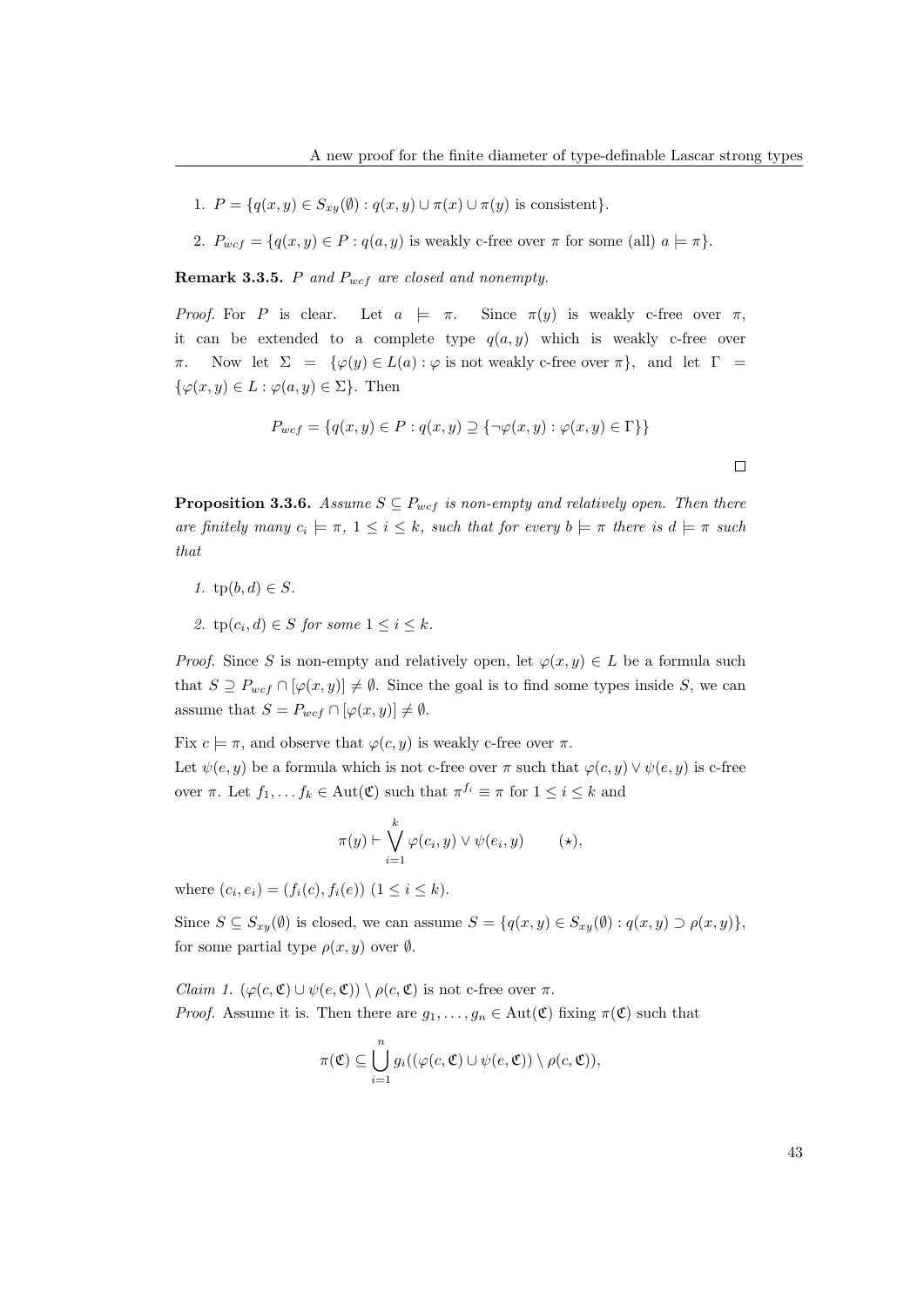- 1.  $P = \{q(x, y) \in S_{x,y}(\emptyset) : q(x, y) \cup \pi(x) \cup \pi(y) \text{ is consistent}\}.$
- 2.  $P_{wcf} = \{q(x, y) \in P : q(a, y) \text{ is weakly c-free over } \pi \text{ for some (all) } a \models \pi \}.$

**Remark 3.3.5.** P and  $P_{wcf}$  are closed and nonempty.

*Proof.* For P is clear. Let  $a \models \pi$ . Since  $\pi(y)$  is weakly c-free over  $\pi$ , it can be extended to a complete type  $q(a, y)$  which is weakly c-free over π. Now let  $\Sigma = {\varphi(y) \in L(a) : \varphi \text{ is not weakly c-free over } \pi}, \text{ and let } \Gamma =$  $\{\varphi(x,y)\in L : \varphi(a,y)\in \Sigma\}.$  Then

$$
P_{wcf} = \{q(x, y) \in P : q(x, y) \supseteq \{\neg \varphi(x, y) : \varphi(x, y) \in \Gamma\}\}\
$$

**Proposition 3.3.6.** Assume  $S \subseteq P_{wcf}$  is non-empty and relatively open. Then there are finitely many  $c_i \models \pi$ ,  $1 \leq i \leq k$ , such that for every  $b \models \pi$  there is  $d \models \pi$  such that

- 1.  $\text{tp}(b, d) \in S$ .
- 2.  $tp(c_i, d) \in S$  for some  $1 \leq i \leq k$ .

*Proof.* Since S is non-empty and relatively open, let  $\varphi(x, y) \in L$  be a formula such that  $S \supseteq P_{wcf} \cap [\varphi(x,y)] \neq \emptyset$ . Since the goal is to find some types inside S, we can assume that  $S = P_{wcf} \cap [\varphi(x, y)] \neq \emptyset$ .

Fix  $c \models \pi$ , and observe that  $\varphi(c, y)$  is weakly c-free over  $\pi$ .

Let  $\psi(e, y)$  be a formula which is not c-free over  $\pi$  such that  $\varphi(c, y) \vee \psi(e, y)$  is c-free over  $\pi$ . Let  $f_1, \ldots, f_k \in \text{Aut}(\mathfrak{C})$  such that  $\pi^{f_i} \equiv \pi$  for  $1 \leq i \leq k$  and

$$
\pi(y) \vdash \bigvee_{i=1}^{k} \varphi(c_i, y) \vee \psi(e_i, y) \qquad (*)
$$

where  $(c_i, e_i) = (f_i(c), f_i(e))$   $(1 \le i \le k)$ .

Since  $S \subseteq S_{xy}(\emptyset)$  is closed, we can assume  $S = \{q(x, y) \in S_{xy}(\emptyset) : q(x, y) \supset \rho(x, y)\},$ for some partial type  $\rho(x, y)$  over  $\emptyset$ .

*Claim 1.*  $(\varphi(c, \mathfrak{C}) \cup \psi(e, \mathfrak{C})) \setminus \rho(c, \mathfrak{C})$  is not c-free over  $\pi$ . *Proof.* Assume it is. Then there are  $g_1, \ldots, g_n \in \text{Aut}(\mathfrak{C})$  fixing  $\pi(\mathfrak{C})$  such that

$$
\pi(\mathfrak{C}) \subseteq \bigcup_{i=1}^n g_i((\varphi(c,\mathfrak{C}) \cup \psi(e,\mathfrak{C})) \setminus \rho(c,\mathfrak{C})),
$$

 $\Box$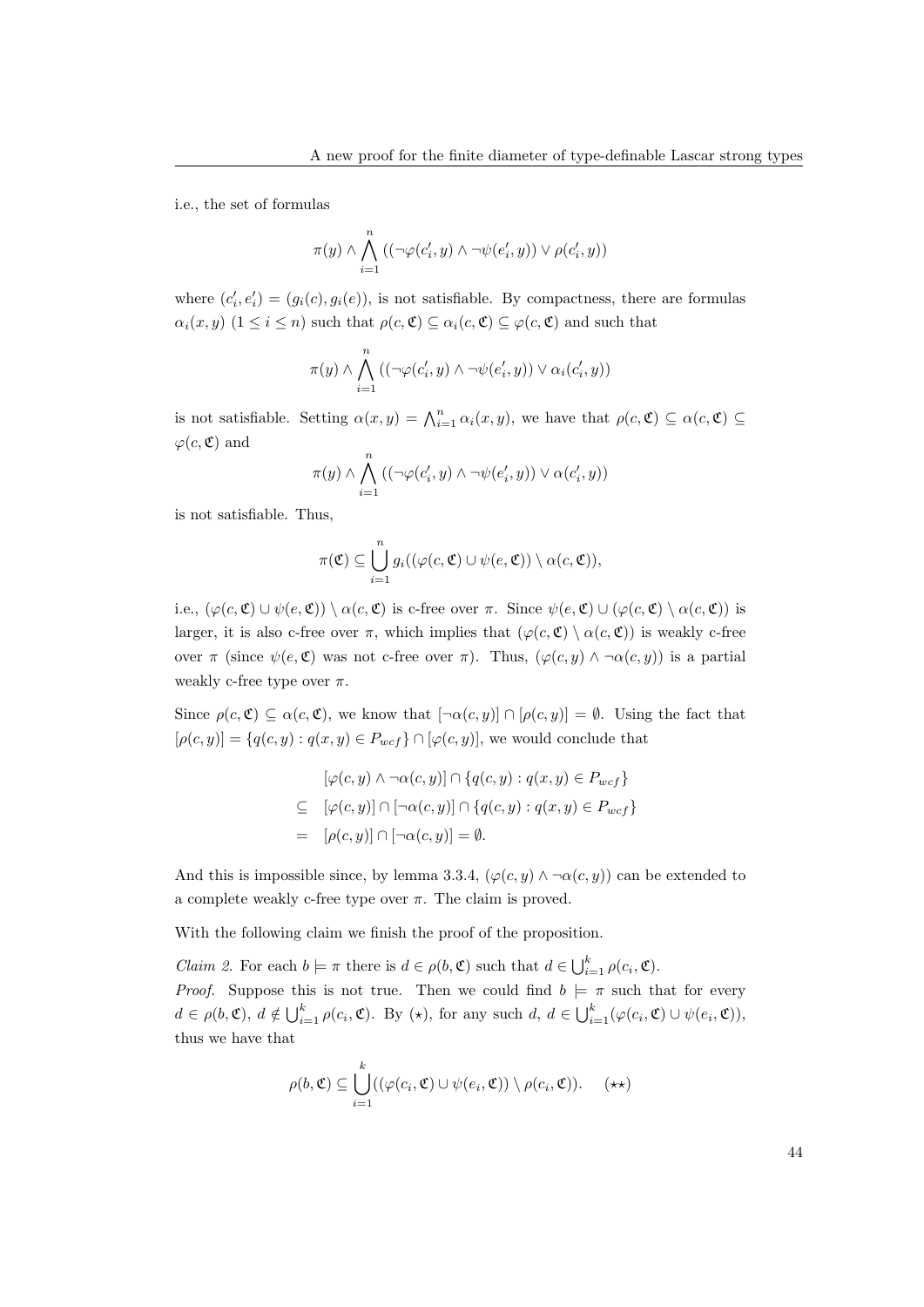i.e., the set of formulas

$$
\pi(y)\wedge \bigwedge_{i=1}^n\left((\neg\varphi(c'_i,y)\wedge\neg\psi(e'_i,y))\vee\rho(c'_i,y)\right)
$$

where  $(c_i', e_i') = (g_i(c), g_i(e))$ , is not satisfiable. By compactness, there are formulas  $\alpha_i(x, y)$   $(1 \leq i \leq n)$  such that  $\rho(c, \mathfrak{C}) \subseteq \alpha_i(c, \mathfrak{C}) \subseteq \varphi(c, \mathfrak{C})$  and such that

$$
\pi(y) \wedge \bigwedge_{i=1}^{n} ((\neg \varphi(c'_i, y) \wedge \neg \psi(e'_i, y)) \vee \alpha_i(c'_i, y))
$$

is not satisfiable. Setting  $\alpha(x, y) = \bigwedge_{i=1}^{n} \alpha_i(x, y)$ , we have that  $\rho(c, \mathfrak{C}) \subseteq \alpha(c, \mathfrak{C}) \subseteq$  $\varphi(c, \mathfrak{C})$  and

$$
\pi(y)\land\bigwedge_{i=1}^n\left((\neg\varphi(c'_i,y)\land\neg\psi(e'_i,y)\right)\lor\alpha(c'_i,y)\right)
$$

is not satisfiable. Thus,

$$
\pi(\mathfrak{C}) \subseteq \bigcup_{i=1}^n g_i((\varphi(c,\mathfrak{C}) \cup \psi(e,\mathfrak{C})) \setminus \alpha(c,\mathfrak{C})),
$$

i.e.,  $(\varphi(c, \mathfrak{C}) \cup \psi(e, \mathfrak{C})) \setminus \alpha(c, \mathfrak{C})$  is c-free over  $\pi$ . Since  $\psi(e, \mathfrak{C}) \cup (\varphi(c, \mathfrak{C}) \setminus \alpha(c, \mathfrak{C}))$  is larger, it is also c-free over  $\pi$ , which implies that  $(\varphi(c, \mathfrak{C}) \setminus \alpha(c, \mathfrak{C}))$  is weakly c-free over  $\pi$  (since  $\psi(e, \mathfrak{C})$  was not c-free over  $\pi$ ). Thus,  $(\varphi(c, y) \wedge \neg \alpha(c, y))$  is a partial weakly c-free type over  $\pi$ .

Since  $\rho(c, \mathfrak{C}) \subseteq \alpha(c, \mathfrak{C})$ , we know that  $[\neg \alpha(c, y)] \cap [\rho(c, y)] = \emptyset$ . Using the fact that  $[\rho(c, y)] = \{q(c, y) : q(x, y) \in P_{wcf}\} \cap [\varphi(c, y)]$ , we would conclude that

$$
[\varphi(c, y) \land \neg \alpha(c, y)] \cap \{q(c, y) : q(x, y) \in P_{wcf}\}\
$$
  
\n
$$
\subseteq [\varphi(c, y)] \cap [\neg \alpha(c, y)] \cap \{q(c, y) : q(x, y) \in P_{wcf}\}\
$$
  
\n
$$
= [\rho(c, y)] \cap [\neg \alpha(c, y)] = \emptyset.
$$

And this is impossible since, by lemma 3.3.4,  $(\varphi(c, y) \wedge \neg \alpha(c, y))$  can be extended to a complete weakly c-free type over  $\pi$ . The claim is proved.

With the following claim we finish the proof of the proposition.

*Claim 2.* For each  $b \models \pi$  there is  $d \in \rho(b, \mathfrak{C})$  such that  $d \in \bigcup_{i=1}^{k} \rho(c_i, \mathfrak{C})$ . *Proof.* Suppose this is not true. Then we could find  $b \models \pi$  such that for every  $d \in \rho(b, \mathfrak{C}), d \notin \bigcup_{i=1}^k \rho(c_i, \mathfrak{C}).$  By  $(\star)$ , for any such  $d, d \in \bigcup_{i=1}^k (\varphi(c_i, \mathfrak{C}) \cup \psi(e_i, \mathfrak{C})),$ thus we have that

$$
\rho(b,\mathfrak{C}) \subseteq \bigcup_{i=1}^k ((\varphi(c_i,\mathfrak{C}) \cup \psi(e_i,\mathfrak{C})) \setminus \rho(c_i,\mathfrak{C})). \quad (\star \star)
$$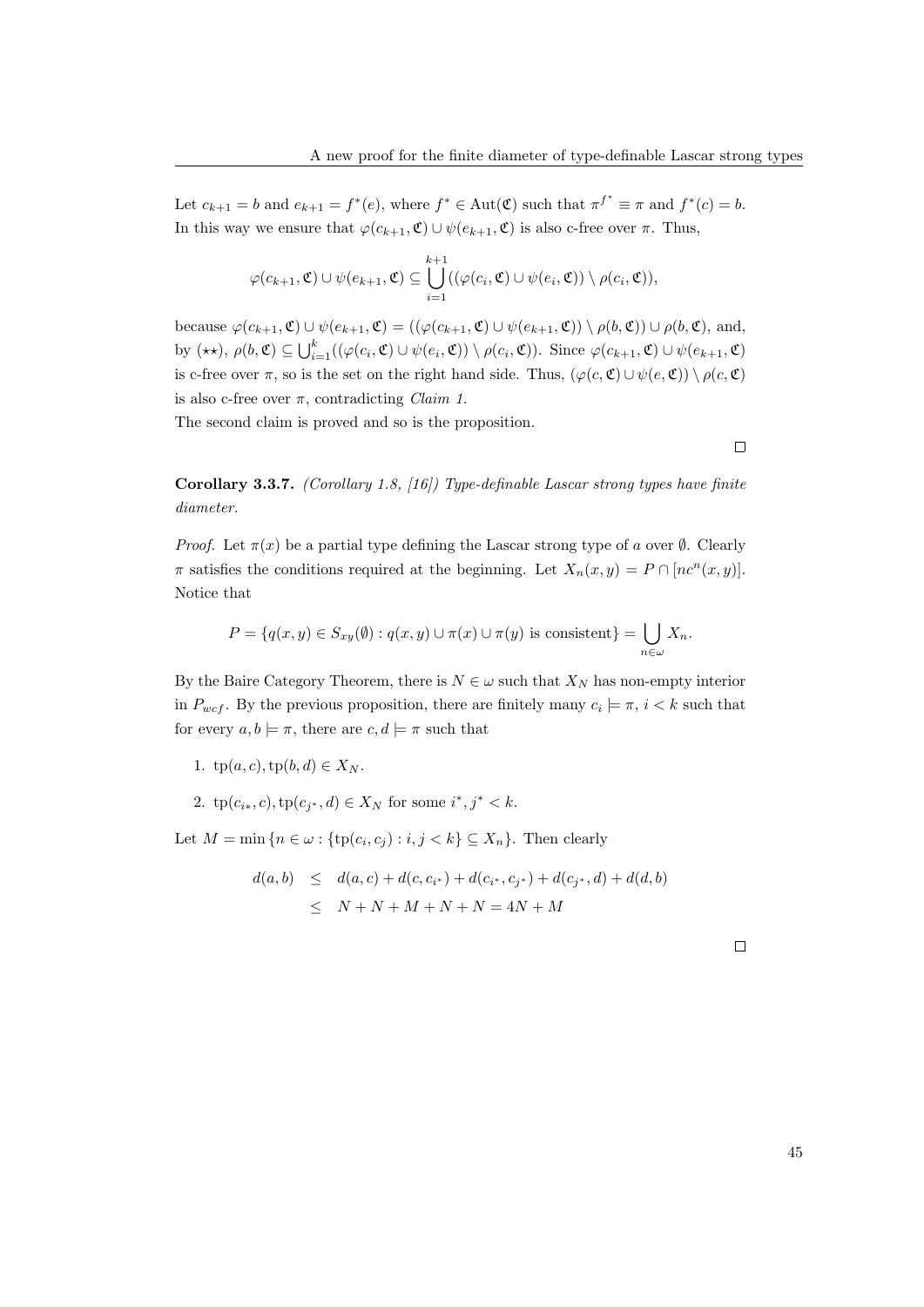Let  $c_{k+1} = b$  and  $e_{k+1} = f^*(e)$ , where  $f^* \in \text{Aut}(\mathfrak{C})$  such that  $\pi^{f^*} \equiv \pi$  and  $f^*(c) = b$ . In this way we ensure that  $\varphi(c_{k+1}, \mathfrak{C}) \cup \psi(e_{k+1}, \mathfrak{C})$  is also c-free over  $\pi$ . Thus,

$$
\varphi(c_{k+1}, \mathfrak{C}) \cup \psi(e_{k+1}, \mathfrak{C}) \subseteq \bigcup_{i=1}^{k+1} ((\varphi(c_i, \mathfrak{C}) \cup \psi(e_i, \mathfrak{C})) \setminus \rho(c_i, \mathfrak{C})),
$$

because  $\varphi(c_{k+1}, \mathfrak{C}) \cup \psi(e_{k+1}, \mathfrak{C}) = ((\varphi(c_{k+1}, \mathfrak{C}) \cup \psi(e_{k+1}, \mathfrak{C})) \setminus \rho(b, \mathfrak{C})) \cup \rho(b, \mathfrak{C}),$  and, by  $(\star \star), \rho(b,\mathfrak{C}) \subseteq \bigcup_{i=1}^k ((\varphi(c_i,\mathfrak{C}) \cup \psi(e_i,\mathfrak{C})) \setminus \rho(c_i,\mathfrak{C}))$ . Since  $\varphi(c_{k+1},\mathfrak{C}) \cup \psi(e_{k+1},\mathfrak{C})$ is c-free over  $\pi$ , so is the set on the right hand side. Thus,  $(\varphi(c, \mathfrak{C}) \cup \psi(e, \mathfrak{C})) \setminus \rho(c, \mathfrak{C})$ is also c-free over  $\pi$ , contradicting *Claim 1*.

The second claim is proved and so is the proposition.

Corollary 3.3.7. (Corollary 1.8, [16]) Type-definable Lascar strong types have finite diameter.

*Proof.* Let  $\pi(x)$  be a partial type defining the Lascar strong type of a over  $\emptyset$ . Clearly  $\pi$  satisfies the conditions required at the beginning. Let  $X_n(x, y) = P \cap [nc^n(x, y)].$ Notice that

$$
P = \{q(x, y) \in S_{xy}(\emptyset) : q(x, y) \cup \pi(x) \cup \pi(y) \text{ is consistent}\} = \bigcup_{n \in \omega} X_n.
$$

By the Baire Category Theorem, there is  $N \in \omega$  such that  $X_N$  has non-empty interior in  $P_{wcf}$ . By the previous proposition, there are finitely many  $c_i \models \pi, i < k$  such that for every  $a, b \models \pi$ , there are  $c, d \models \pi$  such that

- 1.  $tp(a, c), tp(b, d) \in X_N$ .
- 2.  $tp(c_{i*}, c), tp(c_{j*}, d) \in X_N$  for some  $i^*, j^* < k$ .

Let  $M = \min\{n \in \omega : \{\text{tp}(c_i, c_j) : i, j < k\} \subseteq X_n\}.$  Then clearly

$$
d(a,b) \leq d(a,c) + d(c,c_{i^*}) + d(c_{i^*},c_{j^*}) + d(c_{j^*},d) + d(d,b)
$$
  

$$
\leq N + N + M + N + N = 4N + M
$$

 $\Box$ 

 $\Box$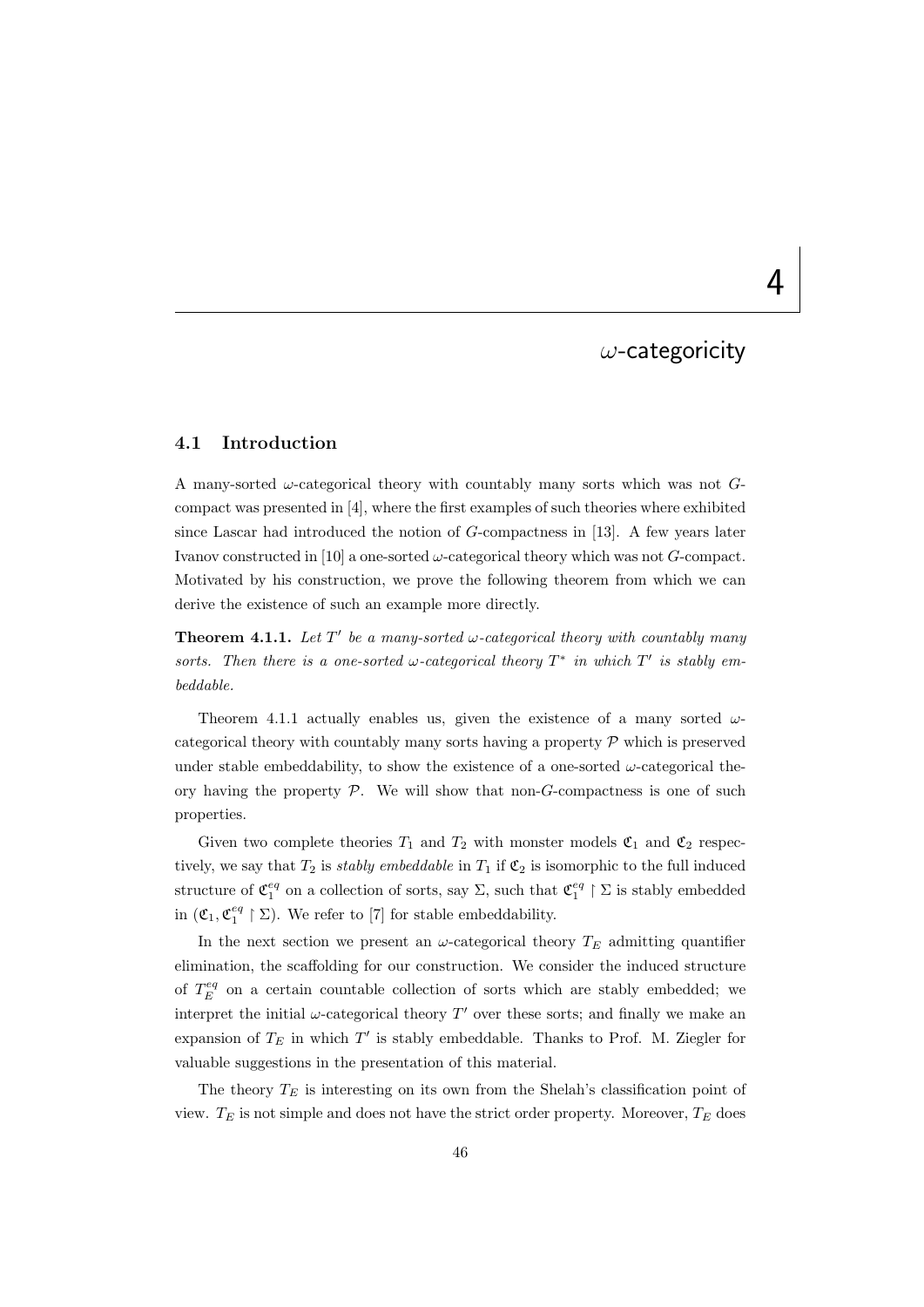## $\omega$ -categoricity

#### 4.1 Introduction

A many-sorted  $\omega$ -categorical theory with countably many sorts which was not  $G$ compact was presented in [4], where the first examples of such theories where exhibited since Lascar had introduced the notion of  $G$ -compactness in [13]. A few years later Ivanov constructed in [10] a one-sorted  $\omega$ -categorical theory which was not G-compact. Motivated by his construction, we prove the following theorem from which we can derive the existence of such an example more directly.

**Theorem 4.1.1.** Let T' be a many-sorted  $\omega$ -categorical theory with countably many sorts. Then there is a one-sorted  $\omega$ -categorical theory  $T^*$  in which  $T'$  is stably embeddable.

Theorem 4.1.1 actually enables us, given the existence of a many sorted  $\omega$ categorical theory with countably many sorts having a property  $\mathcal P$  which is preserved under stable embeddability, to show the existence of a one-sorted  $\omega$ -categorical theory having the property  $P$ . We will show that non- $G$ -compactness is one of such properties.

Given two complete theories  $T_1$  and  $T_2$  with monster models  $\mathfrak{C}_1$  and  $\mathfrak{C}_2$  respectively, we say that  $T_2$  is stably embeddable in  $T_1$  if  $\mathfrak{C}_2$  is isomorphic to the full induced structure of  $\mathfrak{C}_1^{eq}$  on a collection of sorts, say  $\Sigma$ , such that  $\mathfrak{C}_1^{eq} \restriction \Sigma$  is stably embedded in  $(\mathfrak{C}_1, \mathfrak{C}_1^{eq} \restriction \Sigma)$ . We refer to [7] for stable embeddability.

In the next section we present an  $\omega$ -categorical theory  $T_E$  admitting quantifier elimination, the scaffolding for our construction. We consider the induced structure of  $T_E^{eq}$  on a certain countable collection of sorts which are stably embedded; we interpret the initial  $\omega$ -categorical theory  $T'$  over these sorts; and finally we make an expansion of  $T_E$  in which  $T'$  is stably embeddable. Thanks to Prof. M. Ziegler for valuable suggestions in the presentation of this material.

The theory  $T_E$  is interesting on its own from the Shelah's classification point of view.  $T_E$  is not simple and does not have the strict order property. Moreover,  $T_E$  does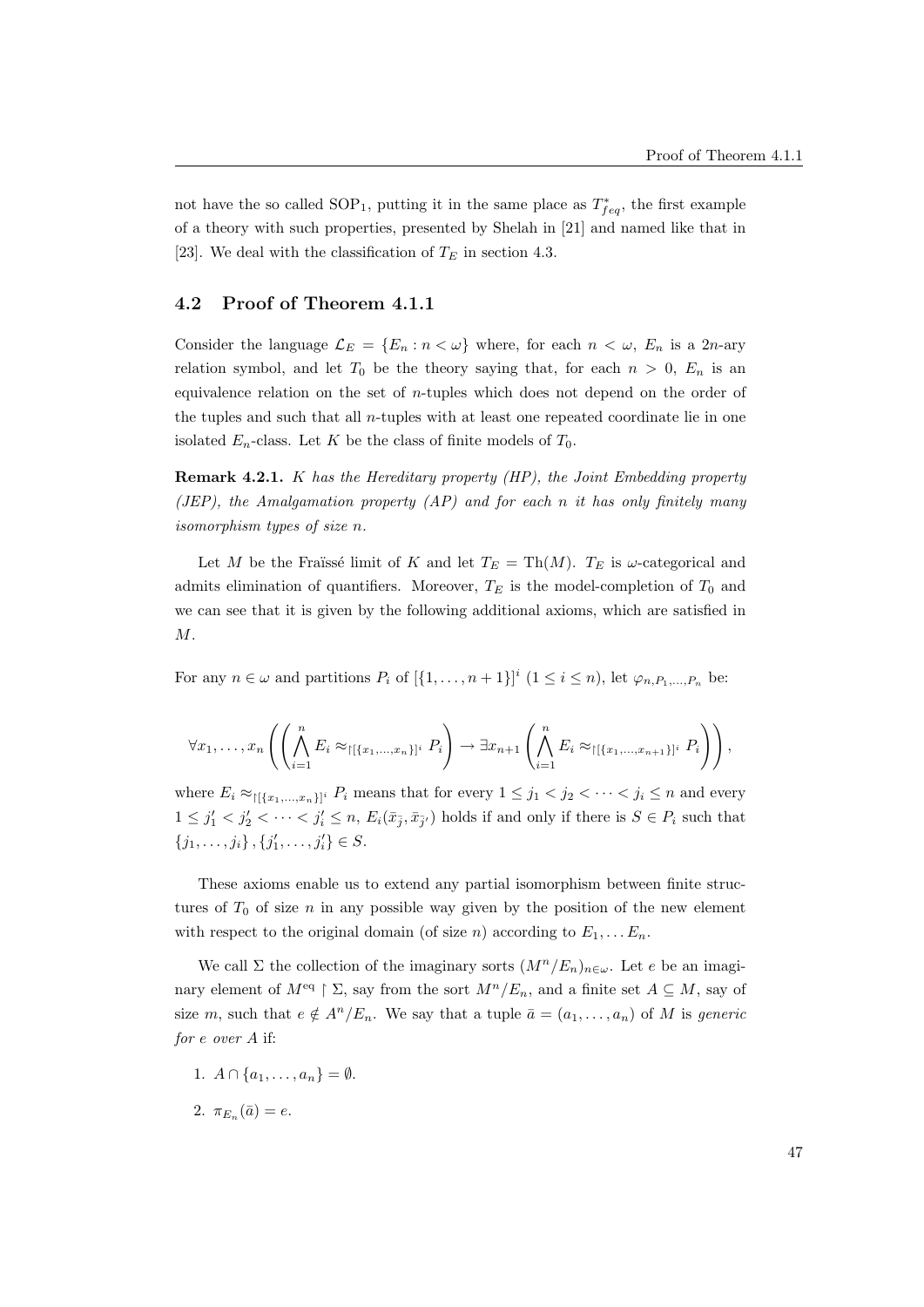not have the so called  $SOP_1$ , putting it in the same place as  $T_{feq}^*$ , the first example of a theory with such properties, presented by Shelah in [21] and named like that in [23]. We deal with the classification of  $T_E$  in section 4.3.

### 4.2 Proof of Theorem 4.1.1

Consider the language  $\mathcal{L}_E = \{E_n : n < \omega\}$  where, for each  $n < \omega$ ,  $E_n$  is a 2n-ary relation symbol, and let  $T_0$  be the theory saying that, for each  $n > 0$ ,  $E_n$  is an equivalence relation on the set of n-tuples which does not depend on the order of the tuples and such that all n-tuples with at least one repeated coordinate lie in one isolated  $E_n$ -class. Let K be the class of finite models of  $T_0$ .

**Remark 4.2.1.** K has the Hereditary property (HP), the Joint Embedding property (JEP), the Amalgamation property  $AP$ ) and for each n it has only finitely many isomorphism types of size n.

Let M be the Fraïssé limit of K and let  $T_E = Th(M)$ .  $T_E$  is  $\omega$ -categorical and admits elimination of quantifiers. Moreover,  $T_E$  is the model-completion of  $T_0$  and we can see that it is given by the following additional axioms, which are satisfied in M.

For any  $n \in \omega$  and partitions  $P_i$  of  $[\{1, \ldots, n+1\}]^i$   $(1 \le i \le n)$ , let  $\varphi_{n, P_1, \ldots, P_n}$  be:

$$
\forall x_1, \ldots, x_n \left( \left( \bigwedge_{i=1}^n E_i \approx_{\lceil \{x_1, \ldots, x_n\} \rceil^i} P_i \right) \to \exists x_{n+1} \left( \bigwedge_{i=1}^n E_i \approx_{\lceil \{x_1, \ldots, x_{n+1}\} \rceil^i} P_i \right) \right),
$$

where  $E_i \approx_{\lvert \{x_1,...,x_n\}\rvert^i} P_i$  means that for every  $1 \leq j_1 < j_2 < \cdots < j_i \leq n$  and every  $1 \leq j'_1 < j'_2 < \cdots < j'_i \leq n$ ,  $E_i(\bar{x}_{\bar{j}}, \bar{x}_{\bar{j}'})$  holds if and only if there is  $S \in P_i$  such that  $\{j_1, \ldots, j_i\}, \{j'_1, \ldots, j'_i\} \in S.$ 

These axioms enable us to extend any partial isomorphism between finite structures of  $T_0$  of size n in any possible way given by the position of the new element with respect to the original domain (of size *n*) according to  $E_1, \ldots E_n$ .

We call  $\Sigma$  the collection of the imaginary sorts  $(M^n/E_n)_{n\in\omega}$ . Let e be an imaginary element of  $M^{\text{eq}} \restriction \Sigma$ , say from the sort  $M^n/E_n$ , and a finite set  $A \subseteq M$ , say of size m, such that  $e \notin A^n / E_n$ . We say that a tuple  $\bar{a} = (a_1, \ldots, a_n)$  of M is generic for e over A if:

- 1.  $A \cap \{a_1, \ldots, a_n\} = \emptyset$ .
- 2.  $\pi_{E_n}(\bar{a}) = e$ .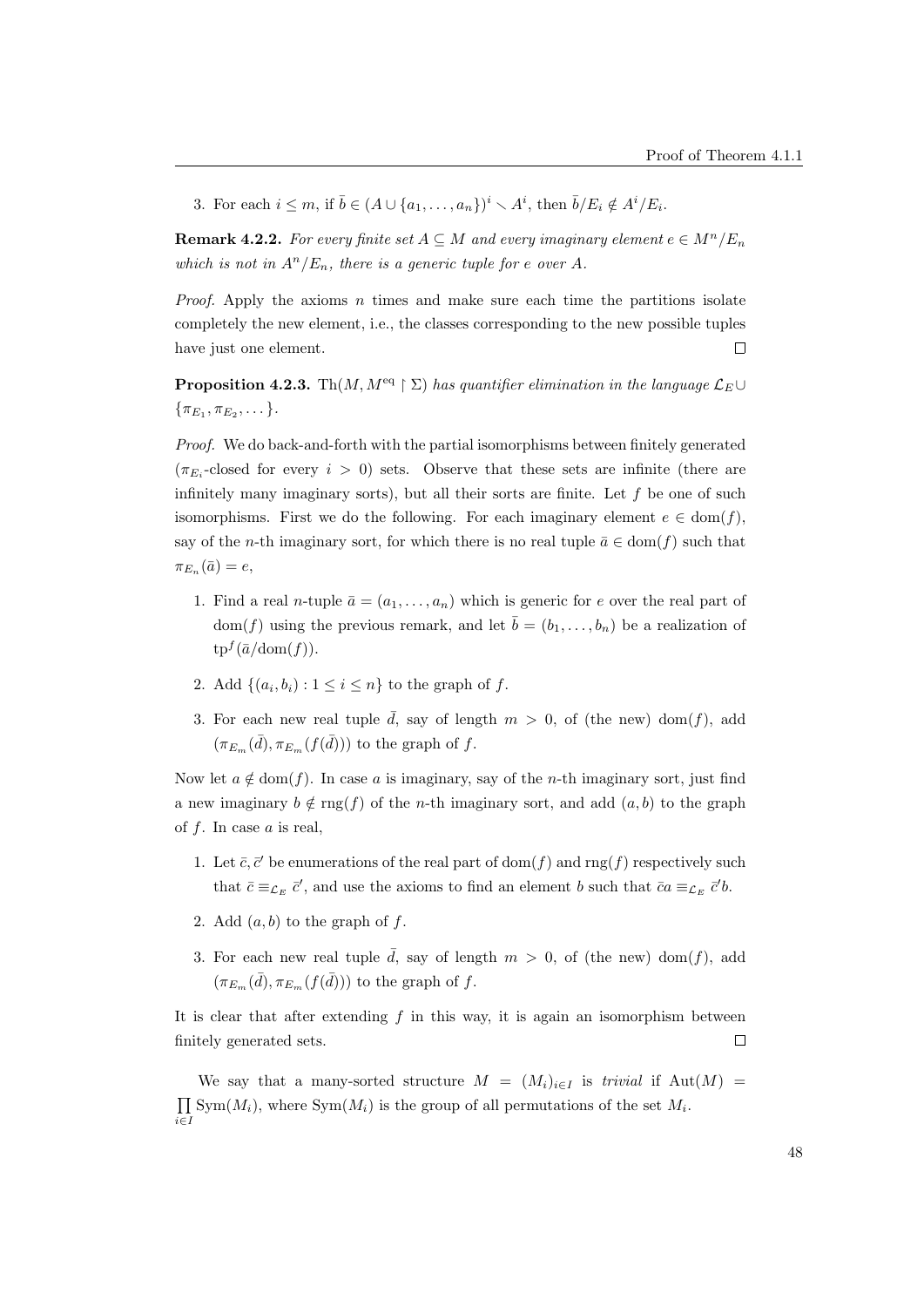3. For each  $i \leq m$ , if  $\bar{b} \in (A \cup \{a_1, \ldots, a_n\})^i \setminus A^i$ , then  $\bar{b}/E_i \notin A^i/E_i$ .

**Remark 4.2.2.** For every finite set  $A \subseteq M$  and every imaginary element  $e \in M^n / E_n$ which is not in  $A^n/E_n$ , there is a generic tuple for e over A.

*Proof.* Apply the axioms n times and make sure each time the partitions isolate completely the new element, i.e., the classes corresponding to the new possible tuples  $\Box$ have just one element.

**Proposition 4.2.3.** Th $(M, M^{\text{eq}} \restriction \Sigma)$  has quantifier elimination in the language  $\mathcal{L}_E \cup$  $\{\pi_{E_1}, \pi_{E_2}, \dots\}.$ 

Proof. We do back-and-forth with the partial isomorphisms between finitely generated  $(\pi_{E_i}$ -closed for every  $i > 0$ ) sets. Observe that these sets are infinite (there are infinitely many imaginary sorts), but all their sorts are finite. Let  $f$  be one of such isomorphisms. First we do the following. For each imaginary element  $e \in \text{dom}(f)$ , say of the *n*-th imaginary sort, for which there is no real tuple  $\bar{a} \in \text{dom}(f)$  such that  $\pi_{E_n}(\bar{a})=e,$ 

- 1. Find a real *n*-tuple  $\bar{a} = (a_1, \ldots, a_n)$  which is generic for e over the real part of dom(f) using the previous remark, and let  $\bar{b} = (b_1, \ldots, b_n)$  be a realization of  $\text{tp}^f(\bar{a}/\text{dom}(f)).$
- 2. Add  $\{(a_i, b_i) : 1 \leq i \leq n\}$  to the graph of f.
- 3. For each new real tuple  $\overline{d}$ , say of length  $m > 0$ , of (the new) dom(f), add  $(\pi_{E_m}(\bar{d}), \pi_{E_m}(f(\bar{d})))$  to the graph of f.

Now let  $a \notin \text{dom}(f)$ . In case a is imaginary, say of the n-th imaginary sort, just find a new imaginary  $b \notin \text{rng}(f)$  of the *n*-th imaginary sort, and add  $(a, b)$  to the graph of  $f$ . In case  $a$  is real,

- 1. Let  $\bar{c}, \bar{c}'$  be enumerations of the real part of dom(f) and rng(f) respectively such that  $\bar{c} \equiv_{\mathcal{L}_E} \bar{c}'$ , and use the axioms to find an element b such that  $\bar{c}a \equiv_{\mathcal{L}_E} \bar{c}'b$ .
- 2. Add  $(a, b)$  to the graph of f.
- 3. For each new real tuple  $\bar{d}$ , say of length  $m > 0$ , of (the new) dom(f), add  $(\pi_{E_m}(\bar{d}), \pi_{E_m}(f(\bar{d})))$  to the graph of f.

It is clear that after extending  $f$  in this way, it is again an isomorphism between finitely generated sets.  $\Box$ 

We say that a many-sorted structure  $M = (M_i)_{i \in I}$  is trivial if  $Aut(M) =$  $\prod$  $\prod_{i\in I} \text{Sym}(M_i)$ , where  $\text{Sym}(M_i)$  is the group of all permutations of the set  $M_i$ .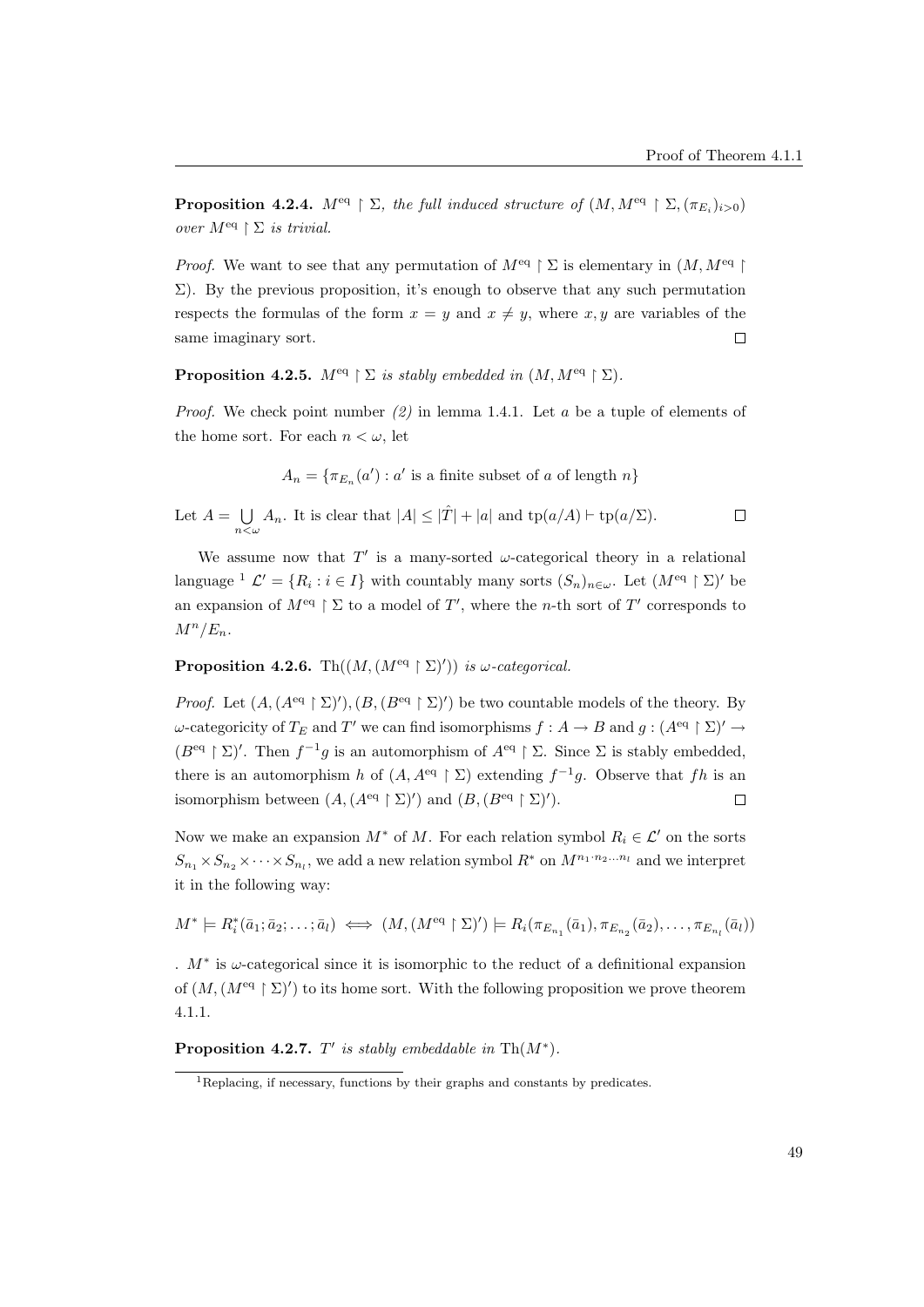**Proposition 4.2.4.**  $M^{\text{eq}} \upharpoonright \Sigma$ , the full induced structure of  $(M, M^{\text{eq}} \upharpoonright \Sigma, (\pi_{E_i})_{i>0})$ over  $M^{\text{eq}} \restriction \Sigma$  is trivial.

*Proof.* We want to see that any permutation of  $M^{eq} \restriction \Sigma$  is elementary in  $(M, M^{eq})$  $\Sigma$ ). By the previous proposition, it's enough to observe that any such permutation respects the formulas of the form  $x = y$  and  $x \neq y$ , where x, y are variables of the same imaginary sort.  $\Box$ 

**Proposition 4.2.5.**  $M^{eq} \upharpoonright \Sigma$  is stably embedded in  $(M, M^{eq} \upharpoonright \Sigma)$ .

*Proof.* We check point number (2) in lemma 1.4.1. Let a be a tuple of elements of the home sort. For each  $n < \omega$ , let

$$
A_n = \{ \pi_{E_n}(a') : a' \text{ is a finite subset of } a \text{ of length } n \}
$$

 $\bigcup_{n<\omega} A_n$ . It is clear that  $|A| \leq |\hat{T}| + |a|$  and  $\text{tp}(a/A) \vdash \text{tp}(a/\Sigma)$ . Let  $A = \bigcup$  $\Box$ 

We assume now that  $T'$  is a many-sorted  $\omega$ -categorical theory in a relational language  $^1$   $\mathcal{L}' = \{R_i : i \in I\}$  with countably many sorts  $(S_n)_{n \in \omega}$ . Let  $(M^{\text{eq}} \restriction \Sigma)'$  be an expansion of  $M^{\text{eq}} \upharpoonright \Sigma$  to a model of T', where the n-th sort of T' corresponds to  $M^n/E_n$ .

**Proposition 4.2.6.** Th $((M, (M^{eq} \restriction \Sigma)'))$  is  $\omega$ -categorical.

*Proof.* Let  $(A, (A^{eq} \upharpoonright \Sigma)'), (B, (B^{eq} \upharpoonright \Sigma)')$  be two countable models of the theory. By  $\omega$ -categoricity of  $T_E$  and  $T'$  we can find isomorphisms  $f : A \to B$  and  $g : (A^{eq} \upharpoonright \Sigma)' \to$  $(B^{\text{eq}} \restriction \Sigma)'$ . Then  $f^{-1}g$  is an automorphism of  $A^{\text{eq}} \restriction \Sigma$ . Since  $\Sigma$  is stably embedded, there is an automorphism h of  $(A, A^{eq} \restriction \Sigma)$  extending  $f^{-1}g$ . Observe that fh is an isomorphism between  $(A, (A^{eq} \restriction \Sigma)')$  and  $(B, (B^{eq} \restriction \Sigma)')$ .  $\Box$ 

Now we make an expansion  $M^*$  of M. For each relation symbol  $R_i \in \mathcal{L}'$  on the sorts  $S_{n_1} \times S_{n_2} \times \cdots \times S_{n_l}$ , we add a new relation symbol  $R^*$  on  $M^{n_1 \cdot n_2 \cdot \ldots n_l}$  and we interpret it in the following way:

$$
M^* \models R_i^*(\bar{a}_1; \bar{a}_2; \ldots; \bar{a}_l) \iff (M, (M^{\text{eq}} \restriction \Sigma)') \models R_i(\pi_{E_{n_1}}(\bar{a}_1), \pi_{E_{n_2}}(\bar{a}_2), \ldots, \pi_{E_{n_l}}(\bar{a}_l))
$$

. M<sup>∗</sup> is ω-categorical since it is isomorphic to the reduct of a definitional expansion of  $(M, (M^{\text{eq}} \restriction \Sigma)')$  to its home sort. With the following proposition we prove theorem 4.1.1.

**Proposition 4.2.7.**  $T'$  is stably embeddable in Th $(M^*)$ .

<sup>1</sup>Replacing, if necessary, functions by their graphs and constants by predicates.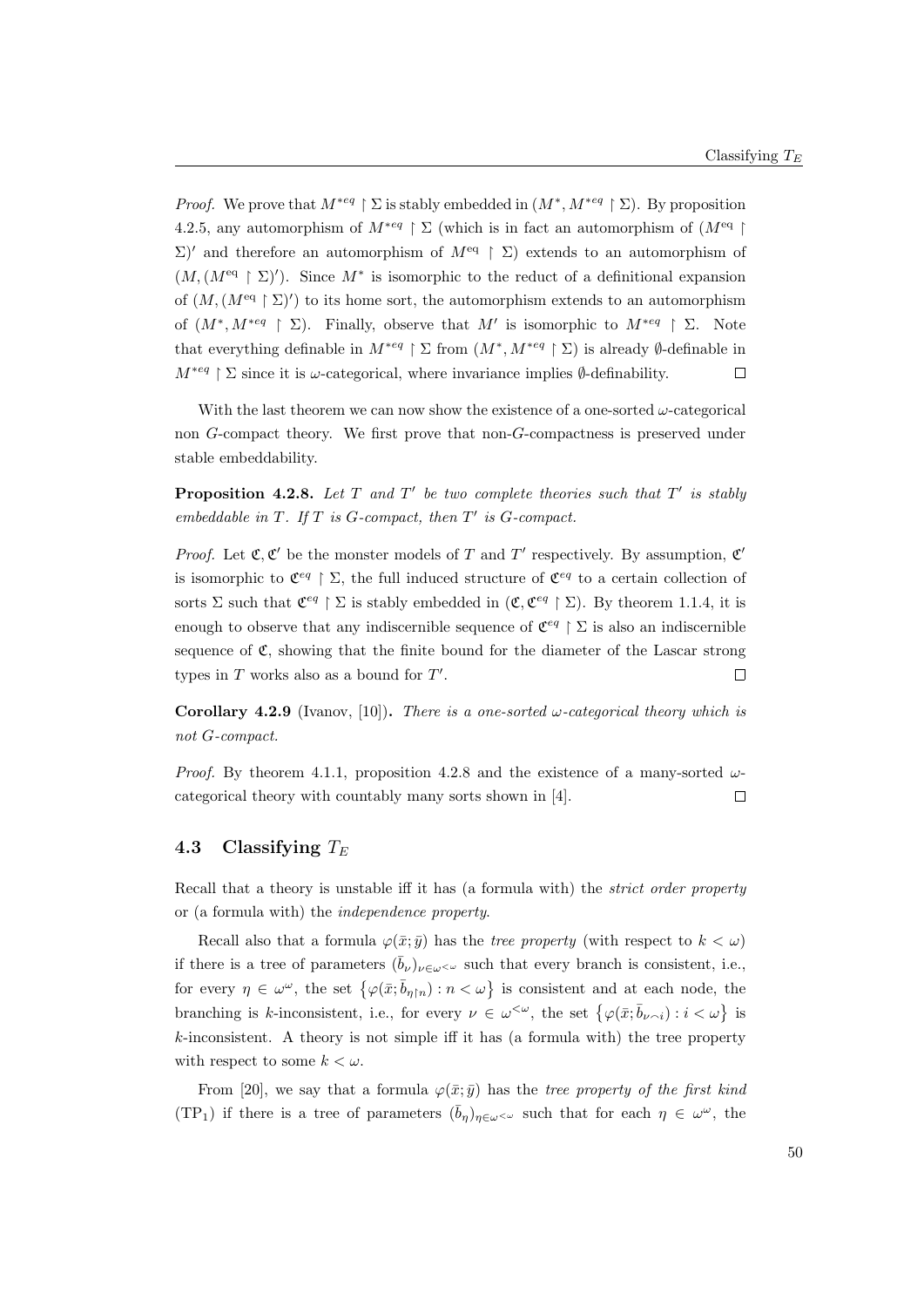*Proof.* We prove that  $M^{*eq} \upharpoonright \Sigma$  is stably embedded in  $(M^*, M^{*eq} \upharpoonright \Sigma)$ . By proposition 4.2.5, any automorphism of  $M^{*eq} \upharpoonright \Sigma$  (which is in fact an automorphism of  $(M^{eq})$ )  $\Sigma$ <sup>'</sup> and therefore an automorphism of M<sup>eq</sup>  $\Sigma$ ) extends to an automorphism of  $(M,(M<sup>eq</sup> \upharpoonright \Sigma)')$ . Since  $M^*$  is isomorphic to the reduct of a definitional expansion of  $(M, (M^{\text{eq}} \restriction \Sigma)')$  to its home sort, the automorphism extends to an automorphism of  $(M^*, M^{*eq} \restriction \Sigma)$ . Finally, observe that M' is isomorphic to  $M^{*eq} \restriction \Sigma$ . Note that everything definable in  $M^{*eq} \upharpoonright \Sigma$  from  $(M^*, M^{*eq} \upharpoonright \Sigma)$  is already Ø-definable in  $M^{*eq} \restriction \Sigma$  since it is  $\omega$ -categorical, where invariance implies  $\emptyset$ -definability.  $\Box$ 

With the last theorem we can now show the existence of a one-sorted  $\omega$ -categorical non G-compact theory. We first prove that non-G-compactness is preserved under stable embeddability.

**Proposition 4.2.8.** Let T and T' be two complete theories such that T' is stably embeddable in  $T$ . If  $T$  is  $G$ -compact, then  $T'$  is  $G$ -compact.

*Proof.* Let  $\mathfrak{C}, \mathfrak{C}'$  be the monster models of T and T' respectively. By assumption,  $\mathfrak{C}'$ is isomorphic to  $\mathfrak{C}^{eq} \restriction \Sigma$ , the full induced structure of  $\mathfrak{C}^{eq}$  to a certain collection of sorts  $\Sigma$  such that  $\mathfrak{C}^{eq} \upharpoonright \Sigma$  is stably embedded in  $(\mathfrak{C}, \mathfrak{C}^{eq} \upharpoonright \Sigma)$ . By theorem 1.1.4, it is enough to observe that any indiscernible sequence of  $\mathfrak{C}^{eq} \restriction \Sigma$  is also an indiscernible sequence of  $\mathfrak{C}$ , showing that the finite bound for the diameter of the Lascar strong types in  $T$  works also as a bound for  $T'$ .  $\Box$ 

Corollary 4.2.9 (Ivanov, [10]). There is a one-sorted  $\omega$ -categorical theory which is not G-compact.

*Proof.* By theorem 4.1.1, proposition 4.2.8 and the existence of a many-sorted  $\omega$ categorical theory with countably many sorts shown in [4].  $\Box$ 

#### 4.3 Classifying  $T_E$

Recall that a theory is unstable iff it has (a formula with) the strict order property or (a formula with) the independence property.

Recall also that a formula  $\varphi(\bar{x}; \bar{y})$  has the tree property (with respect to  $k < \omega$ ) if there is a tree of parameters  $(\bar{b}_{\nu})_{\nu \in \omega} \sim$  such that every branch is consistent, i.e., for every  $\eta \in \omega^{\omega}$ , the set  $\{\varphi(\bar{x}; \bar{b}_{\eta \upharpoonright n}) : n < \omega\}$  is consistent and at each node, the branching is k-inconsistent, i.e., for every  $\nu \in \omega^{\langle \omega \rangle}$ , the set  $\{\varphi(\bar{x}; \bar{b}_{\nu \wedge i}) : i \langle \omega \rangle\}$  is  $k$ -inconsistent. A theory is not simple iff it has (a formula with) the tree property with respect to some  $k < \omega$ .

From [20], we say that a formula  $\varphi(\bar{x}; \bar{y})$  has the tree property of the first kind (TP<sub>1</sub>) if there is a tree of parameters  $(\bar{b}_{\eta})_{\eta \in \omega}$  we such that for each  $\eta \in \omega^{\omega}$ , the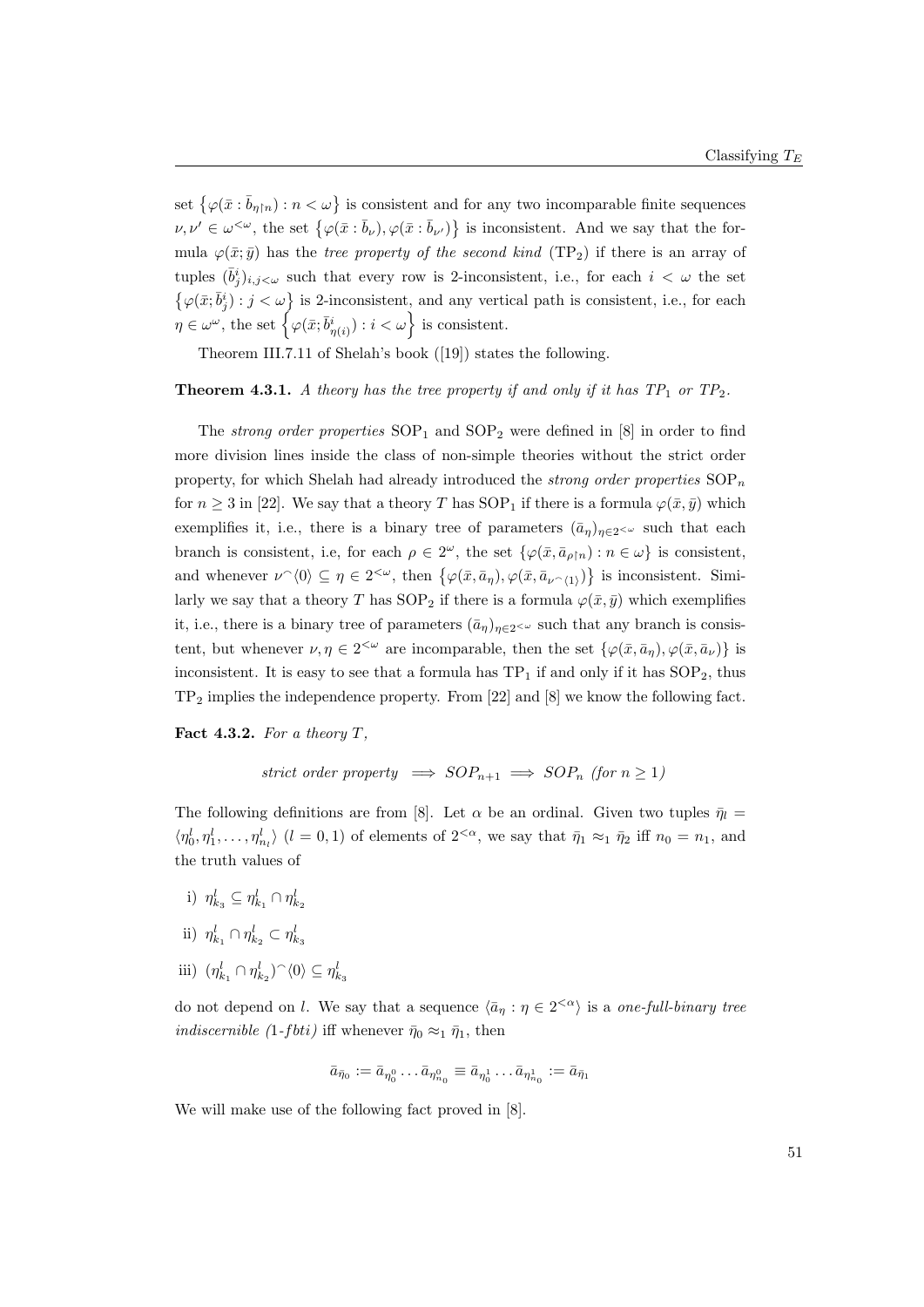set  $\{\varphi(\bar{x} : \bar{b}_{\eta\upharpoonright n}) : n < \omega\}$  is consistent and for any two incomparable finite sequences  $\nu, \nu' \in \omega^{\leq \omega}$ , the set  $\{\varphi(\bar{x} : \bar{b}_{\nu}), \varphi(\bar{x} : \bar{b}_{\nu'})\}$  is inconsistent. And we say that the formula  $\varphi(\bar{x}; \bar{y})$  has the tree property of the second kind (TP<sub>2</sub>) if there is an array of tuples  $(\bar{b}_j^i)_{i,j<\omega}$  such that every row is 2-inconsistent, i.e., for each  $i < \omega$  the set  $\{\varphi(\bar{x}; \bar{b}^i_j) : j < \omega\}$  is 2-inconsistent, and any vertical path is consistent, i.e., for each  $\eta \in \omega^{\omega}$ , the set  $\left\{ \varphi(\bar{x}; \bar{b}^i_{\eta(i)}): i < \omega \right\}$  is consistent.

Theorem III.7.11 of Shelah's book ([19]) states the following.

**Theorem 4.3.1.** A theory has the tree property if and only if it has  $TP_1$  or  $TP_2$ .

The strong order properties  $SOP_1$  and  $SOP_2$  were defined in [8] in order to find more division lines inside the class of non-simple theories without the strict order property, for which Shelah had already introduced the *strong order properties*  $SOP_n$ for  $n \geq 3$  in [22]. We say that a theory T has SOP<sub>1</sub> if there is a formula  $\varphi(\bar{x}, \bar{y})$  which exemplifies it, i.e., there is a binary tree of parameters  $(\bar{a}_{\eta})_{\eta \in 2<\omega}$  such that each branch is consistent, i.e, for each  $\rho \in 2^{\omega}$ , the set  $\{\varphi(\bar{x}, \bar{a}_{\rho \upharpoonright n}) : n \in \omega\}$  is consistent, and whenever  $\nu^{\hat{ }}\langle 0\rangle \subseteq \eta \in 2^{<\omega},\$  then  $\{\varphi(\bar{x},\bar{a}_{\eta}),\varphi(\bar{x},\bar{a}_{\nu^{\hat{ }}\langle 1\rangle})\}\$ is inconsistent. Similarly we say that a theory T has  $SOP_2$  if there is a formula  $\varphi(\bar{x}, \bar{y})$  which exemplifies it, i.e., there is a binary tree of parameters  $(\bar{a}_n)_{n\in 2<\infty}$  such that any branch is consistent, but whenever  $\nu, \eta \in 2^{<\omega}$  are incomparable, then the set  $\{\varphi(\bar{x}, \bar{a}_{\eta}), \varphi(\bar{x}, \bar{a}_{\nu})\}$  is inconsistent. It is easy to see that a formula has  $TP_1$  if and only if it has  $SOP_2$ , thus TP<sup>2</sup> implies the independence property. From [22] and [8] we know the following fact.

Fact 4.3.2. For a theory  $T$ ,

$$
strict order property \implies SOP_{n+1} \implies SOP_n \text{ (for } n \ge 1)
$$

The following definitions are from [8]. Let  $\alpha$  be an ordinal. Given two tuples  $\bar{\eta}_l$  =  $\langle \eta_0^l, \eta_1^l, \ldots, \eta_{n_l}^l \rangle$   $(l = 0, 1)$  of elements of  $2^{<\alpha}$ , we say that  $\bar{\eta}_1 \approx_1 \bar{\eta}_2$  iff  $n_0 = n_1$ , and the truth values of

- i)  $\eta_{k_3}^l \subseteq \eta_{k_1}^l \cap \eta_{k_2}^l$
- ii)  $\eta_{k_1}^l \cap \eta_{k_2}^l \subset \eta_{k_3}^l$
- iii)  $(\eta_{k_1}^l \cap \eta_{k_2}^l)$   $\hat{\langle 0 \rangle} \subseteq \eta_{k_3}^l$

do not depend on l. We say that a sequence  $\langle \bar{a}_\eta : \eta \in 2^{<\alpha} \rangle$  is a one-full-binary tree *indiscernible (1-fbti)* iff whenever  $\bar{\eta}_0 \approx_1 \bar{\eta}_1$ , then

$$
\bar{a}_{\bar{\eta}_0}:=\bar{a}_{\eta^0_0}\dots \bar{a}_{\eta^0_{n_0}}\equiv \bar{a}_{\eta^1_0}\dots \bar{a}_{\eta^1_{n_0}}:=\bar{a}_{\bar{\eta}_1}
$$

We will make use of the following fact proved in [8].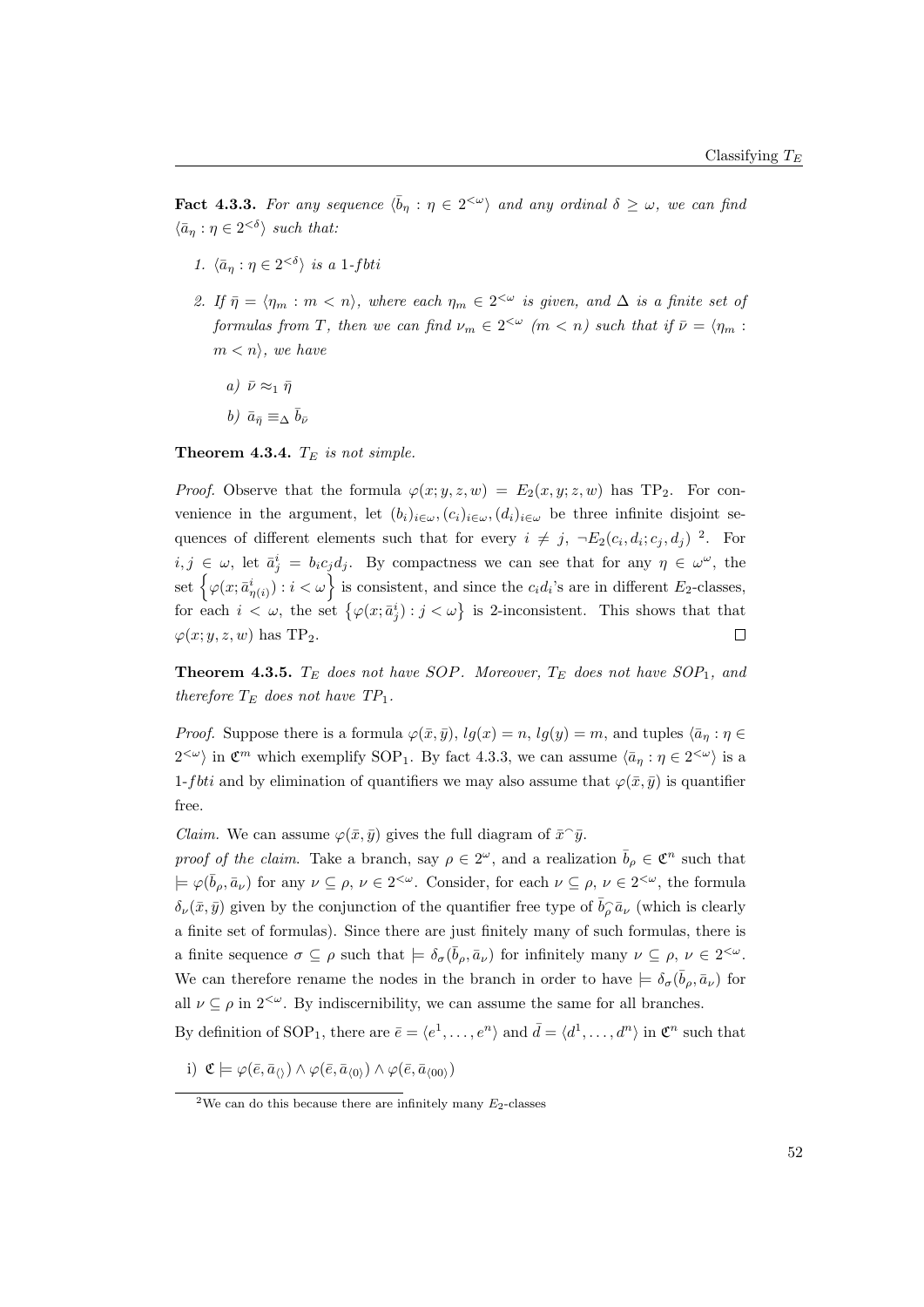**Fact 4.3.3.** For any sequence  $\langle \bar{b}_\eta : \eta \in 2^{&\omega} \rangle$  and any ordinal  $\delta \geq \omega$ , we can find  $\langle \bar{a}_\eta : \eta \in 2^{<\delta} \rangle$  such that:

- 1.  $\langle \bar{a}_\eta : \eta \in 2^{<\delta} \rangle$  is a 1-fbti
- 2. If  $\bar{\eta} = \langle \eta_m : m \langle n \rangle$ , where each  $\eta_m \in 2^{<\omega}$  is given, and  $\Delta$  is a finite set of formulas from T, then we can find  $\nu_m \in 2^{<\omega}$  (m  $< n$ ) such that if  $\bar{\nu} = \langle \eta_m :$  $m < n$ , we have
	- a)  $\bar{\nu} \approx_1 \bar{\eta}$
	- b)  $\bar{a}_{\bar{\eta}} \equiv_{\Delta} \bar{b}_{\bar{\nu}}$

Theorem 4.3.4.  $T_E$  is not simple.

*Proof.* Observe that the formula  $\varphi(x; y, z, w) = E_2(x, y; z, w)$  has TP<sub>2</sub>. For convenience in the argument, let  $(b_i)_{i\in\omega}$ ,  $(c_i)_{i\in\omega}$ ,  $(d_i)_{i\in\omega}$  be three infinite disjoint sequences of different elements such that for every  $i \neq j$ ,  $\neg E_2(c_i, d_i; c_j, d_j)$ <sup>2</sup>. For  $i, j \in \omega$ , let  $\bar{a}_j^i = b_i c_j d_j$ . By compactness we can see that for any  $\eta \in \omega^{\omega}$ , the set  $\left\{ \varphi(x; \bar{a}_{\eta(i)}^i) : i < \omega \right\}$  is consistent, and since the  $c_i d_i$ 's are in different  $E_2$ -classes, for each  $i < \omega$ , the set  $\{\varphi(x; \bar{a}_j^i) : j < \omega\}$  is 2-inconsistent. This shows that that  $\varphi(x; y, z, w)$  has TP<sub>2</sub>.  $\Box$ 

**Theorem 4.3.5.**  $T_E$  does not have SOP. Moreover,  $T_E$  does not have SOP<sub>1</sub>, and therefore  $T_E$  does not have  $TP_1$ .

*Proof.* Suppose there is a formula  $\varphi(\bar{x}, \bar{y})$ ,  $lg(x) = n$ ,  $lg(y) = m$ , and tuples  $\langle \bar{a}_n : \eta \in$  $2^{<\omega}$  in  $\mathfrak{C}^m$  which exemplify SOP<sub>1</sub>. By fact 4.3.3, we can assume  $\langle \bar{a}_\eta : \eta \in 2^{<\omega} \rangle$  is a 1-*f bti* and by elimination of quantifiers we may also assume that  $\varphi(\bar{x}, \bar{y})$  is quantifier free.

*Claim.* We can assume  $\varphi(\bar{x}, \bar{y})$  gives the full diagram of  $\bar{x}^{\frown} \bar{y}$ .

proof of the claim. Take a branch, say  $\rho \in 2^{\omega}$ , and a realization  $\bar{b}_{\rho} \in \mathfrak{C}^n$  such that  $\models \varphi(\bar{b}_{\rho}, \bar{a}_{\nu})$  for any  $\nu \subseteq \rho, \nu \in 2^{<\omega}$ . Consider, for each  $\nu \subseteq \rho, \nu \in 2^{<\omega}$ , the formula  $\delta_{\nu}(\bar{x},\bar{y})$  given by the conjunction of the quantifier free type of  $\bar{b}_\rho^{\frown}\bar{a}_\nu$  (which is clearly a finite set of formulas). Since there are just finitely many of such formulas, there is a finite sequence  $\sigma \subseteq \rho$  such that  $\models \delta_{\sigma}(\bar{b}_{\rho}, \bar{a}_{\nu})$  for infinitely many  $\nu \subseteq \rho, \nu \in 2^{<\omega}$ . We can therefore rename the nodes in the branch in order to have  $\models \delta_{\sigma}(\bar{b}_{\rho}, \bar{a}_{\nu})$  for all  $\nu \subseteq \rho$  in  $2^{<\omega}$ . By indiscernibility, we can assume the same for all branches.

By definition of SOP<sub>1</sub>, there are  $\bar{e} = \langle e^1, \ldots, e^n \rangle$  and  $\bar{d} = \langle d^1, \ldots, d^n \rangle$  in  $\mathfrak{C}^n$  such that

i)  $\mathfrak{C} \models \varphi(\bar{e}, \bar{a}_{\langle}) \land \varphi(\bar{e}, \bar{a}_{\langle 0 \rangle}) \land \varphi(\bar{e}, \bar{a}_{\langle 0 0 \rangle})$ 

<sup>&</sup>lt;sup>2</sup>We can do this because there are infinitely many  $E_2$ -classes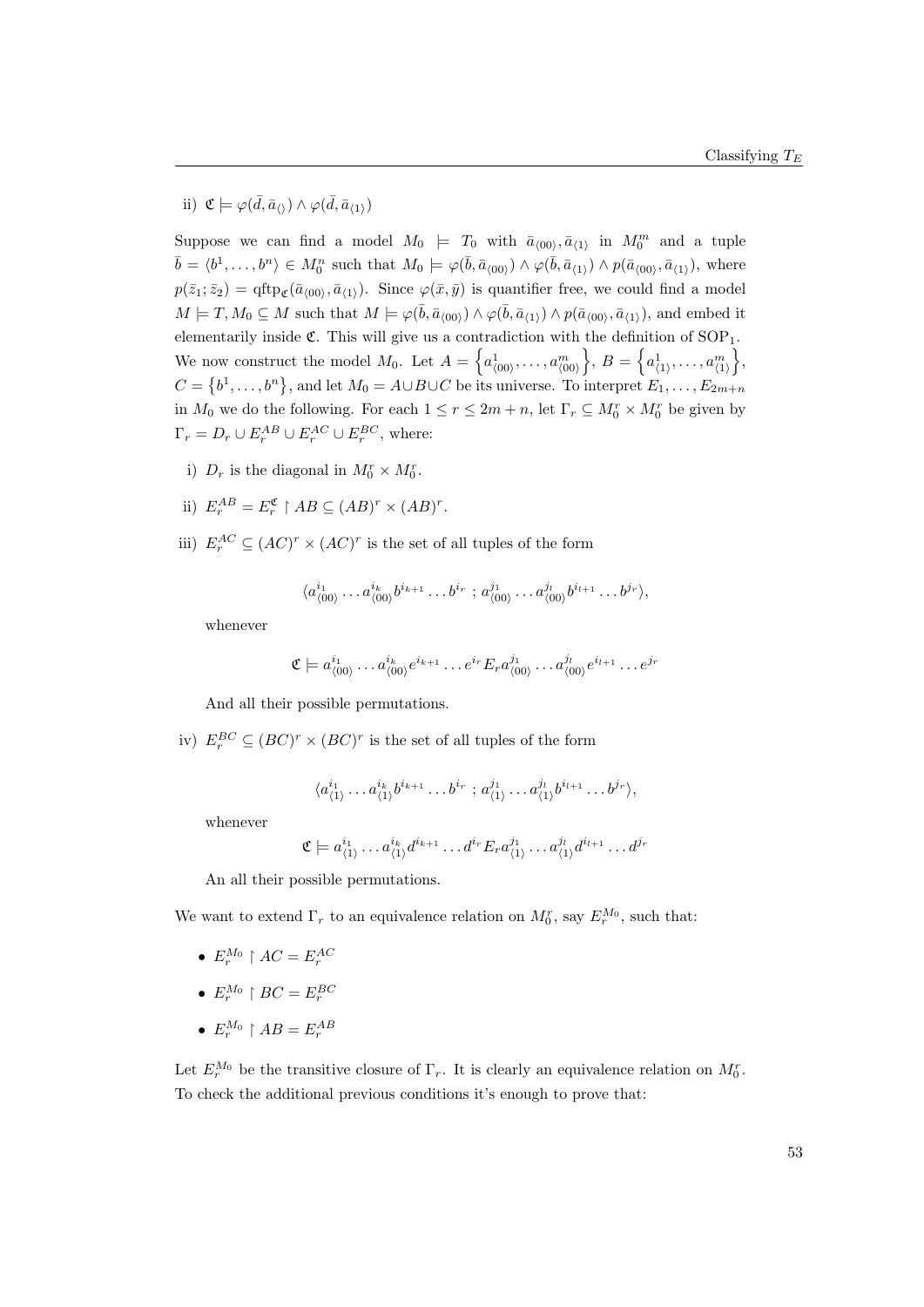ii)  $\mathfrak{C} \models \varphi(\bar{d}, \bar{a}_{\langle \rangle}) \wedge \varphi(\bar{d}, \bar{a}_{\langle 1 \rangle})$ 

Suppose we can find a model  $M_0$   $\models$   $T_0$  with  $\bar{a}_{(00)}, \bar{a}_{(1)}$  in  $M_0^m$  and a tuple  $\bar{b} = \langle b^1, \ldots, b^n \rangle \in M_0^n$  such that  $M_0 \models \varphi(\bar{b}, \bar{a}_{\langle 00 \rangle}) \wedge \varphi(\bar{b}, \bar{a}_{\langle 1 \rangle}) \wedge p(\bar{a}_{\langle 00 \rangle}, \bar{a}_{\langle 1 \rangle}),$  where  $p(\bar{z}_1;\bar{z}_2) = \text{qftp}_{\mathfrak{C}}(\bar{a}_{\langle 00 \rangle}, \bar{a}_{\langle 1 \rangle}).$  Since  $\varphi(\bar{x}, \bar{y})$  is quantifier free, we could find a model  $M \models T, M_0 \subseteq M$  such that  $M \models \varphi(\bar{b}, \bar{a}_{\langle 00 \rangle}) \wedge \varphi(\bar{b}, \bar{a}_{\langle 1 \rangle}) \wedge p(\bar{a}_{\langle 00 \rangle}, \bar{a}_{\langle 1 \rangle}),$  and embed it elementarily inside  $\mathfrak{C}$ . This will give us a contradiction with the definition of  $SOP_1$ . We now construct the model  $M_0$ . Let  $A = \left\{a_{(00)}^1, \ldots, a_{(00)}^m\right\}$ ,  $B = \left\{a_{(1)}^1, \ldots, a_{(1)}^m\right\}$ ,  $C = \{b^1, \ldots, b^n\}$ , and let  $M_0 = A \cup B \cup C$  be its universe. To interpret  $E_1, \ldots, E_{2m+n}$ in  $M_0$  we do the following. For each  $1 \le r \le 2m + n$ , let  $\Gamma_r \subseteq M_0^r \times M_0^r$  be given by  $\Gamma_r = D_r \cup E_r^{AB} \cup E_r^{AC} \cup E_r^{BC}$ , where:

- i)  $D_r$  is the diagonal in  $M_0^r \times M_0^r$ .
- ii)  $E_r^{AB} = E_r^{\mathfrak{C}} \restriction AB \subseteq (AB)^r \times (AB)^r$ .
- iii)  $E_r^{AC} \subseteq (AC)^r \times (AC)^r$  is the set of all tuples of the form

$$
\langle a_{\langle 00 \rangle}^{i_1} \dots a_{\langle 00 \rangle}^{i_k} b^{i_{k+1}} \dots b^{i_r} ; a_{\langle 00 \rangle}^{j_1} \dots a_{\langle 00 \rangle}^{j_l} b^{i_{l+1}} \dots b^{j_r} \rangle,
$$

whenever

$$
\mathfrak{C}\models a_{\langle 00\rangle}^{i_1}\dots a_{\langle 00\rangle}^{i_k}e^{i_{k+1}}\dots e^{i_r}E_ra_{\langle 00\rangle}^{j_1}\dots a_{\langle 00\rangle}^{j_l}e^{i_{l+1}}\dots e^{j_r}
$$

And all their possible permutations.

iv)  $E_r^{BC} \subseteq (BC)^r \times (BC)^r$  is the set of all tuples of the form

$$
\langle a_{\langle 1 \rangle}^{i_1} \dots a_{\langle 1 \rangle}^{i_k} b^{i_{k+1}} \dots b^{i_r} ; a_{\langle 1 \rangle}^{j_1} \dots a_{\langle 1 \rangle}^{j_l} b^{i_{l+1}} \dots b^{j_r} \rangle,
$$

whenever

$$
\mathfrak{C} \models a_{\langle 1 \rangle}^{i_1} \dots a_{\langle 1 \rangle}^{i_k} d^{i_{k+1}} \dots d^{i_r} E_r a_{\langle 1 \rangle}^{j_1} \dots a_{\langle 1 \rangle}^{j_l} d^{i_{l+1}} \dots d^{j_r}
$$

An all their possible permutations.

We want to extend  $\Gamma_r$  to an equivalence relation on  $M_0^r$ , say  $E_r^{M_0}$ , such that:

- $E_r^{M_0} \restriction AC = E_r^{AC}$
- $E_r^{M_0} \restriction BC = E_r^{BC}$
- $E_r^{M_0} \restriction AB = E_r^{AB}$

Let  $E_r^{M_0}$  be the transitive closure of  $\Gamma_r$ . It is clearly an equivalence relation on  $M_0^r$ . To check the additional previous conditions it's enough to prove that: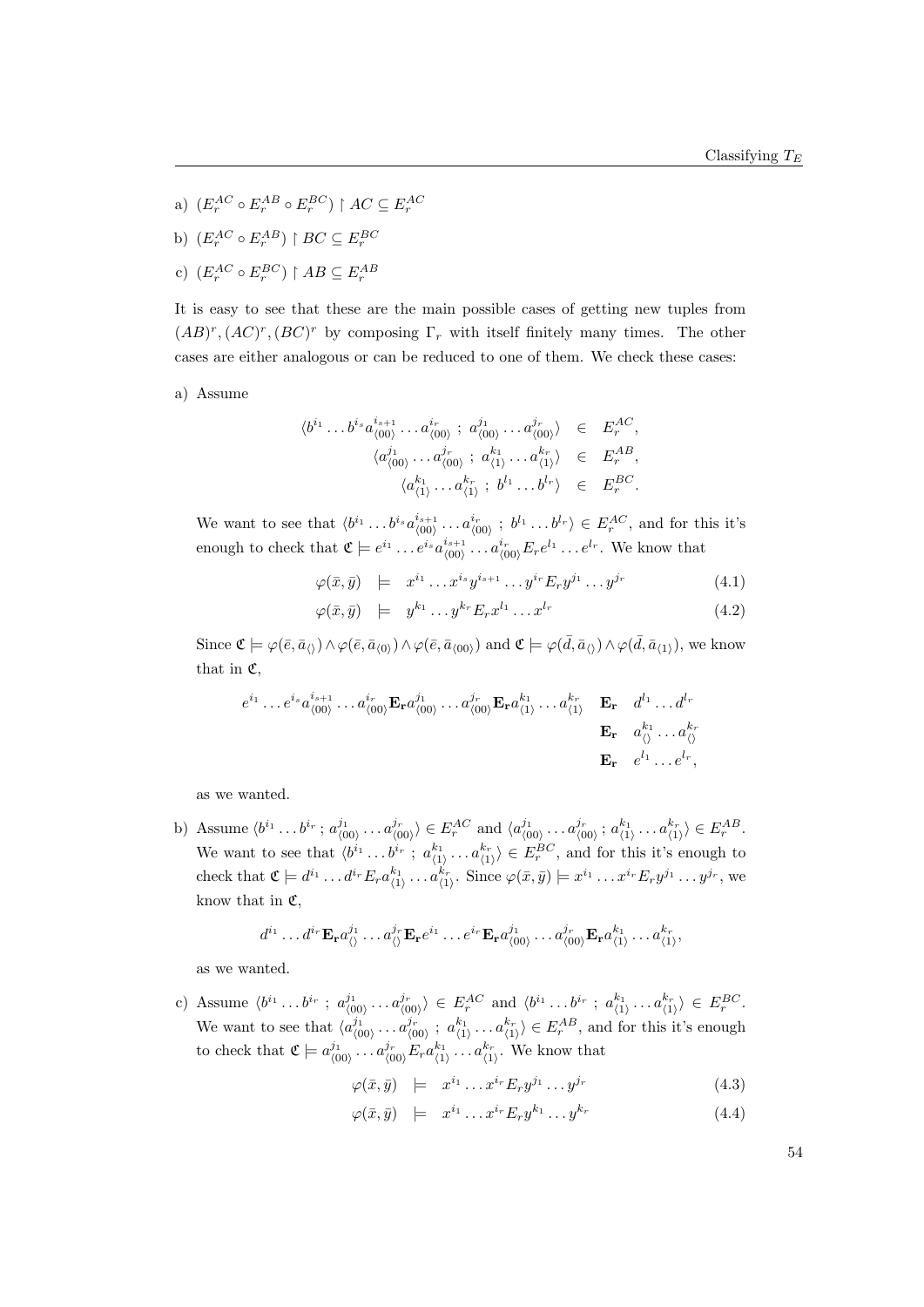- a)  $(E_r^{AC} \circ E_r^{AB} \circ E_r^{BC}) \upharpoonright AC \subseteq E_r^{AC}$
- b)  $(E_r^{AC} \circ E_r^{AB}) \upharpoonright BC \subseteq E_r^{BC}$
- c)  $(E_r^{AC} \circ E_r^{BC}) \upharpoonright AB \subseteq E_r^{AB}$

It is easy to see that these are the main possible cases of getting new tuples from  $(AB)^r, (AC)^r, (BC)^r$  by composing  $\Gamma_r$  with itself finitely many times. The other cases are either analogous or can be reduced to one of them. We check these cases:

a) Assume

$$
\langle b^{i_1} \dots b^{i_s} a_{\langle 00 \rangle}^{i_{s+1}} \dots a_{\langle 00 \rangle}^{i_r} ; a_{\langle 00 \rangle}^{j_1} \dots a_{\langle 00 \rangle}^{j_r} \rangle \in E_r^{AC},
$$
  

$$
\langle a_{\langle 00 \rangle}^{j_1} \dots a_{\langle 00 \rangle}^{j_r} ; a_{\langle 1 \rangle}^{k_1} \dots a_{\langle 1 \rangle}^{k_r} \rangle \in E_r^{AB},
$$
  

$$
\langle a_{\langle 1 \rangle}^{k_1} \dots a_{\langle 1 \rangle}^{k_r} ; b^{l_1} \dots b^{l_r} \rangle \in E_r^{BC}.
$$

We want to see that  $\langle b^{i_1} \dots b^{i_s} a_{i_{0}}^{i_{s+1}} \rangle$  $\langle b_{(00)}^{i_{s+1}} \dots a_{(00)}^{i_r} \; ; \; b^{l_1} \dots b^{l_r} \rangle \in E_r^{AC}$ , and for this it's enough to check that  $\mathfrak{C} \models e^{i_1} \dots e^{i_s} a_{i_{(0)}i_{(0)}}^{i_{s+1}}$  $\chi^{i_{s+1}}_{(00)} \dots a_{(00)}^{i_r} E_r e^{l_1} \dots e^{l_r}$ . We know that

$$
\varphi(\bar{x}, \bar{y}) \models x^{i_1} \dots x^{i_s} y^{i_{s+1}} \dots y^{i_r} E_r y^{j_1} \dots y^{j_r} \tag{4.1}
$$

$$
\varphi(\bar{x}, \bar{y}) \models y^{k_1} \dots y^{k_r} E_r x^{l_1} \dots x^{l_r} \tag{4.2}
$$

Since  $\mathfrak{C} \models \varphi(\bar{e}, \bar{a}_{\langle 0 \rangle}) \land \varphi(\bar{e}, \bar{a}_{\langle 00 \rangle})$  and  $\mathfrak{C} \models \varphi(\bar{d}, \bar{a}_{\langle 1 \rangle}) \land \varphi(\bar{d}, \bar{a}_{\langle 1 \rangle})$ , we know that in  $\mathfrak{C}$ ,

$$
e^{i_1} \dots e^{i_s} a_{\langle 00 \rangle}^{i_{s+1}} \dots a_{\langle 00 \rangle}^{i_r} \mathbf{E_r} a_{\langle 00 \rangle}^{j_1} \dots a_{\langle 00 \rangle}^{j_r} \mathbf{E_r} a_{\langle 1 \rangle}^{k_1} \dots a_{\langle 1 \rangle}^{k_r} \mathbf{E_r} d^{l_1} \dots d^{l_r}
$$
  
\n
$$
\mathbf{E_r} \quad a_{\langle \rangle}^{k_1} \dots a_{\langle \rangle}^{k_r}
$$
  
\n
$$
\mathbf{E_r} \quad e^{l_1} \dots e^{l_r},
$$

as we wanted.

b) Assume  $\langle b^{i_1} \dots b^{i_r} ; a_{\langle 00 \rangle}^{j_1} \dots a_{\langle 00 \rangle}^{j_r} \rangle \in E_r^{AC}$  and  $\langle a_{\langle 00 \rangle}^{j_1} \dots a_{\langle 00 \rangle}^{j_r} ; a_{\langle 1 \rangle}^{k_1} \dots a_{\langle 1 \rangle}^{k_r} \rangle \in E_r^{AB}$ . We want to see that  $\langle b^{i_1} \dots b^{i_r} ; a_{\langle 1 \rangle}^{k_1} \dots a_{\langle 1 \rangle}^{k_r} \rangle \in E_r^{BC}$ , and for this it's enough to check that  $\mathfrak{C} \models d^{i_1} \dots d^{i_r} E_r a_{(1)}^{k_1} \dots a_{(1)}^{k_r}$ . Since  $\varphi(\bar{x}, \bar{y}) \models x^{i_1} \dots x^{i_r} E_r y^{j_1} \dots y^{j_r}$ , we know that in  $\mathfrak{C}$ ,

$$
d^{i_1}\ldots d^{i_r}\mathbf{E_r}a^{j_1}_{\langle\rangle}\ldots a^{j_r}_{\langle\rangle}\mathbf{E_r}e^{i_1}\ldots e^{i_r}\mathbf{E_r}a^{j_1}_{\langle 00\rangle}\ldots a^{j_r}_{\langle 00\rangle}\mathbf{E_r}a^{k_1}_{\langle 1\rangle}\ldots a^{k_r}_{\langle 1\rangle},
$$

as we wanted.

c) Assume  $\langle b^{i_1} \dots b^{i_r} \,; a_{\langle 00 \rangle}^{j_1} \dots a_{\langle 00 \rangle}^{j_r} \rangle \in E_r^{AC}$  and  $\langle b^{i_1} \dots b^{i_r} \,; a_{\langle 1 \rangle}^{k_1} \dots a_{\langle 1 \rangle}^{k_r} \rangle \in E_r^{BC}$ . We want to see that  $\langle a_{\langle 00 \rangle}^{j_1} \dots a_{\langle 00 \rangle}^{j_r}$ ;  $a_{\langle 1 \rangle}^{k_1} \dots a_{\langle 1 \rangle}^{k_r} \rangle \in E_r^{AB}$ , and for this it's enough to check that  $\mathfrak{C} \models a_{(00)}^{j_1} \dots a_{(00)}^{j_r} E_r a_{(1)}^{k_1} \dots a_{(1)}^{k_r}$ . We know that

$$
\varphi(\bar{x}, \bar{y}) \models x^{i_1} \dots x^{i_r} E_r y^{j_1} \dots y^{j_r} \tag{4.3}
$$

$$
\varphi(\bar{x}, \bar{y}) \models x^{i_1} \dots x^{i_r} E_r y^{k_1} \dots y^{k_r} \tag{4.4}
$$

54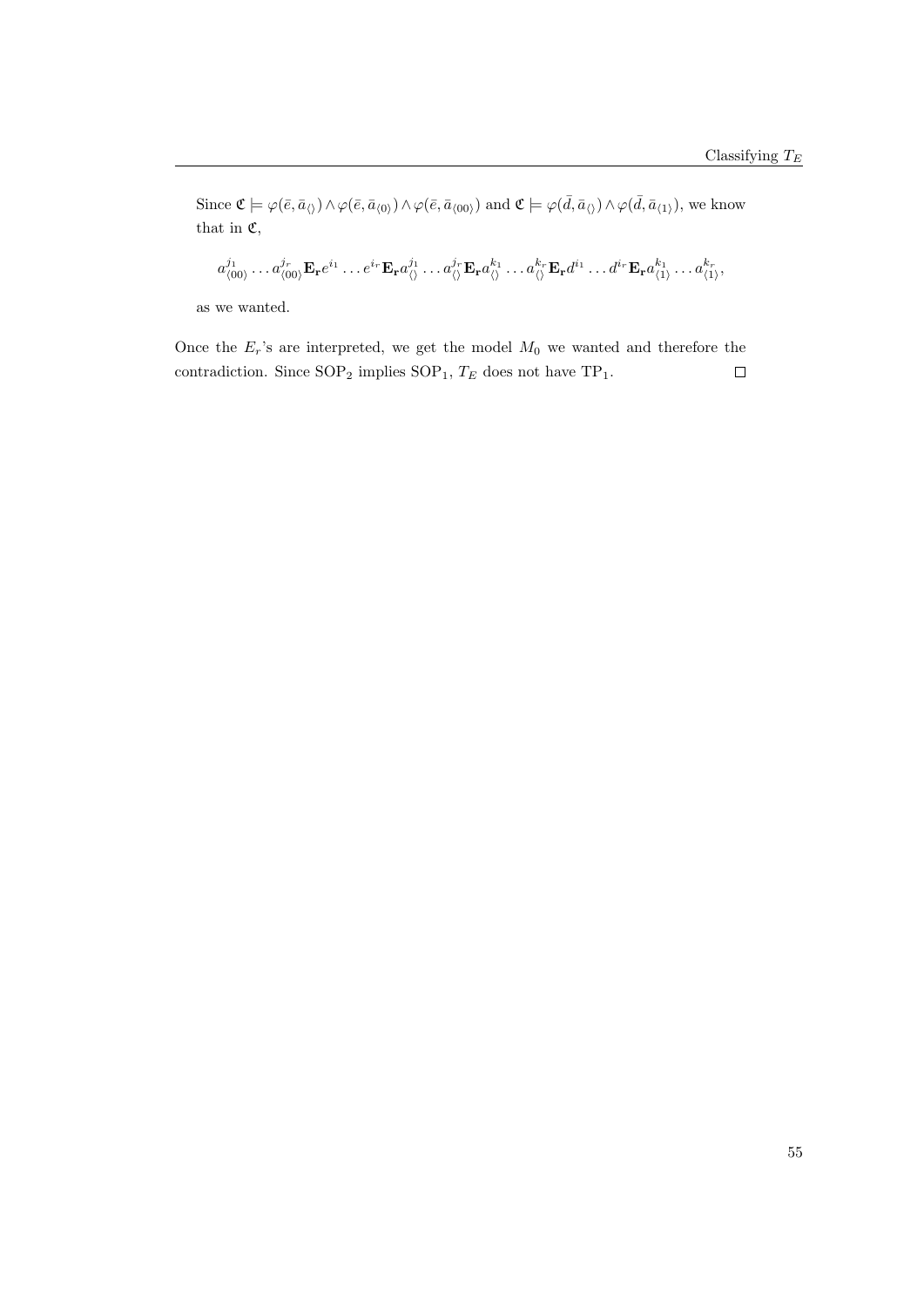Since  $\mathfrak{C} \models \varphi(\bar{e}, \bar{a}_{\langle 0 \rangle}) \land \varphi(\bar{e}, \bar{a}_{\langle 00 \rangle})$  and  $\mathfrak{C} \models \varphi(\bar{d}, \bar{a}_{\langle 1 \rangle}) \land \varphi(\bar{d}, \bar{a}_{\langle 1 \rangle})$ , we know that in  $\mathfrak{C},$ 

$$
a^{j_1}_{\langle 00\rangle}\ldots a^{j_r}_{\langle 00\rangle}{\bf E_r}e^{i_1}\ldots e^{i_r}{\bf E_r}a^{j_1}_{\langle\rangle}\ldots a^{j_r}_{\langle\rangle}{\bf E_r}a^{k_1}_{\langle\rangle}\ldots a^{k_r}_{\langle\rangle}{\bf E_r}d^{i_1}\ldots d^{i_r}{\bf E_r}a^{k_1}_{\langle 1\rangle}\ldots a^{k_r}_{\langle 1\rangle},
$$

as we wanted.

Once the  $E_r$ 's are interpreted, we get the model  $M_0$  we wanted and therefore the contradiction. Since  $\mathrm{SOP}_2$  implies  $\mathrm{SOP}_1,$   $T_E$  does not have  $\mathrm{TP}_1.$  $\Box$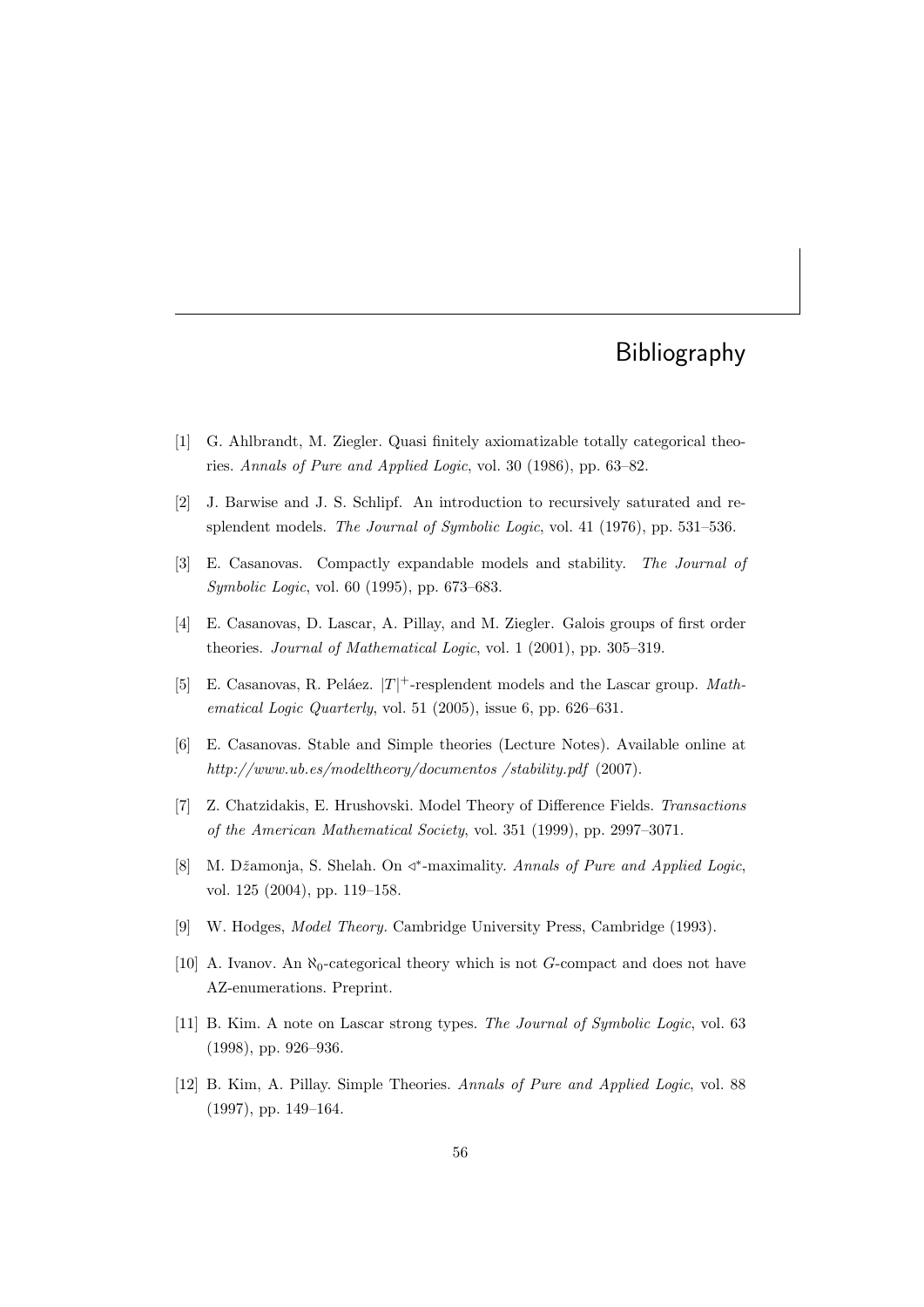## Bibliography

- [1] G. Ahlbrandt, M. Ziegler. Quasi finitely axiomatizable totally categorical theories. Annals of Pure and Applied Logic, vol. 30 (1986), pp. 63–82.
- [2] J. Barwise and J. S. Schlipf. An introduction to recursively saturated and resplendent models. The Journal of Symbolic Logic, vol. 41 (1976), pp. 531–536.
- [3] E. Casanovas. Compactly expandable models and stability. The Journal of Symbolic Logic, vol. 60 (1995), pp. 673–683.
- [4] E. Casanovas, D. Lascar, A. Pillay, and M. Ziegler. Galois groups of first order theories. Journal of Mathematical Logic, vol. 1 (2001), pp. 305–319.
- [5] E. Casanovas, R. Peláez.  $|T|$ <sup>+</sup>-resplendent models and the Lascar group. Mathematical Logic Quarterly, vol. 51 (2005), issue 6, pp. 626–631.
- [6] E. Casanovas. Stable and Simple theories (Lecture Notes). Available online at http://www.ub.es/modeltheory/documentos/stability.pdf (2007).
- [7] Z. Chatzidakis, E. Hrushovski. Model Theory of Difference Fields. Transactions of the American Mathematical Society, vol. 351 (1999), pp. 2997–3071.
- [8] M. Džamonja, S. Shelah. On ∢\*-maximality. Annals of Pure and Applied Logic, vol. 125 (2004), pp. 119–158.
- [9] W. Hodges, Model Theory. Cambridge University Press, Cambridge (1993).
- [10] A. Ivanov. An  $\aleph_0$ -categorical theory which is not G-compact and does not have AZ-enumerations. Preprint.
- [11] B. Kim. A note on Lascar strong types. The Journal of Symbolic Logic, vol. 63 (1998), pp. 926–936.
- [12] B. Kim, A. Pillay. Simple Theories. Annals of Pure and Applied Logic, vol. 88 (1997), pp. 149–164.